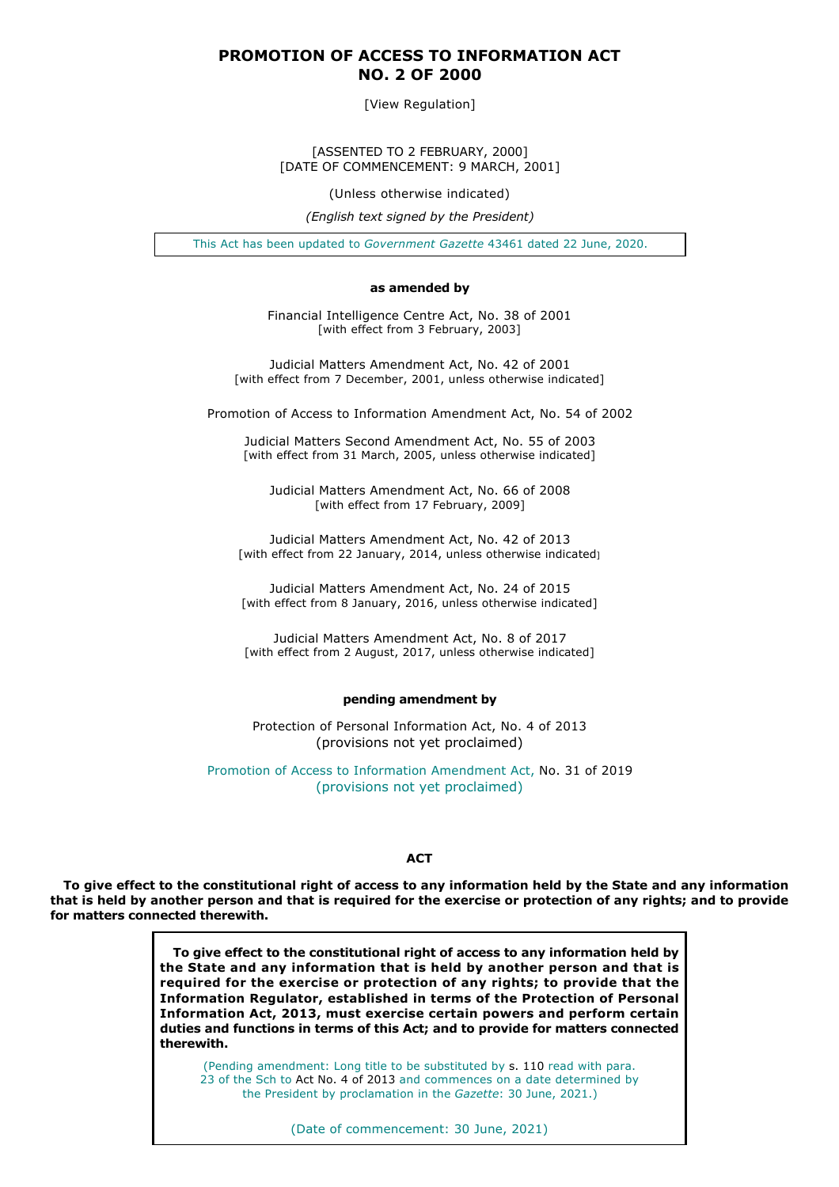# **PROMOTION OF ACCESS TO INFORMATION ACT NO. 2 OF 2000**

[View Regulation]

[ASSENTED TO 2 FEBRUARY, 2000] [DATE OF COMMENCEMENT: 9 MARCH, 2001]

(Unless otherwise indicated)

*(English text signed by the President)*

This Act has been updated to *Government Gazette* 43461 dated 22 June, 2020.

#### **as amended by**

Financial Intelligence Centre Act, No. 38 of 2001 [with effect from 3 February, 2003]

Judicial Matters Amendment Act, No. 42 of 2001 [with effect from 7 December, 2001, unless otherwise indicated]

Promotion of Access to Information Amendment Act, No. 54 of 2002

Judicial Matters Second Amendment Act, No. 55 of 2003 [with effect from 31 March, 2005, unless otherwise indicated]

Judicial Matters Amendment Act, No. 66 of 2008 [with effect from 17 February, 2009]

Judicial Matters Amendment Act, No. 42 of 2013 [with effect from 22 January, 2014, unless otherwise indicated]

Judicial Matters Amendment Act, No. 24 of 2015 [with effect from 8 January, 2016, unless otherwise indicated]

Judicial Matters Amendment Act, No. 8 of 2017 [with effect from 2 August, 2017, unless otherwise indicated]

#### **pending amendment by**

Protection of Personal Information Act, No. 4 of 2013 (provisions not yet proclaimed)

Promotion of Access to Information Amendment Act, No. 31 of 2019 (provisions not yet proclaimed)

#### **ACT**

**To give effect to the constitutional right of access to any information held by the State and any information that is held by another person and that is required for the exercise or protection of any rights; and to provide for matters connected therewith.**

> **To give effect to the constitutional right of access to any information held by the State and any information that is held by another person and that is required for the exercise or protection of any rights; to provide that the Information Regulator, established in terms of the Protection of Personal Information Act, 2013, must exercise certain powers and perform certain duties and functions in terms of this Act; and to provide for matters connected therewith.**

(Pending amendment: Long title to be substituted by s. 110 read with para. 23 of the Sch to Act No. 4 of 2013 and commences on a date determined by the President by proclamation in the *Gazette*: 30 June, 2021.)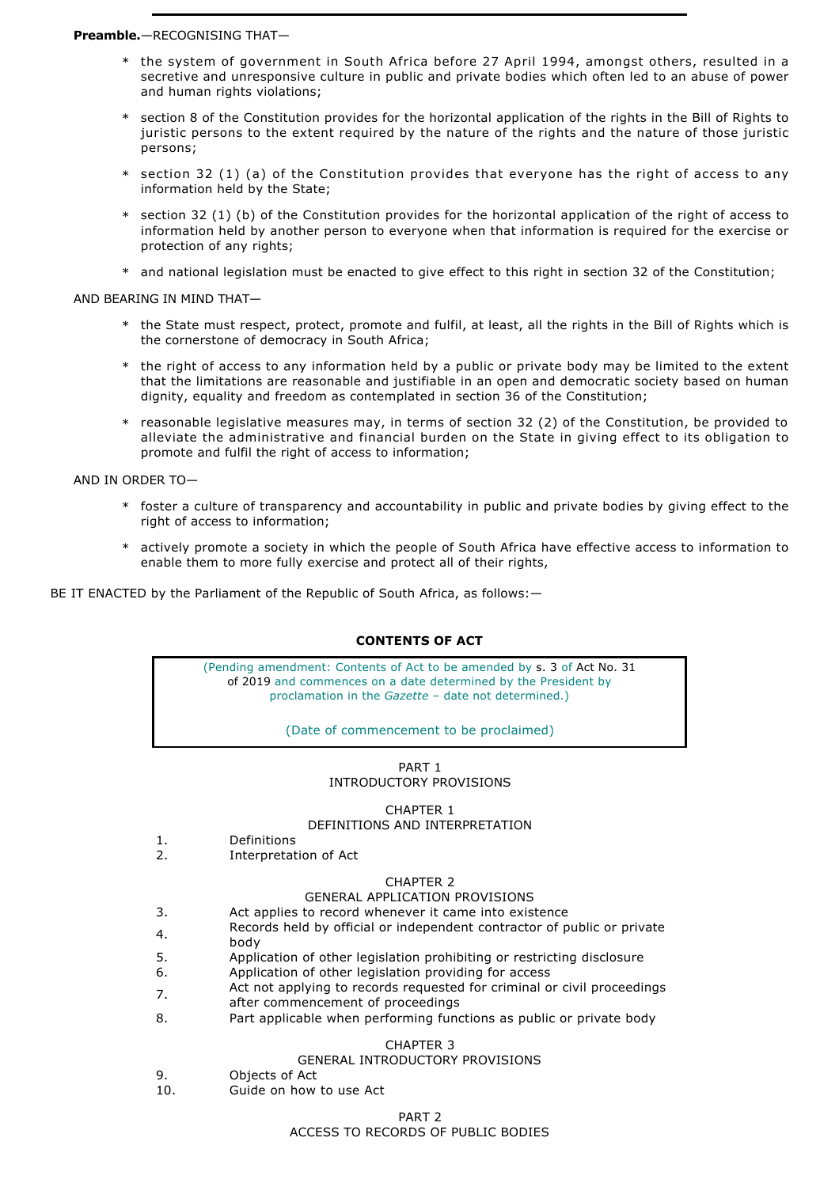#### **Preamble.**—RECOGNISING THAT—

- the system of government in South Africa before 27 April 1994, amongst others, resulted in a secretive and unresponsive culture in public and private bodies which often led to an abuse of power and human rights violations;
- \* section 8 of the Constitution provides for the horizontal application of the rights in the Bill of Rights to juristic persons to the extent required by the nature of the rights and the nature of those juristic persons;
- section 32 (1) (a) of the Constitution provides that everyone has the right of access to any information held by the State;
- \* section 32 (1) (b) of the Constitution provides for the horizontal application of the right of access to information held by another person to everyone when that information is required for the exercise or protection of any rights;
- \* and national legislation must be enacted to give effect to this right in section 32 of the Constitution;

AND BEARING IN MIND THAT—

- \* the State must respect, protect, promote and fulfil, at least, all the rights in the Bill of Rights which is the cornerstone of democracy in South Africa;
- \* the right of access to any information held by a public or private body may be limited to the extent that the limitations are reasonable and justifiable in an open and democratic society based on human dignity, equality and freedom as contemplated in section 36 of the Constitution;
- reasonable legislative measures may, in terms of section 32 (2) of the Constitution, be provided to alleviate the administrative and financial burden on the State in giving effect to its obligation to promote and fulfil the right of access to information;

AND IN ORDER TO—

- \* foster a culture of transparency and accountability in public and private bodies by giving effect to the right of access to information;
- actively promote a society in which the people of South Africa have effective access to information to enable them to more fully exercise and protect all of their rights,

BE IT ENACTED by the Parliament of the Republic of South Africa, as follows: -

## **CONTENTS OF ACT**

(Pending amendment: Contents of Act to be amended by s. 3 of Act No. 31 of 2019 and commences on a date determined by the President by proclamation in the *Gazette* – date not determined.)

(Date of commencement to be proclaimed)

## PART 1 INTRODUCTORY PROVISIONS

## CHAPTER 1

## DEFINITIONS AND INTERPRETATION

- 1. Definitions
- 2. Interpretation of Act

#### CHAPTER 2

#### GENERAL APPLICATION PROVISIONS

- 3. Act applies to record whenever it came into existence
- 4. Records held by official or independent contractor of public or private body
- 5. Application of other legislation prohibiting or restricting disclosure
- 6. Application of other legislation providing for access
- 7. Act not applying to records requested for criminal or civil proceedings after commencement of proceedings
- 8. Part applicable when performing functions as public or private body

#### CHAPTER 3

#### GENERAL INTRODUCTORY PROVISIONS

- 9. Objects of Act
- 10. Guide on how to use Act

#### PART 2 ACCESS TO RECORDS OF PUBLIC BODIES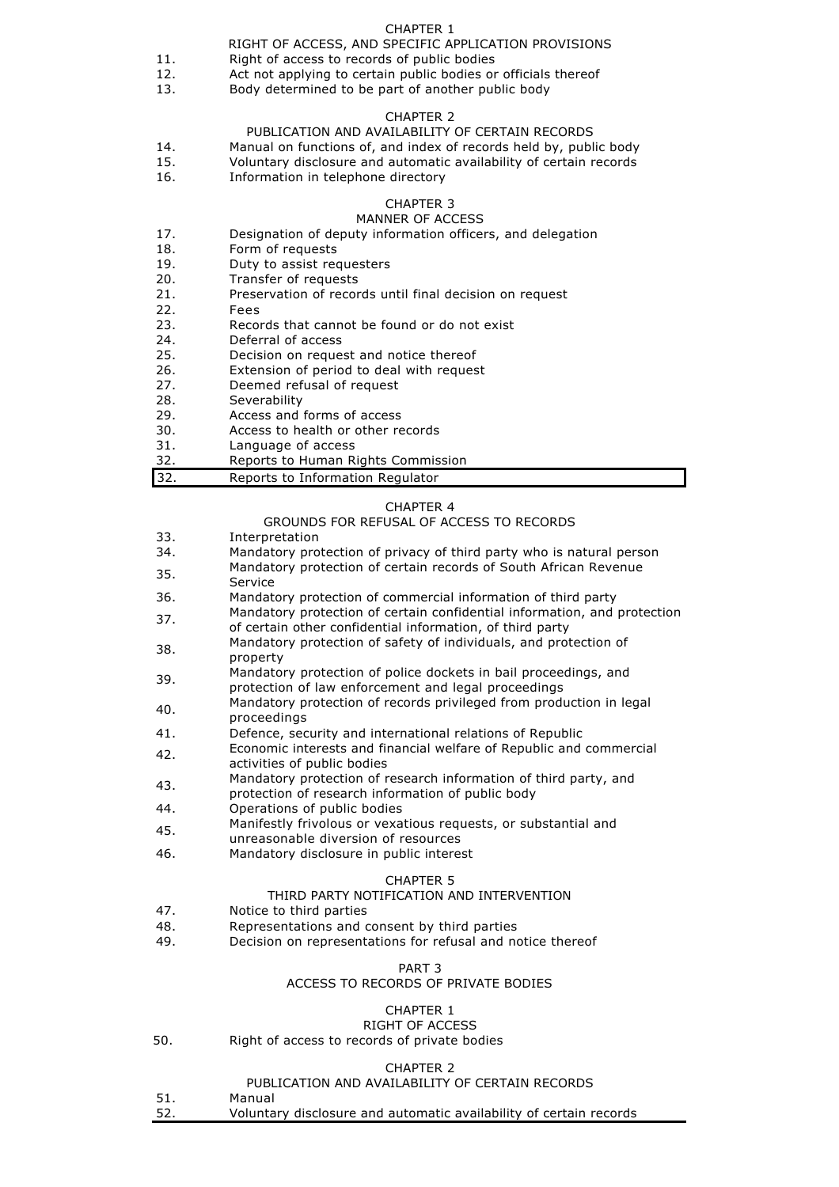#### CHAPTER 1

#### RIGHT OF ACCESS, AND SPECIFIC APPLICATION PROVISIONS

- 11. Right of access to records of public bodies
- 12. Act not applying to certain public bodies or officials thereof
- 13. Body determined to be part of another public body

#### CHAPTER 2

#### PUBLICATION AND AVAILABILITY OF CERTAIN RECORDS

- 14. Manual on functions of, and index of records held by, public body
- 15. Voluntary disclosure and automatic availability of certain records
- 16. Information in telephone directory

#### CHAPTER 3

#### MANNER OF ACCESS

- 17. Designation of deputy information officers, and delegation
- 18. Form of requests
- 19. Duty to assist requesters
- 20. Transfer of requests
- 21. Preservation of records until final decision on request
- 22. Fees
- 23. Records that cannot be found or do not exist
- 24. Deferral of access
- 25. Decision on request and notice thereof
- 26. Extension of period to deal with request
- 27. Deemed refusal of request
- 28. Severability
- 29. Access and forms of access
- 30. Access to health or other records
- 31. Language of access
- 32. Reports to Human Rights Commission

## 32. Reports to Information Regulator

#### CHAPTER 4

#### GROUNDS FOR REFUSAL OF ACCESS TO RECORDS

- 33. Interpretation
- 34. Mandatory protection of privacy of third party who is natural person
- 35. Mandatory protection of certain records of South African Revenue Service
- 36. Mandatory protection of commercial information of third party
- 37 Mandatory protection of certain confidential information, and protection of certain other confidential information, of third party
- 38. Mandatory protection of safety of individuals, and protection of property
- 39. Mandatory protection of police dockets in bail proceedings, and protection of law enforcement and legal proceedings
- 40 Mandatory protection of records privileged from production in legal proceedings
- 41. Defence, security and international relations of Republic
- 42. Economic interests and financial welfare of Republic and commercial activities of public bodies
- $43$  Mandatory protection of research information of third party, and
- protection of research information of public body
- 44. Operations of public bodies

45. Manifestly frivolous or vexatious requests, or substantial and

- unreasonable diversion of resources
- 46. Mandatory disclosure in public interest

#### CHAPTER 5

## THIRD PARTY NOTIFICATION AND INTERVENTION

- 47. Notice to third parties
- 48. Representations and consent by third parties
- 49. Decision on representations for refusal and notice thereof

#### ACCESS TO RECORDS OF PRIVATE BODIES

#### CHAPTER 1

# RIGHT OF ACCESS

50. Right of access to records of private bodies

#### CHAPTER 2

#### PUBLICATION AND AVAILABILITY OF CERTAIN RECORDS

51. Manual

52. Voluntary disclosure and automatic availability of certain records

PART 3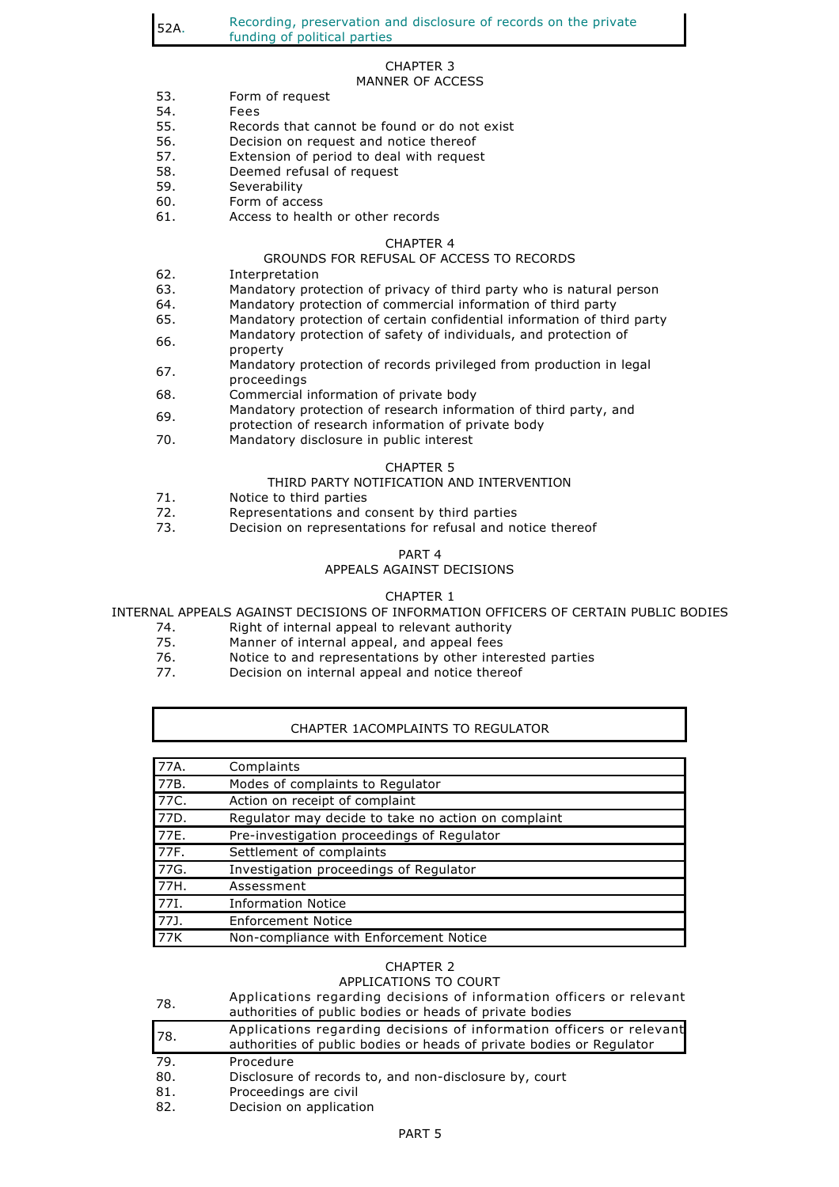#### 52A. Recording, preservation and disclosure of records on the private funding of political parties

# CHAPTER 3

# MANNER OF ACCESS

- 53. Form of request
- 54. Fees
- 55. Records that cannot be found or do not exist<br>56. Decision on request and notice thereof
- 56. Decision on request and notice thereof<br>57. Extension of period to deal with reques
- Extension of period to deal with request
- 58. Deemed refusal of request
- 59. Severability
- 60. Form of access
- 61. Access to health or other records

#### CHAPTER 4

#### GROUNDS FOR REFUSAL OF ACCESS TO RECORDS

- 62. Interpretation
- 63. Mandatory protection of privacy of third party who is natural person
- 64. Mandatory protection of commercial information of third party
- 65. Mandatory protection of certain confidential information of third party
- 66. Mandatory protection of safety of individuals, and protection of property
- 67. Mandatory protection of records privileged from production in legal proceedings
- 68. Commercial information of private body
- 69. Mandatory protection of research information of third party, and
- protection of research information of private body
- 70. Mandatory disclosure in public interest

#### CHAPTER 5

#### THIRD PARTY NOTIFICATION AND INTERVENTION

- 71. Notice to third parties
- 72. Representations and consent by third parties
- 73. Decision on representations for refusal and notice thereof

#### PART 4

#### APPEALS AGAINST DECISIONS

#### CHAPTER 1

## INTERNAL APPEALS AGAINST DECISIONS OF INFORMATION OFFICERS OF CERTAIN PUBLIC BODIES

- 74. Right of internal appeal to relevant authority
- 75. Manner of internal appeal, and appeal fees<br>76. Notice to and representations by other inte
- Notice to and representations by other interested parties
- 77. Decision on internal appeal and notice thereof

## CHAPTER 1ACOMPLAINTS TO REGULATOR

| 77A. | Complaints                                          |
|------|-----------------------------------------------------|
| 77B. | Modes of complaints to Regulator                    |
| 77C. | Action on receipt of complaint                      |
| 77D. | Regulator may decide to take no action on complaint |
| 77E. | Pre-investigation proceedings of Regulator          |
| 77F. | Settlement of complaints                            |
| 77G. | Investigation proceedings of Regulator              |
| 77H. | Assessment                                          |
| 77I. | <b>Information Notice</b>                           |
| 77J. | <b>Enforcement Notice</b>                           |
| 77K  | Non-compliance with Enforcement Notice              |

# CHAPTER 2

## APPLICATIONS TO COURT

78. Applications regarding decisions of information officers or relevant authorities of public bodies or heads of private bodies

|      | duction theo of public bodies of ficuds of private bodies                                                                                    |
|------|----------------------------------------------------------------------------------------------------------------------------------------------|
| 78.  | Applications regarding decisions of information officers or relevant<br>authorities of public bodies or heads of private bodies or Regulator |
| 79.  | Procedure                                                                                                                                    |
| -80. | Disclosure of records to, and non-disclosure by, court                                                                                       |

- 80. Disclosure of records to, and non-disclosure by, court
- 81. Proceedings are civil 82. Decision on application
	- PART 5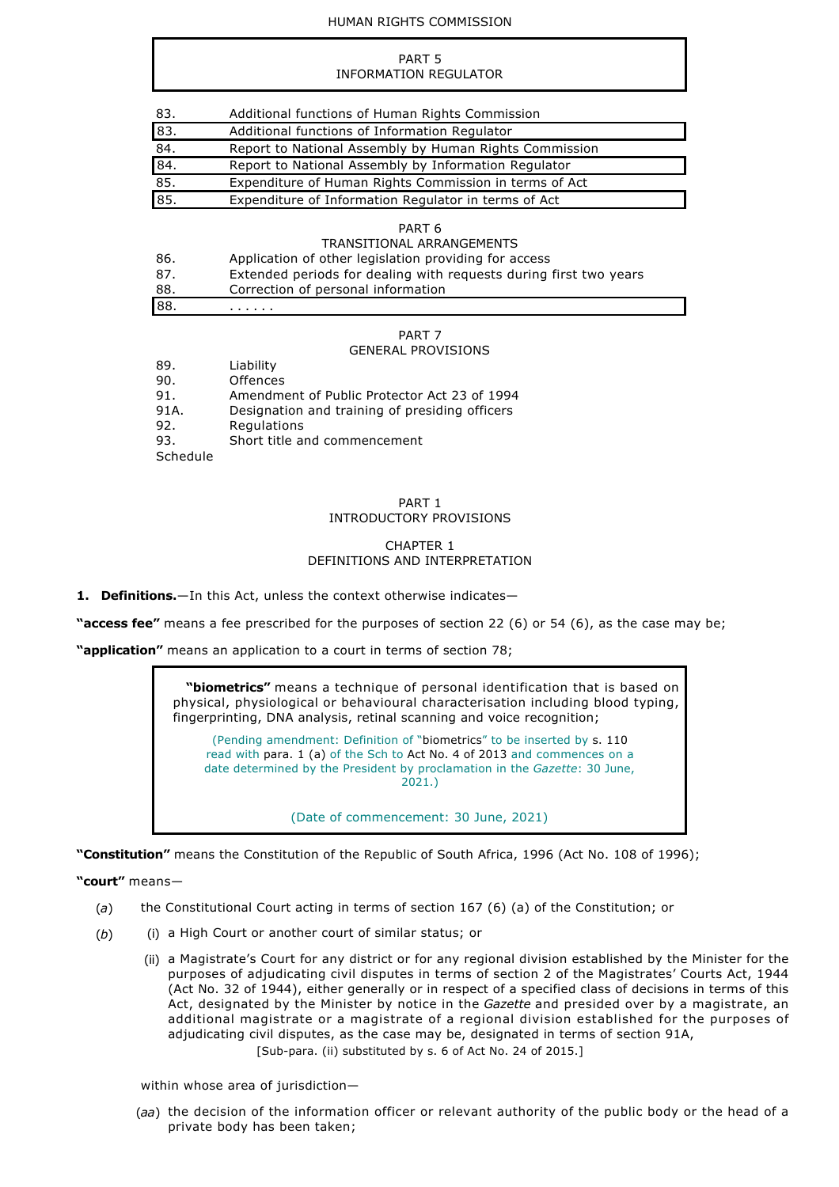#### HUMAN RIGHTS COMMISSION

# PART 5

# INFORMATION REGULATOR

| -83. | Additional functions of Human Rights Commission        |
|------|--------------------------------------------------------|
| 83.  | Additional functions of Information Regulator          |
| 84.  | Report to National Assembly by Human Rights Commission |
| 84.  | Report to National Assembly by Information Regulator   |
| 85.  | Expenditure of Human Rights Commission in terms of Act |
| 85.  | Expenditure of Information Regulator in terms of Act   |

## PART 6

## TRANSITIONAL ARRANGEMENTS

| -86. | Application of other legislation providing for access             |
|------|-------------------------------------------------------------------|
| -87. | Extended periods for dealing with requests during first two years |
| -88. | Correction of personal information                                |
| 88.  | .                                                                 |

#### PART 7

#### GENERAL PROVISIONS

| 89.      | Liability                                      |
|----------|------------------------------------------------|
| 90.      | <b>Offences</b>                                |
| 91.      | Amendment of Public Protector Act 23 of 1994   |
| 91A.     | Designation and training of presiding officers |
| 92.      | Regulations                                    |
| 93.      | Short title and commencement                   |
| Schedule |                                                |

#### PART 1 INTRODUCTORY PROVISIONS

## CHAPTER 1 DEFINITIONS AND INTERPRETATION

**1. Definitions.**—In this Act, unless the context otherwise indicates—

**"access fee"** means a fee prescribed for the purposes of section 22 (6) or 54 (6), as the case may be;

**"application"** means an application to a court in terms of section 78;

**"biometrics"** means a technique of personal identification that is based on physical, physiological or behavioural characterisation including blood typing, fingerprinting, DNA analysis, retinal scanning and voice recognition; (Pending amendment: Definition of "biometrics" to be inserted by s. 110 read with para. 1 (a) of the Sch to Act No. 4 of 2013 and commences on a date determined by the President by proclamation in the *Gazette*: 30 June, 2021.)

(Date of commencement: 30 June, 2021)

**"Constitution"** means the Constitution of the Republic of South Africa, 1996 (Act No. 108 of 1996);

**"court"** means—

- (*a*) the Constitutional Court acting in terms of section 167 (6) (a) of the Constitution; or
- (*b*) (i) a High Court or another court of similar status; or
	- (ii) a Magistrate's Court for any district or for any regional division established by the Minister for the purposes of adjudicating civil disputes in terms of section 2 of the Magistrates' Courts Act, 1944 (Act No. 32 of 1944), either generally or in respect of a specified class of decisions in terms of this Act, designated by the Minister by notice in the *Gazette* and presided over by a magistrate, an additional magistrate or a magistrate of a regional division established for the purposes of adjudicating civil disputes, as the case may be, designated in terms of section 91A, [Sub-para. (ii) substituted by s. 6 of Act No. 24 of 2015.]

within whose area of jurisdiction—

(*aa*) the decision of the information officer or relevant authority of the public body or the head of a private body has been taken;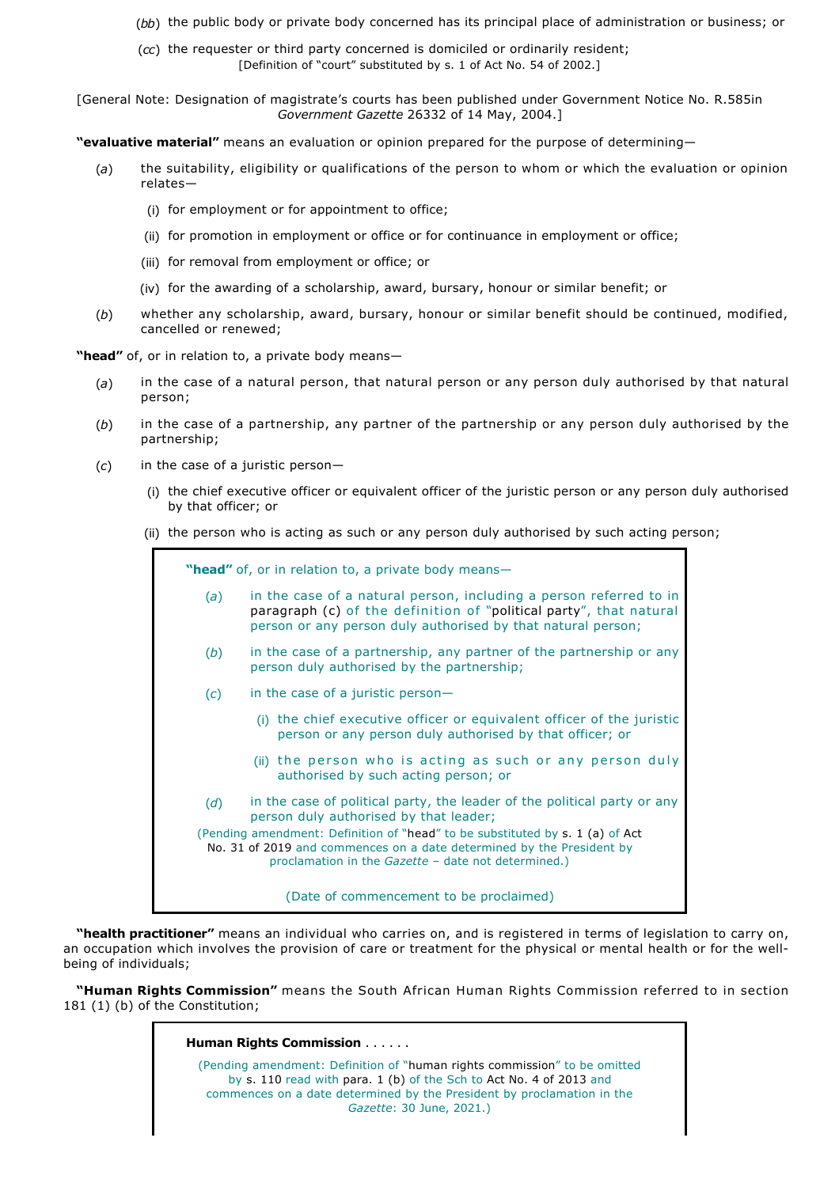- (*bb*) the public body or private body concerned has its principal place of administration or business; or
- (*cc*) the requester or third party concerned is domiciled or ordinarily resident; [Definition of "court" substituted by s. 1 of Act No. 54 of 2002.]

[General Note: Designation of magistrate's courts has been published under Government Notice No. R.585in *Government Gazette* 26332 of 14 May, 2004.]

**"evaluative material"** means an evaluation or opinion prepared for the purpose of determining—

- (*a*) the suitability, eligibility or qualifications of the person to whom or which the evaluation or opinion relates—
	- (i) for employment or for appointment to office;
	- (ii) for promotion in employment or office or for continuance in employment or office;
	- (iii) for removal from employment or office; or
	- (iv) for the awarding of a scholarship, award, bursary, honour or similar benefit; or
- (*b*) whether any scholarship, award, bursary, honour or similar benefit should be continued, modified, cancelled or renewed;

**"head"** of, or in relation to, a private body means—

- (*a*) in the case of a natural person, that natural person or any person duly authorised by that natural person;
- (*b*) in the case of a partnership, any partner of the partnership or any person duly authorised by the partnership;
- (*c*) in the case of a juristic person—
	- (i) the chief executive officer or equivalent officer of the juristic person or any person duly authorised by that officer; or
	- (ii) the person who is acting as such or any person duly authorised by such acting person;

|     | "head" of, or in relation to, a private body means-                                                                                                                                                                                                                                                                                 |  |  |
|-----|-------------------------------------------------------------------------------------------------------------------------------------------------------------------------------------------------------------------------------------------------------------------------------------------------------------------------------------|--|--|
| (a) | in the case of a natural person, including a person referred to in<br>paragraph (c) of the definition of "political party", that natural<br>person or any person duly authorised by that natural person;                                                                                                                            |  |  |
| (b) | in the case of a partnership, any partner of the partnership or any<br>person duly authorised by the partnership;                                                                                                                                                                                                                   |  |  |
| (c) | in the case of a juristic person $-$                                                                                                                                                                                                                                                                                                |  |  |
|     | (i) the chief executive officer or equivalent officer of the juristic<br>person or any person duly authorised by that officer; or                                                                                                                                                                                                   |  |  |
|     | (ii) the person who is acting as such or any person duly<br>authorised by such acting person; or                                                                                                                                                                                                                                    |  |  |
| (d) | in the case of political party, the leader of the political party or any<br>person duly authorised by that leader;<br>(Pending amendment: Definition of "head" to be substituted by s. 1 (a) of Act<br>No. 31 of 2019 and commences on a date determined by the President by<br>proclamation in the Gazette - date not determined.) |  |  |
|     | (Date of commencement to be proclaimed)                                                                                                                                                                                                                                                                                             |  |  |

**"health practitioner"** means an individual who carries on, and is registered in terms of legislation to carry on, an occupation which involves the provision of care or treatment for the physical or mental health or for the wellbeing of individuals;

**"Human Rights Commission"** means the South African Human Rights Commission referred to in section 181 (1) (b) of the Constitution;

| <b>Human Rights Commission </b>                                                                                                                                                                                                                        |  |
|--------------------------------------------------------------------------------------------------------------------------------------------------------------------------------------------------------------------------------------------------------|--|
| (Pending amendment: Definition of "human rights commission" to be omitted<br>by s. 110 read with para. 1 (b) of the Sch to Act No. 4 of 2013 and<br>commences on a date determined by the President by proclamation in the<br>Gazette: 30 June, 2021.) |  |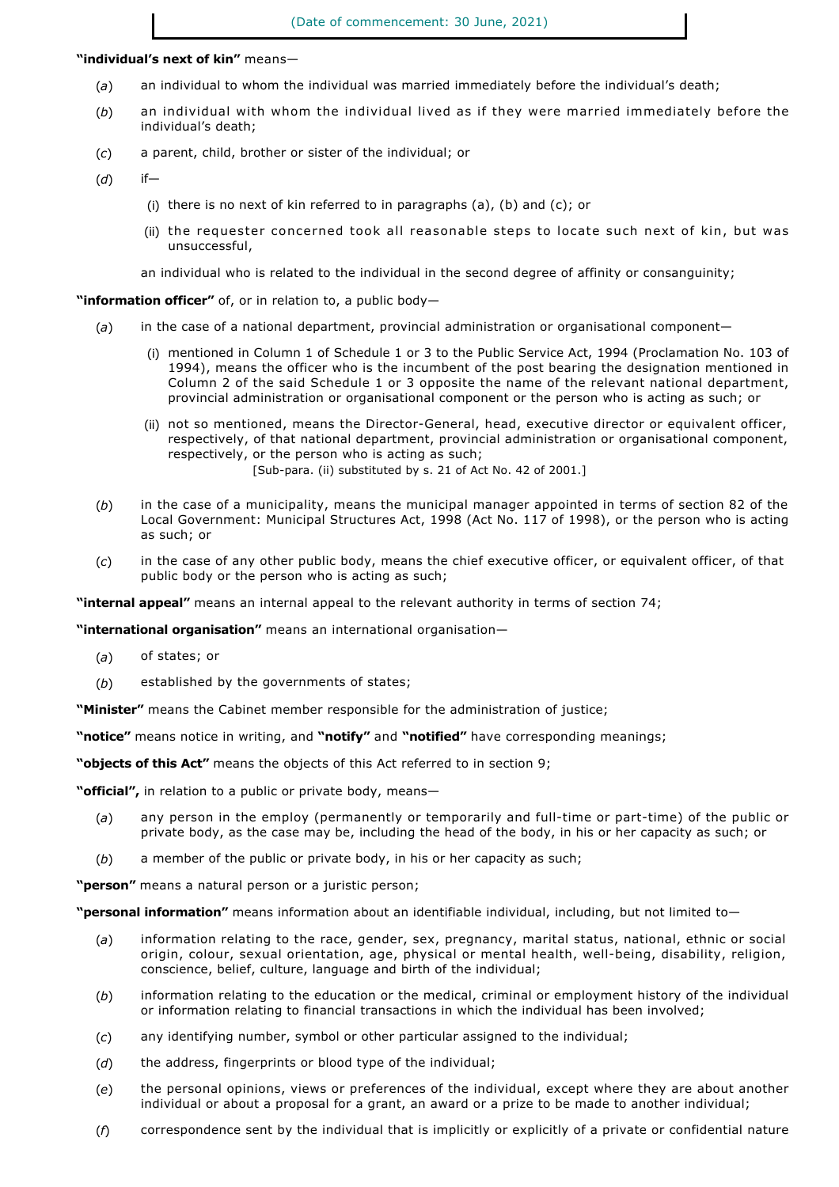#### **"individual's next of kin"** means—

- (*a*) an individual to whom the individual was married immediately before the individual's death;
- (*b*) an individual with whom the individual lived as if they were married immediately before the individual's death;
- (*c*) a parent, child, brother or sister of the individual; or
- (*d*) if—
	- (i) there is no next of kin referred to in paragraphs  $(a)$ ,  $(b)$  and  $(c)$ ; or
	- (ii) the requester concerned took all reasonable steps to locate such next of kin, but was unsuccessful,

an individual who is related to the individual in the second degree of affinity or consanguinity;

**"information officer"** of, or in relation to, a public body—

- (*a*) in the case of a national department, provincial administration or organisational component—
	- (i) mentioned in Column 1 of Schedule 1 or 3 to the Public Service Act, 1994 (Proclamation No. 103 of 1994), means the officer who is the incumbent of the post bearing the designation mentioned in Column 2 of the said Schedule 1 or 3 opposite the name of the relevant national department, provincial administration or organisational component or the person who is acting as such; or
	- (ii) not so mentioned, means the Director-General, head, executive director or equivalent officer, respectively, of that national department, provincial administration or organisational component, respectively, or the person who is acting as such; [Sub-para. (ii) substituted by s. 21 of Act No. 42 of 2001.]
- (*b*) in the case of a municipality, means the municipal manager appointed in terms of section 82 of the Local Government: Municipal Structures Act, 1998 (Act No. 117 of 1998), or the person who is acting as such; or
- (*c*) in the case of any other public body, means the chief executive officer, or equivalent officer, of that public body or the person who is acting as such;

**"internal appeal"** means an internal appeal to the relevant authority in terms of section 74;

**"international organisation"** means an international organisation—

- (*a*) of states; or
- (*b*) established by the governments of states;

**"Minister"** means the Cabinet member responsible for the administration of justice;

**"notice"** means notice in writing, and **"notify"** and **"notified"** have corresponding meanings;

**"objects of this Act"** means the objects of this Act referred to in section 9;

**"official",** in relation to a public or private body, means—

- (a) any person in the employ (permanently or temporarily and full-time or part-time) of the public or private body, as the case may be, including the head of the body, in his or her capacity as such; or
- (*b*) a member of the public or private body, in his or her capacity as such;

**"person"** means a natural person or a juristic person;

**"personal information"** means information about an identifiable individual, including, but not limited to—

- (*a*) information relating to the race, gender, sex, pregnancy, marital status, national, ethnic or social origin, colour, sexual orientation, age, physical or mental health, well-being, disability, religion, conscience, belief, culture, language and birth of the individual;
- (*b*) information relating to the education or the medical, criminal or employment history of the individual or information relating to financial transactions in which the individual has been involved;
- (*c*) any identifying number, symbol or other particular assigned to the individual;
- (*d*) the address, fingerprints or blood type of the individual;
- (*e*) the personal opinions, views or preferences of the individual, except where they are about another individual or about a proposal for a grant, an award or a prize to be made to another individual;
- (*f*) correspondence sent by the individual that is implicitly or explicitly of a private or confidential nature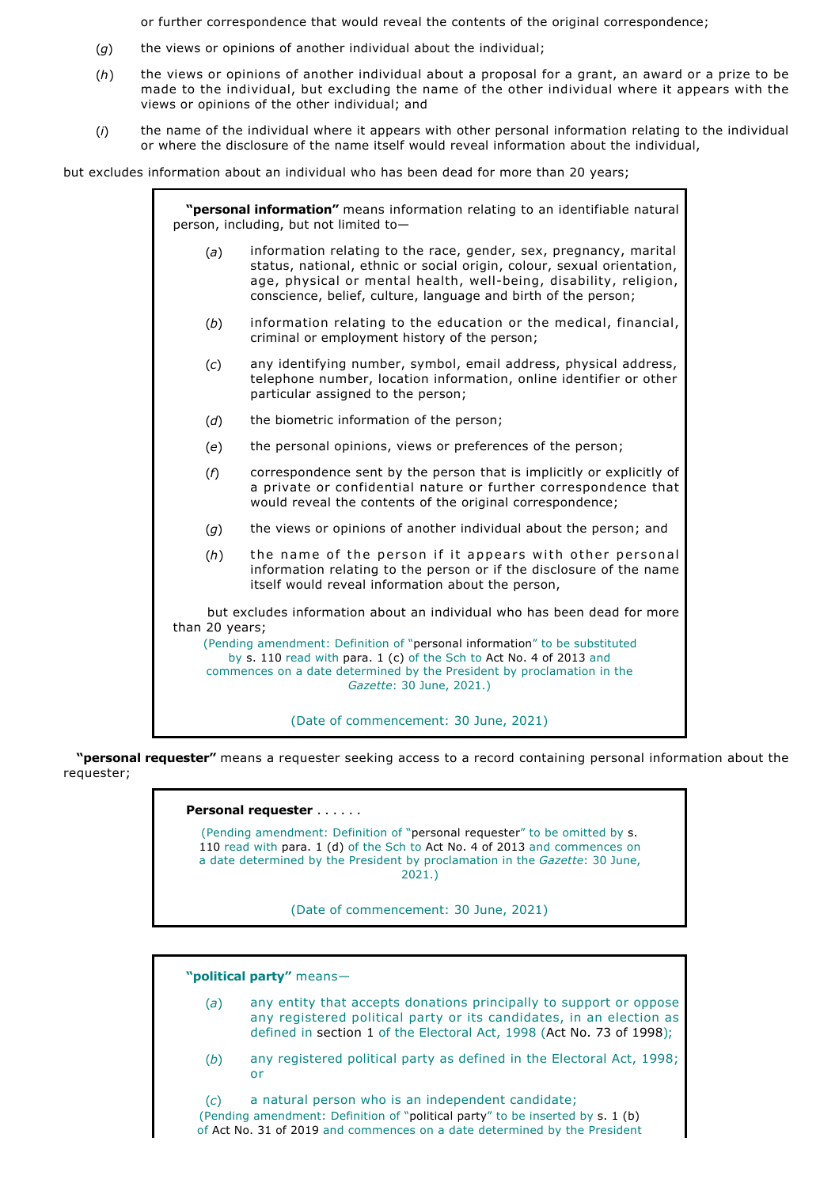or further correspondence that would reveal the contents of the original correspondence;

- (*g*) the views or opinions of another individual about the individual;
- (*h*) the views or opinions of another individual about a proposal for a grant, an award or a prize to be made to the individual, but excluding the name of the other individual where it appears with the views or opinions of the other individual; and
- (*i*) the name of the individual where it appears with other personal information relating to the individual or where the disclosure of the name itself would reveal information about the individual,

but excludes information about an individual who has been dead for more than 20 years;

**"personal information"** means information relating to an identifiable natural person, including, but not limited to— (*a*) information relating to the race, gender, sex, pregnancy, marital status, national, ethnic or social origin, colour, sexual orientation, age, physical or mental health, well-being, disability, religion, conscience, belief, culture, language and birth of the person; (*b*) information relating to the education or the medical, financial, criminal or employment history of the person; (*c*) any identifying number, symbol, email address, physical address, telephone number, location information, online identifier or other particular assigned to the person; (*d*) the biometric information of the person; (*e*) the personal opinions, views or preferences of the person; (*f*) correspondence sent by the person that is implicitly or explicitly of a private or confidential nature or further correspondence that would reveal the contents of the original correspondence; (*g*) the views or opinions of another individual about the person; and (*h*) the name of the person if it appears with other personal information relating to the person or if the disclosure of the name itself would reveal information about the person, but excludes information about an individual who has been dead for more than 20 years; (Pending amendment: Definition of "personal information" to be substituted by s. 110 read with para. 1 (c) of the Sch to Act No. 4 of 2013 and commences on a date determined by the President by proclamation in the *Gazette*: 30 June, 2021.) (Date of commencement: 30 June, 2021)

**"personal requester"** means a requester seeking access to a record containing personal information about the requester;

**Personal requester** . . . . . .

(Pending amendment: Definition of "personal requester" to be omitted by s. 110 read with para. 1 (d) of the Sch to Act No. 4 of 2013 and commences on a date determined by the President by proclamation in the *Gazette*: 30 June, 2021.)

(Date of commencement: 30 June, 2021)

**"political party"** means—

- (*a*) any entity that accepts donations principally to support or oppose any registered political party or its candidates, in an election as defined in section 1 of the Electoral Act, 1998 (Act No. 73 of 1998);
- (*b*) any registered political party as defined in the Electoral Act, 1998; or

(*c*) a natural person who is an independent candidate;

(Pending amendment: Definition of "political party" to be inserted by s. 1 (b) of Act No. 31 of 2019 and commences on a date determined by the President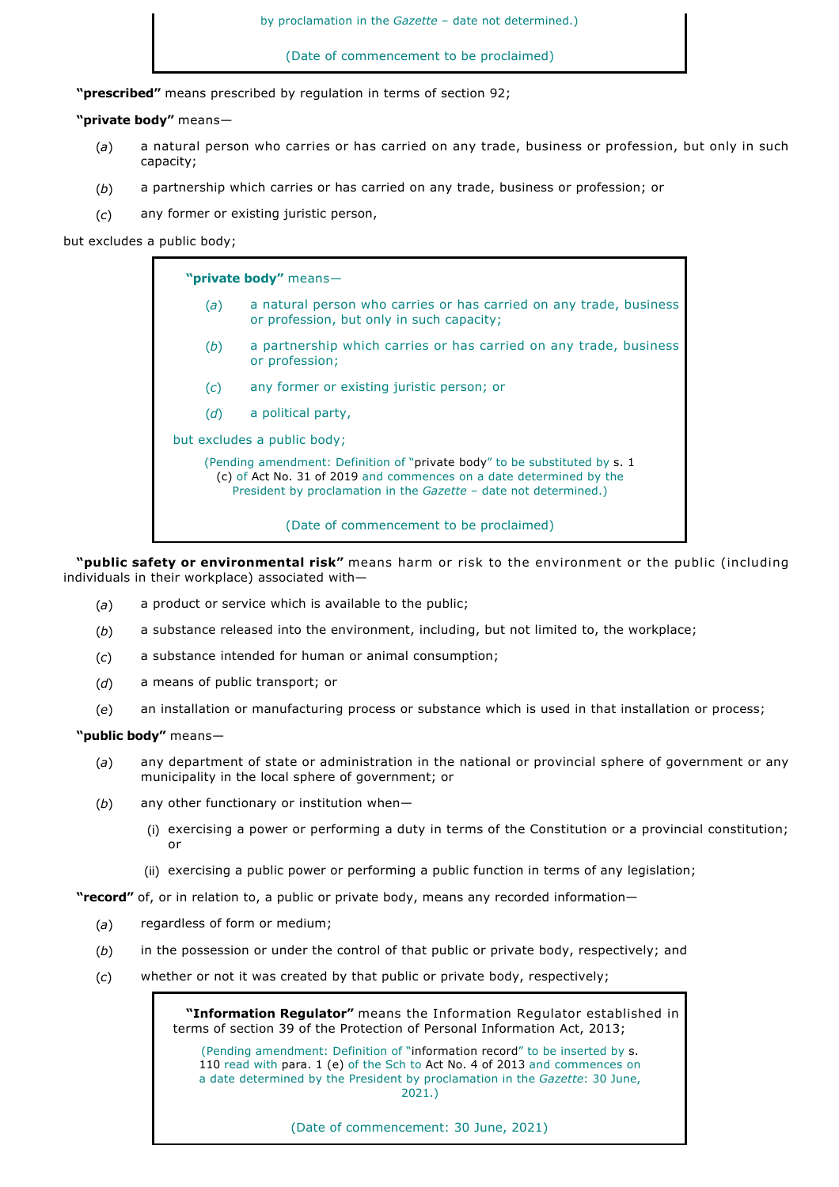by proclamation in the *Gazette* – date not determined.)

(Date of commencement to be proclaimed)

**"prescribed"** means prescribed by regulation in terms of section 92;

**"private body"** means—

- (*a*) a natural person who carries or has carried on any trade, business or profession, but only in such capacity;
- (*b*) a partnership which carries or has carried on any trade, business or profession; or
- (*c*) any former or existing juristic person,

but excludes a public body;

**"private body"** means— (*a*) a natural person who carries or has carried on any trade, business or profession, but only in such capacity; (*b*) a partnership which carries or has carried on any trade, business or profession; (*c*) any former or existing juristic person; or (*d*) a political party, but excludes a public body; (Pending amendment: Definition of "private body" to be substituted by s. 1 (c) of Act No. 31 of 2019 and commences on a date determined by the President by proclamation in the *Gazette* – date not determined.) (Date of commencement to be proclaimed)

**"public safety or environmental risk"** means harm or risk to the environment or the public (including individuals in their workplace) associated with—

- (*a*) a product or service which is available to the public;
- (*b*) a substance released into the environment, including, but not limited to, the workplace;
- (*c*) a substance intended for human or animal consumption;
- (*d*) a means of public transport; or
- (*e*) an installation or manufacturing process or substance which is used in that installation or process;

**"public body"** means—

- (*a*) any department of state or administration in the national or provincial sphere of government or any municipality in the local sphere of government; or
- (*b*) any other functionary or institution when—
	- (i) exercising a power or performing a duty in terms of the Constitution or a provincial constitution; or
	- (ii) exercising a public power or performing a public function in terms of any legislation;

**"record"** of, or in relation to, a public or private body, means any recorded information—

- (*a*) regardless of form or medium;
- (*b*) in the possession or under the control of that public or private body, respectively; and
- (*c*) whether or not it was created by that public or private body, respectively;

**"Information Regulator"** means the Information Regulator established in terms of section 39 of the Protection of Personal Information Act, 2013;

(Pending amendment: Definition of "information record" to be inserted by s. 110 read with para. 1 (e) of the Sch to Act No. 4 of 2013 and commences on a date determined by the President by proclamation in the *Gazette*: 30 June, 2021.)

(Date of commencement: 30 June, 2021)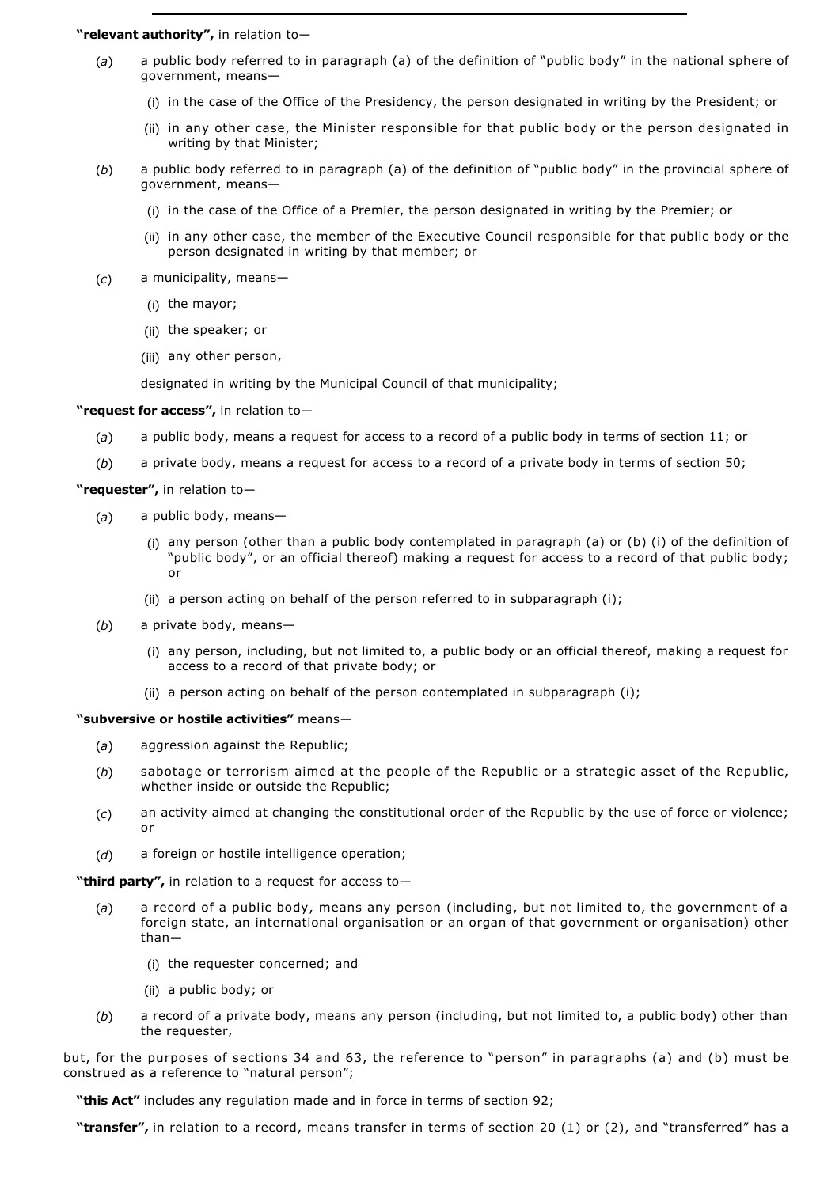#### **"relevant authority",** in relation to—

- (*a*) a public body referred to in paragraph (a) of the definition of "public body" in the national sphere of government, means—
	- (i) in the case of the Office of the Presidency, the person designated in writing by the President; or
	- (ii) in any other case, the Minister responsible for that public body or the person designated in writing by that Minister;
- (*b*) a public body referred to in paragraph (a) of the definition of "public body" in the provincial sphere of government, means—
	- (i) in the case of the Office of a Premier, the person designated in writing by the Premier; or
	- (ii) in any other case, the member of the Executive Council responsible for that public body or the person designated in writing by that member; or
- (*c*) a municipality, means—
	- (i) the mayor;
	- (ii) the speaker; or
	- (iii) any other person,

designated in writing by the Municipal Council of that municipality;

#### **"request for access",** in relation to—

- (*a*) a public body, means a request for access to a record of a public body in terms of section 11; or
- (*b*) a private body, means a request for access to a record of a private body in terms of section 50;

**"requester",** in relation to—

- (*a*) a public body, means—
	- (i) any person (other than a public body contemplated in paragraph (a) or (b) (i) of the definition of "public body", or an official thereof) making a request for access to a record of that public body; or
	- (ii) a person acting on behalf of the person referred to in subparagraph (i);
- (*b*) a private body, means—
	- (i) any person, including, but not limited to, a public body or an official thereof, making a request for access to a record of that private body; or
	- (ii) a person acting on behalf of the person contemplated in subparagraph (i);

**"subversive or hostile activities"** means—

- (*a*) aggression against the Republic;
- (*b*) sabotage or terrorism aimed at the people of the Republic or a strategic asset of the Republic, whether inside or outside the Republic;
- (*c*) an activity aimed at changing the constitutional order of the Republic by the use of force or violence; or
- (*d*) a foreign or hostile intelligence operation;

**"third party",** in relation to a request for access to—

- (*a*) a record of a public body, means any person (including, but not limited to, the government of a foreign state, an international organisation or an organ of that government or organisation) other than—
	- (i) the requester concerned; and
	- (ii) a public body; or
- (*b*) a record of a private body, means any person (including, but not limited to, a public body) other than the requester,

but, for the purposes of sections 34 and 63, the reference to "person" in paragraphs (a) and (b) must be construed as a reference to "natural person";

**"this Act"** includes any regulation made and in force in terms of section 92;

**"transfer",** in relation to a record, means transfer in terms of section 20 (1) or (2), and "transferred" has a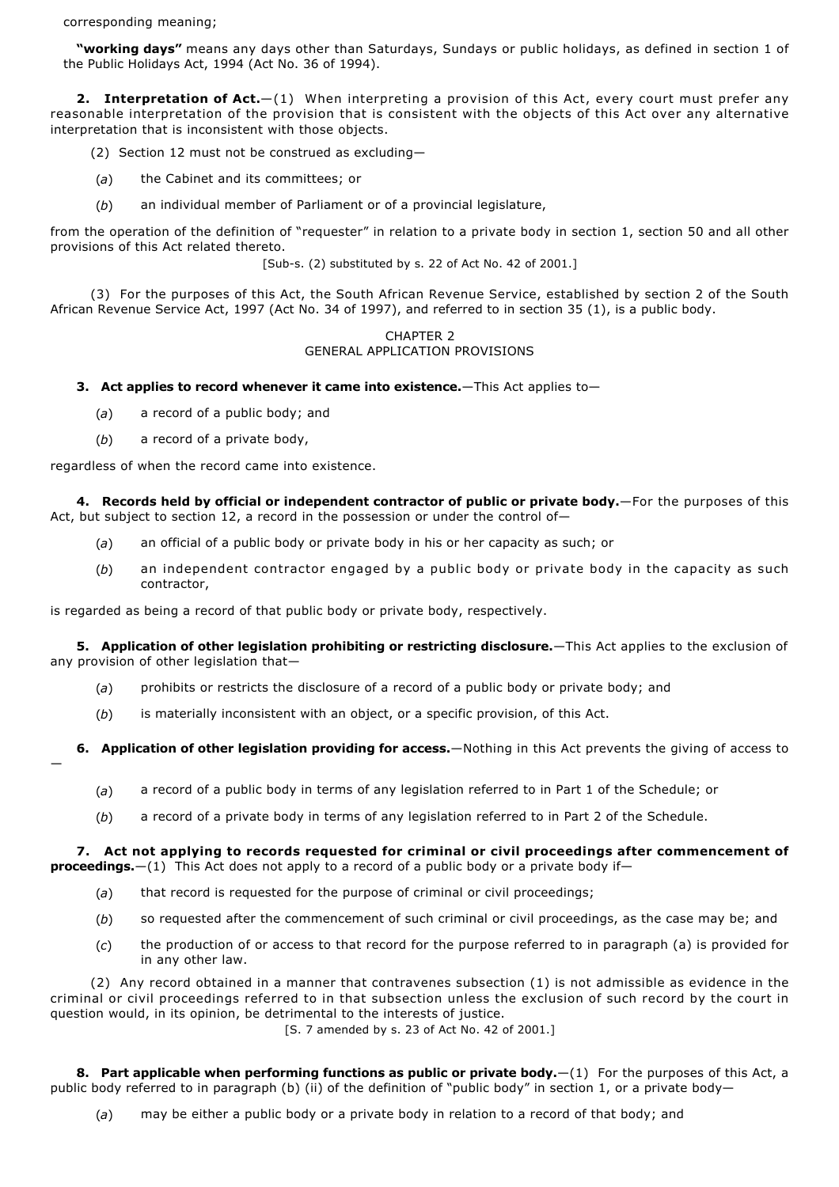corresponding meaning;

**"working days"** means any days other than Saturdays, Sundays or public holidays, as defined in section 1 of the Public Holidays Act, 1994 (Act No. 36 of 1994).

**2. Interpretation of Act.**—(1) When interpreting a provision of this Act, every court must prefer any reasonable interpretation of the provision that is consistent with the objects of this Act over any alternative interpretation that is inconsistent with those objects.

- (2) Section 12 must not be construed as excluding—
- (*a*) the Cabinet and its committees; or
- (*b*) an individual member of Parliament or of a provincial legislature,

from the operation of the definition of "requester" in relation to a private body in section 1, section 50 and all other provisions of this Act related thereto.

 $[Sub-s. (2)$  substituted by s. 22 of Act No. 42 of 2001.]

(3) For the purposes of this Act, the South African Revenue Service, established by section 2 of the South African Revenue Service Act, 1997 (Act No. 34 of 1997), and referred to in section 35 (1), is a public body.

#### CHAPTER 2 GENERAL APPLICATION PROVISIONS

#### **3. Act applies to record whenever it came into existence.**—This Act applies to—

- (*a*) a record of a public body; and
- (*b*) a record of a private body,

—

regardless of when the record came into existence.

**4. Records held by official or independent contractor of public or private body.**—For the purposes of this Act, but subject to section 12, a record in the possession or under the control of—

- (*a*) an official of a public body or private body in his or her capacity as such; or
- (*b*) an independent contractor engaged by a public body or private body in the capacity as such contractor,

is regarded as being a record of that public body or private body, respectively.

**5. Application of other legislation prohibiting or restricting disclosure.**—This Act applies to the exclusion of any provision of other legislation that—

- (*a*) prohibits or restricts the disclosure of a record of a public body or private body; and
- (*b*) is materially inconsistent with an object, or a specific provision, of this Act.

**6. Application of other legislation providing for access.**—Nothing in this Act prevents the giving of access to

- (*a*) a record of a public body in terms of any legislation referred to in Part 1 of the Schedule; or
- (*b*) a record of a private body in terms of any legislation referred to in Part 2 of the Schedule.

#### **7. Act not applying to records requested for criminal or civil proceedings after commencement of proceedings.**—(1) This Act does not apply to a record of a public body or a private body if—

- (*a*) that record is requested for the purpose of criminal or civil proceedings;
- (*b*) so requested after the commencement of such criminal or civil proceedings, as the case may be; and
- (*c*) the production of or access to that record for the purpose referred to in paragraph (a) is provided for in any other law.

(2) Any record obtained in a manner that contravenes subsection (1) is not admissible as evidence in the criminal or civil proceedings referred to in that subsection unless the exclusion of such record by the court in question would, in its opinion, be detrimental to the interests of justice.

[S. 7 amended by s. 23 of Act No. 42 of 2001.]

**8. Part applicable when performing functions as public or private body.**—(1) For the purposes of this Act, a public body referred to in paragraph (b) (ii) of the definition of "public body" in section 1, or a private body-

(*a*) may be either a public body or a private body in relation to a record of that body; and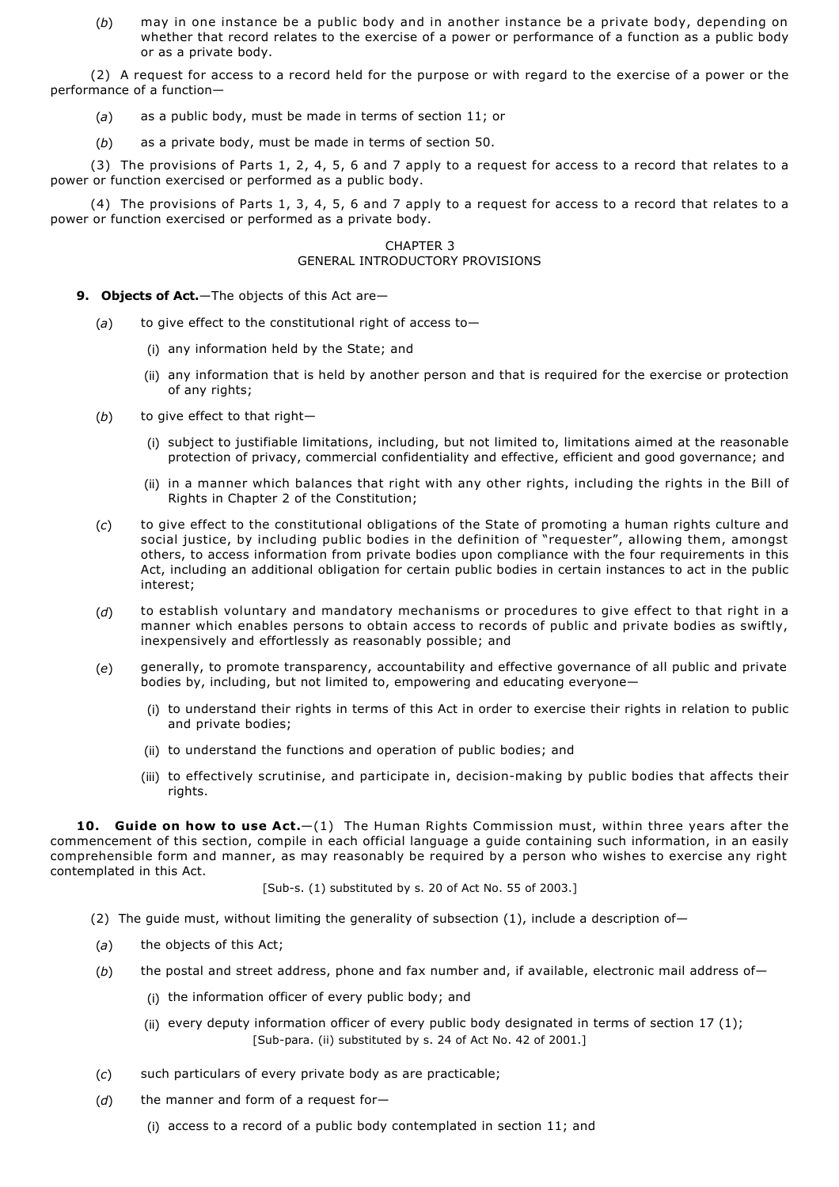(*b*) may in one instance be a public body and in another instance be a private body, depending on whether that record relates to the exercise of a power or performance of a function as a public body or as a private body.

(2) A request for access to a record held for the purpose or with regard to the exercise of a power or the performance of a function—

- (*a*) as a public body, must be made in terms of section 11; or
- (*b*) as a private body, must be made in terms of section 50.

(3) The provisions of Parts 1, 2, 4, 5, 6 and 7 apply to a request for access to a record that relates to a power or function exercised or performed as a public body.

(4) The provisions of Parts 1, 3, 4, 5, 6 and 7 apply to a request for access to a record that relates to a power or function exercised or performed as a private body.

#### CHAPTER 3 GENERAL INTRODUCTORY PROVISIONS

- **9. Objects of Act.**—The objects of this Act are—
	- (*a*) to give effect to the constitutional right of access to—
		- (i) any information held by the State; and
		- (ii) any information that is held by another person and that is required for the exercise or protection of any rights;
	- (*b*) to give effect to that right—
		- (i) subject to justifiable limitations, including, but not limited to, limitations aimed at the reasonable protection of privacy, commercial confidentiality and effective, efficient and good governance; and
		- (ii) in a manner which balances that right with any other rights, including the rights in the Bill of Rights in Chapter 2 of the Constitution;
	- (*c*) to give effect to the constitutional obligations of the State of promoting a human rights culture and social justice, by including public bodies in the definition of "requester", allowing them, amongst others, to access information from private bodies upon compliance with the four requirements in this Act, including an additional obligation for certain public bodies in certain instances to act in the public interest;
	- (*d*) to establish voluntary and mandatory mechanisms or procedures to give effect to that right in a manner which enables persons to obtain access to records of public and private bodies as swiftly, inexpensively and effortlessly as reasonably possible; and
	- (*e*) generally, to promote transparency, accountability and effective governance of all public and private bodies by, including, but not limited to, empowering and educating everyone—
		- (i) to understand their rights in terms of this Act in order to exercise their rights in relation to public and private bodies;
		- (ii) to understand the functions and operation of public bodies; and
		- (iii) to effectively scrutinise, and participate in, decision-making by public bodies that affects their rights.

**10. Guide on how to use Act.**—(1) The Human Rights Commission must, within three years after the commencement of this section, compile in each official language a guide containing such information, in an easily comprehensible form and manner, as may reasonably be required by a person who wishes to exercise any right contemplated in this Act.

[Sub-s. (1) substituted by s. 20 of Act No. 55 of 2003.]

- (2) The quide must, without limiting the generality of subsection  $(1)$ , include a description of-
- (*a*) the objects of this Act;
- (*b*) the postal and street address, phone and fax number and, if available, electronic mail address of—
	- (i) the information officer of every public body; and
	- (ii) every deputy information officer of every public body designated in terms of section 17 (1); [Sub-para. (ii) substituted by s. 24 of Act No. 42 of 2001.]
- (*c*) such particulars of every private body as are practicable;
- (*d*) the manner and form of a request for—
	- (i) access to a record of a public body contemplated in section 11; and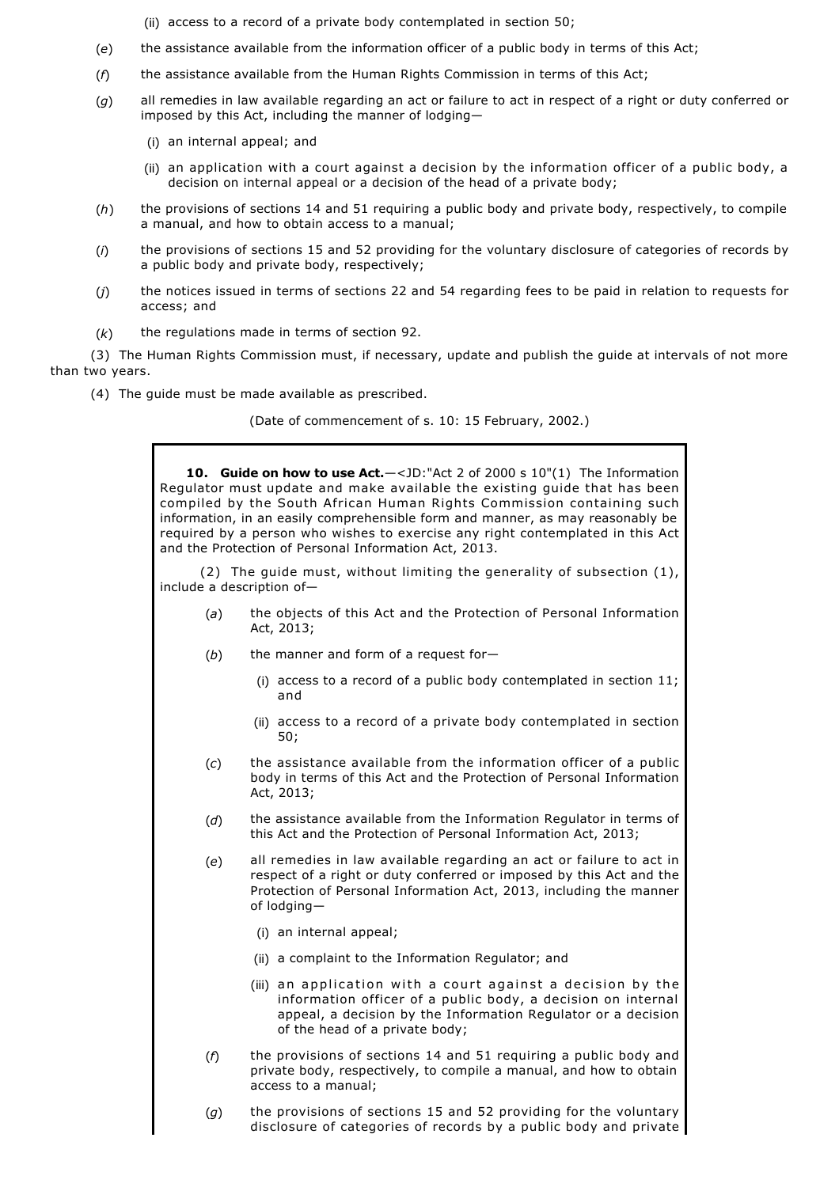(ii) access to a record of a private body contemplated in section 50;

- (*e*) the assistance available from the information officer of a public body in terms of this Act;
- (*f*) the assistance available from the Human Rights Commission in terms of this Act;
- (*g*) all remedies in law available regarding an act or failure to act in respect of a right or duty conferred or imposed by this Act, including the manner of lodging—
	- (i) an internal appeal; and
	- (ii) an application with a court against a decision by the information officer of a public body, a decision on internal appeal or a decision of the head of a private body;
- (*h*) the provisions of sections 14 and 51 requiring a public body and private body, respectively, to compile a manual, and how to obtain access to a manual;
- (*i*) the provisions of sections 15 and 52 providing for the voluntary disclosure of categories of records by a public body and private body, respectively;
- (*j*) the notices issued in terms of sections 22 and 54 regarding fees to be paid in relation to requests for access; and
- (*k*) the regulations made in terms of section 92.

(3) The Human Rights Commission must, if necessary, update and publish the guide at intervals of not more than two years.

(4) The guide must be made available as prescribed.

(Date of commencement of s. 10: 15 February, 2002.)

10. Guide on how to use Act.-<JD:"Act 2 of 2000 s 10"(1) The Information Regulator must update and make available the existing guide that has been compiled by the South African Human Rights Commission containing such information, in an easily comprehensible form and manner, as may reasonably be required by a person who wishes to exercise any right contemplated in this Act and the Protection of Personal Information Act, 2013.

(2) The guide must, without limiting the generality of subsection (1), include a description of—

- (*a*) the objects of this Act and the Protection of Personal Information Act, 2013;
- (*b*) the manner and form of a request for—
	- (i) access to a record of a public body contemplated in section 11; and
	- (ii) access to a record of a private body contemplated in section 50;
- (*c*) the assistance available from the information officer of a public body in terms of this Act and the Protection of Personal Information Act, 2013;
- (*d*) the assistance available from the Information Regulator in terms of this Act and the Protection of Personal Information Act, 2013;
- (*e*) all remedies in law available regarding an act or failure to act in respect of a right or duty conferred or imposed by this Act and the Protection of Personal Information Act, 2013, including the manner of lodging—
	- (i) an internal appeal;
	- (ii) a complaint to the Information Regulator; and
	- (iii) an application with a court against a decision by the information officer of a public body, a decision on internal appeal, a decision by the Information Regulator or a decision of the head of a private body;
- (*f*) the provisions of sections 14 and 51 requiring a public body and private body, respectively, to compile a manual, and how to obtain access to a manual;
- (*g*) the provisions of sections 15 and 52 providing for the voluntary disclosure of categories of records by a public body and private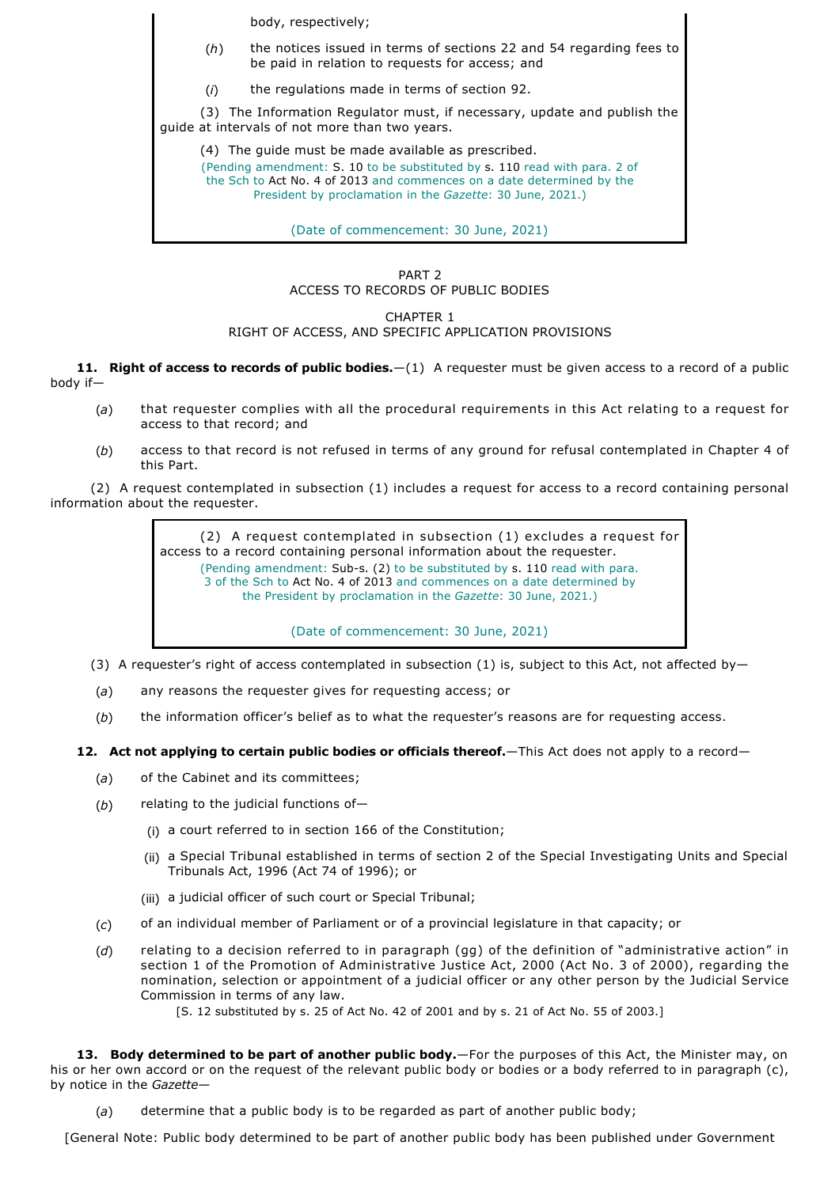body, respectively;

- (*h*) the notices issued in terms of sections 22 and 54 regarding fees to be paid in relation to requests for access; and
- (*i*) the regulations made in terms of section 92.

(3) The Information Regulator must, if necessary, update and publish the guide at intervals of not more than two years.

(4) The guide must be made available as prescribed.

(Pending amendment: S. 10 to be substituted by s. 110 read with para. 2 of the Sch to Act No. 4 of 2013 and commences on a date determined by the President by proclamation in the *Gazette*: 30 June, 2021.)

(Date of commencement: 30 June, 2021)

# PART 2 ACCESS TO RECORDS OF PUBLIC BODIES

CHAPTER 1

## RIGHT OF ACCESS, AND SPECIFIC APPLICATION PROVISIONS

**11. Right of access to records of public bodies.**—(1) A requester must be given access to a record of a public body if—

- (*a*) that requester complies with all the procedural requirements in this Act relating to a request for access to that record; and
- (*b*) access to that record is not refused in terms of any ground for refusal contemplated in Chapter 4 of this Part.

(2) A request contemplated in subsection (1) includes a request for access to a record containing personal information about the requester.

> (2) A request contemplated in subsection (1) excludes a request for access to a record containing personal information about the requester. (Pending amendment: Sub-s. (2) to be substituted by s. 110 read with para. 3 of the Sch to Act No. 4 of 2013 and commences on a date determined by the President by proclamation in the *Gazette*: 30 June, 2021.)

> > (Date of commencement: 30 June, 2021)

- (3) A requester's right of access contemplated in subsection (1) is, subject to this Act, not affected by-
- (*a*) any reasons the requester gives for requesting access; or
- (*b*) the information officer's belief as to what the requester's reasons are for requesting access.

## **12. Act not applying to certain public bodies or officials thereof.**—This Act does not apply to a record—

- (*a*) of the Cabinet and its committees;
- (*b*) relating to the judicial functions of—
	- (i) a court referred to in section 166 of the Constitution;
	- (ii) a Special Tribunal established in terms of section 2 of the Special Investigating Units and Special Tribunals Act, 1996 (Act 74 of 1996); or
	- (iii) a judicial officer of such court or Special Tribunal;
- (*c*) of an individual member of Parliament or of a provincial legislature in that capacity; or
- (*d*) relating to a decision referred to in paragraph (gg) of the definition of "administrative action" in section 1 of the Promotion of Administrative Justice Act, 2000 (Act No. 3 of 2000), regarding the nomination, selection or appointment of a judicial officer or any other person by the Judicial Service Commission in terms of any law.
	- [S. 12 substituted by s. 25 of Act No. 42 of 2001 and by s. 21 of Act No. 55 of 2003.]

**13. Body determined to be part of another public body.**—For the purposes of this Act, the Minister may, on his or her own accord or on the request of the relevant public body or bodies or a body referred to in paragraph (c), by notice in the *Gazette*—

(*a*) determine that a public body is to be regarded as part of another public body;

[General Note: Public body determined to be part of another public body has been published under Government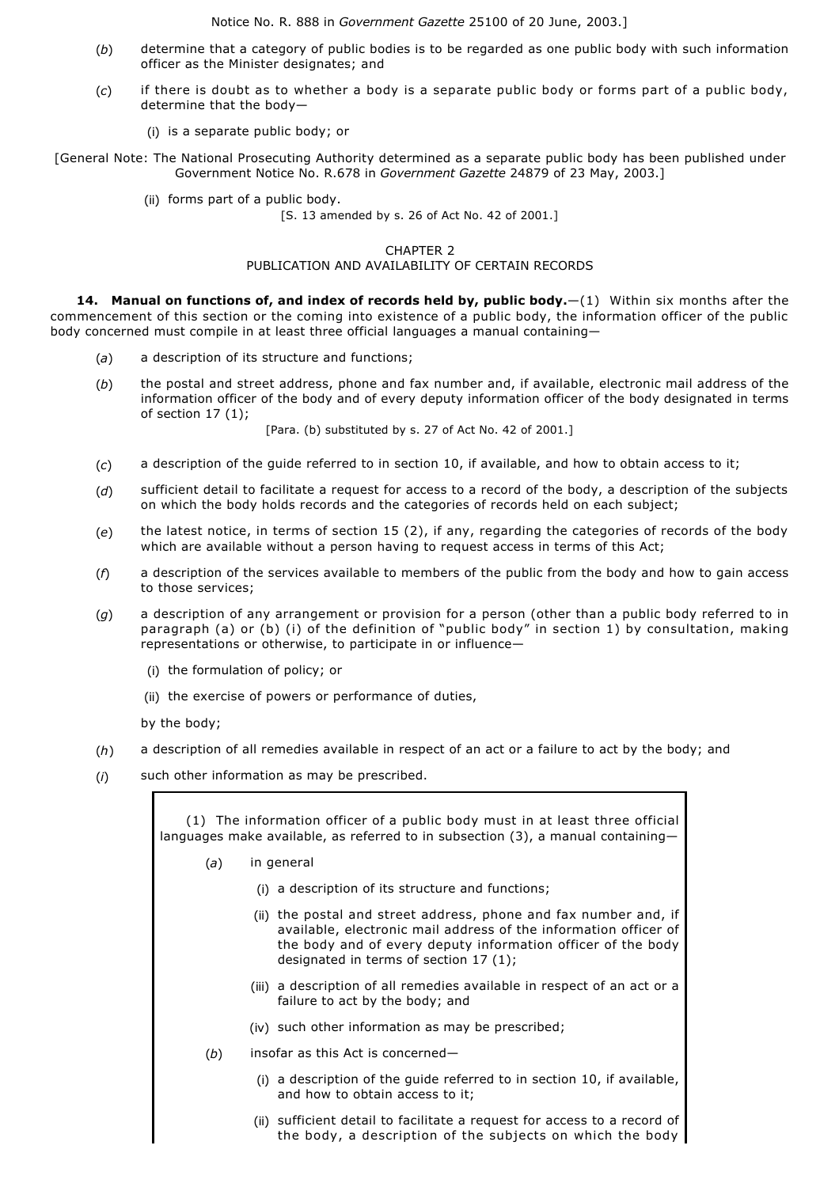Notice No. R. 888 in *Government Gazette* 25100 of 20 June, 2003.]

- (*b*) determine that a category of public bodies is to be regarded as one public body with such information officer as the Minister designates; and
- (*c*) if there is doubt as to whether a body is a separate public body or forms part of a public body, determine that the body—
	- (i) is a separate public body; or

[General Note: The National Prosecuting Authority determined as a separate public body has been published under Government Notice No. R.678 in *Government Gazette* 24879 of 23 May, 2003.]

(ii) forms part of a public body.

[S. 13 amended by s. 26 of Act No. 42 of 2001.]

## CHAPTER 2 PUBLICATION AND AVAILABILITY OF CERTAIN RECORDS

**14. Manual on functions of, and index of records held by, public body.**—(1) Within six months after the commencement of this section or the coming into existence of a public body, the information officer of the public body concerned must compile in at least three official languages a manual containing—

- (*a*) a description of its structure and functions;
- (*b*) the postal and street address, phone and fax number and, if available, electronic mail address of the information officer of the body and of every deputy information officer of the body designated in terms of section  $17(1)$ ;

[Para. (b) substituted by s. 27 of Act No. 42 of 2001.]

- (*c*) a description of the guide referred to in section 10, if available, and how to obtain access to it;
- (*d*) sufficient detail to facilitate a request for access to a record of the body, a description of the subjects on which the body holds records and the categories of records held on each subject;
- (*e*) the latest notice, in terms of section 15 (2), if any, regarding the categories of records of the body which are available without a person having to request access in terms of this Act;
- (*f*) a description of the services available to members of the public from the body and how to gain access to those services;
- (*g*) a description of any arrangement or provision for a person (other than a public body referred to in paragraph (a) or (b) (i) of the definition of "public body" in section 1) by consultation, making representations or otherwise, to participate in or influence—
	- (i) the formulation of policy; or
	- (ii) the exercise of powers or performance of duties,

by the body;

- (*h*) a description of all remedies available in respect of an act or a failure to act by the body; and
- (*i*) such other information as may be prescribed.

(1) The information officer of a public body must in at least three official languages make available, as referred to in subsection (3), a manual containing—

- (*a*) in general
	- (i) a description of its structure and functions;
	- (ii) the postal and street address, phone and fax number and, if available, electronic mail address of the information officer of the body and of every deputy information officer of the body designated in terms of section 17 (1);
	- (iii) a description of all remedies available in respect of an act or a failure to act by the body; and
	- (iv) such other information as may be prescribed;
- (*b*) insofar as this Act is concerned—
	- (i) a description of the guide referred to in section 10, if available, and how to obtain access to it;
	- (ii) sufficient detail to facilitate a request for access to a record of the body, a description of the subjects on which the body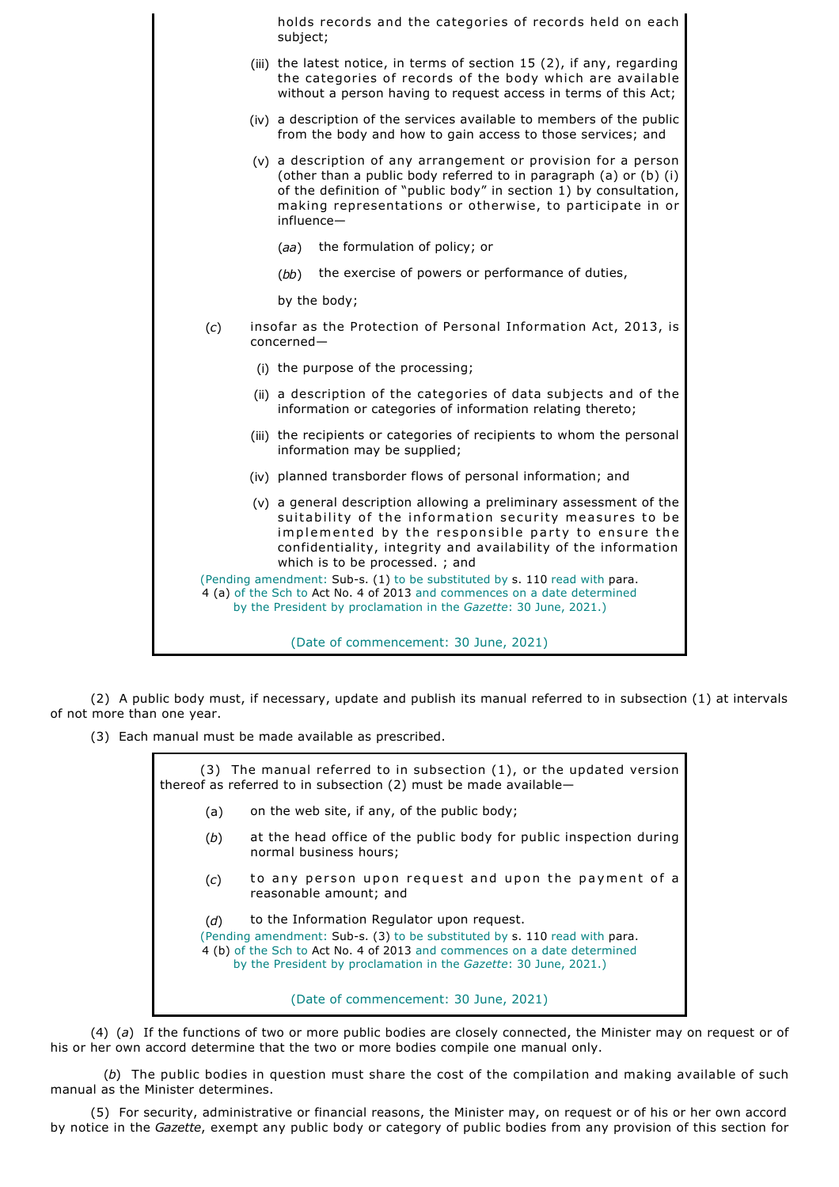|     | holds records and the categories of records held on each<br>subject;                                                                                                                                                                                                                   |
|-----|----------------------------------------------------------------------------------------------------------------------------------------------------------------------------------------------------------------------------------------------------------------------------------------|
|     | (iii) the latest notice, in terms of section 15 (2), if any, regarding<br>the categories of records of the body which are available<br>without a person having to request access in terms of this Act;                                                                                 |
|     | (iv) a description of the services available to members of the public<br>from the body and how to gain access to those services; and                                                                                                                                                   |
|     | (v) a description of any arrangement or provision for a person<br>(other than a public body referred to in paragraph (a) or (b) (i)<br>of the definition of "public body" in section 1) by consultation,<br>making representations or otherwise, to participate in or<br>influence-    |
|     | the formulation of policy; or<br>(aab)                                                                                                                                                                                                                                                 |
|     | the exercise of powers or performance of duties,<br>(bb)                                                                                                                                                                                                                               |
|     | by the body;                                                                                                                                                                                                                                                                           |
| (c) | insofar as the Protection of Personal Information Act, 2013, is<br>$concerned-$                                                                                                                                                                                                        |
|     | (i) the purpose of the processing;                                                                                                                                                                                                                                                     |
|     | (ii) a description of the categories of data subjects and of the<br>information or categories of information relating thereto;                                                                                                                                                         |
|     | (iii) the recipients or categories of recipients to whom the personal<br>information may be supplied;                                                                                                                                                                                  |
|     | (iv) planned transborder flows of personal information; and                                                                                                                                                                                                                            |
|     | (v) a general description allowing a preliminary assessment of the<br>suitability of the information security measures to be<br>implemented by the responsible party to ensure the<br>confidentiality, integrity and availability of the information<br>which is to be processed.; and |
|     | (Pending amendment: Sub-s. (1) to be substituted by s. 110 read with para.<br>4 (a) of the Sch to Act No. 4 of 2013 and commences on a date determined                                                                                                                                 |
|     | by the President by proclamation in the Gazette: 30 June, 2021.)                                                                                                                                                                                                                       |
|     | (Date of commencement: 30 June, 2021)                                                                                                                                                                                                                                                  |

(2) A public body must, if necessary, update and publish its manual referred to in subsection (1) at intervals of not more than one year.

(3) Each manual must be made available as prescribed.

(3) The manual referred to in subsection (1), or the updated version thereof as referred to in subsection (2) must be made available— (a) on the web site, if any, of the public body; (*b*) at the head office of the public body for public inspection during normal business hours; (*c*) to any person upon request and upon the payment of a reasonable amount; and (*d*) to the Information Regulator upon request. (Pending amendment: Sub-s. (3) to be substituted by s. 110 read with para. 4 (b) of the Sch to Act No. 4 of 2013 and commences on a date determined by the President by proclamation in the *Gazette*: 30 June, 2021.) (Date of commencement: 30 June, 2021)

(4) (*a*) If the functions of two or more public bodies are closely connected, the Minister may on request or of his or her own accord determine that the two or more bodies compile one manual only.

(*b*) The public bodies in question must share the cost of the compilation and making available of such manual as the Minister determines.

(5) For security, administrative or financial reasons, the Minister may, on request or of his or her own accord by notice in the *Gazette*, exempt any public body or category of public bodies from any provision of this section for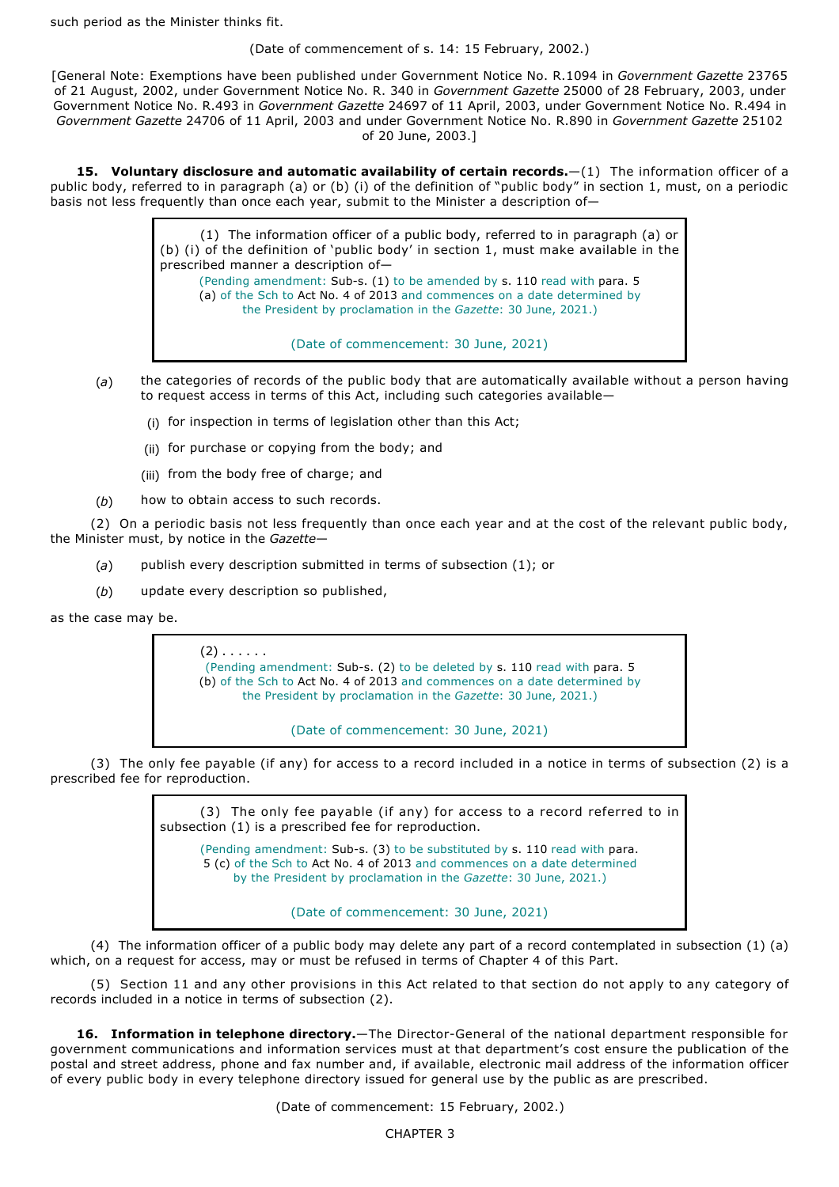such period as the Minister thinks fit.

## (Date of commencement of s. 14: 15 February, 2002.)

[General Note: Exemptions have been published under Government Notice No. R.1094 in *Government Gazette* 23765 of 21 August, 2002, under Government Notice No. R. 340 in *Government Gazette* 25000 of 28 February, 2003, under Government Notice No. R.493 in *Government Gazette* 24697 of 11 April, 2003, under Government Notice No. R.494 in *Government Gazette* 24706 of 11 April, 2003 and under Government Notice No. R.890 in *Government Gazette* 25102 of 20 June, 2003.]

**15. Voluntary disclosure and automatic availability of certain records.**—(1) The information officer of a public body, referred to in paragraph (a) or (b) (i) of the definition of "public body" in section 1, must, on a periodic basis not less frequently than once each year, submit to the Minister a description of—

> (1) The information officer of a public body, referred to in paragraph (a) or (b) (i) of the definition of 'public body' in section 1, must make available in the prescribed manner a description of— (Pending amendment: Sub-s.  $(1)$  to be amended by s. 110 read with para. 5 (a) of the Sch to Act No. 4 of 2013 and commences on a date determined by the President by proclamation in the *Gazette*: 30 June, 2021.)

> > (Date of commencement: 30 June, 2021)

- (*a*) the categories of records of the public body that are automatically available without a person having to request access in terms of this Act, including such categories available—
	- (i) for inspection in terms of legislation other than this Act;
	- (ii) for purchase or copying from the body; and
	- (iii) from the body free of charge; and
- (*b*) how to obtain access to such records.

(2) On a periodic basis not less frequently than once each year and at the cost of the relevant public body, the Minister must, by notice in the *Gazette*—

- (*a*) publish every description submitted in terms of subsection (1); or
- (*b*) update every description so published,

as the case may be.

 $(2)$  . . . . . . (Pending amendment: Sub-s. (2) to be deleted by s. 110 read with para. 5 (b) of the Sch to Act No. 4 of 2013 and commences on a date determined by the President by proclamation in the *Gazette*: 30 June, 2021.)

(Date of commencement: 30 June, 2021)

(3) The only fee payable (if any) for access to a record included in a notice in terms of subsection (2) is a prescribed fee for reproduction.

> (3) The only fee payable (if any) for access to a record referred to in subsection (1) is a prescribed fee for reproduction. (Pending amendment: Sub-s. (3) to be substituted by s. 110 read with para. 5 (c) of the Sch to Act No. 4 of 2013 and commences on a date determined by the President by proclamation in the *Gazette*: 30 June, 2021.)

> > (Date of commencement: 30 June, 2021)

(4) The information officer of a public body may delete any part of a record contemplated in subsection (1) (a) which, on a request for access, may or must be refused in terms of Chapter 4 of this Part.

(5) Section 11 and any other provisions in this Act related to that section do not apply to any category of records included in a notice in terms of subsection (2).

16. Information in telephone directory.—The Director-General of the national department responsible for government communications and information services must at that department's cost ensure the publication of the postal and street address, phone and fax number and, if available, electronic mail address of the information officer of every public body in every telephone directory issued for general use by the public as are prescribed.

(Date of commencement: 15 February, 2002.)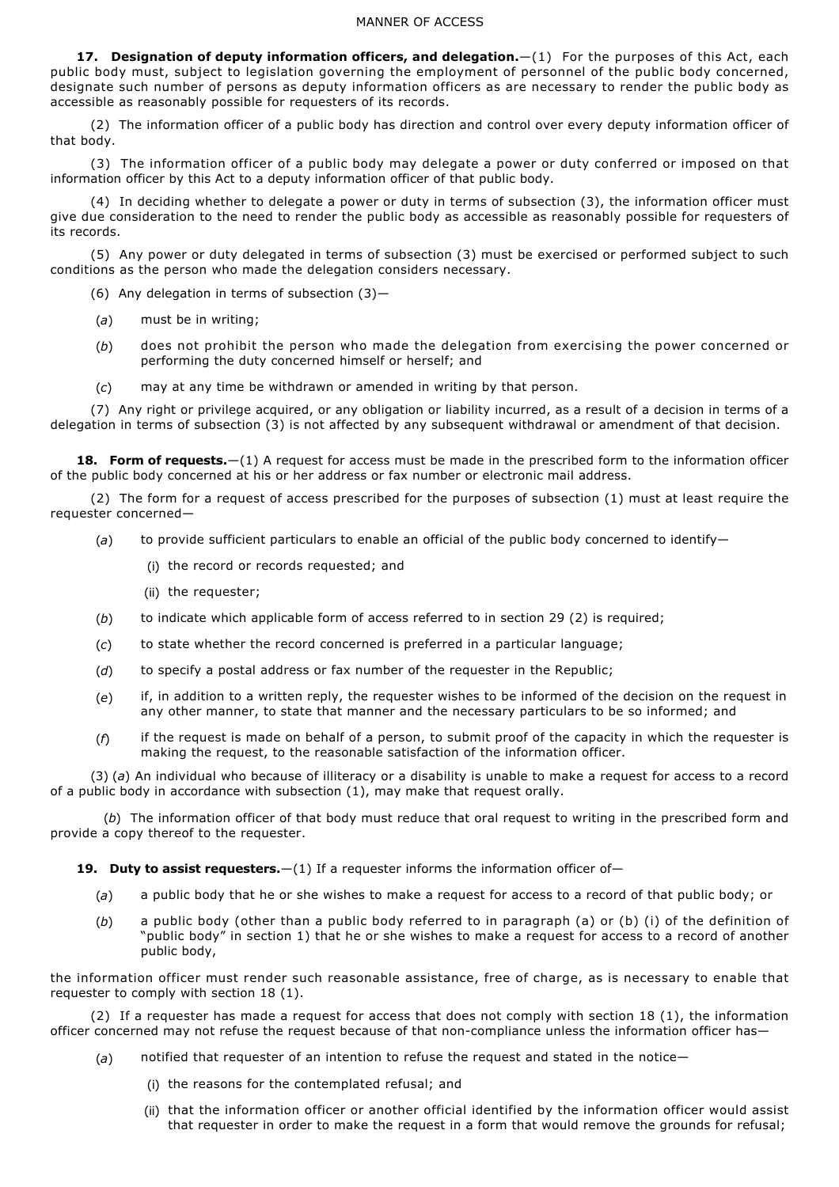#### MANNER OF ACCESS

17. Designation of deputy information officers, and delegation.  $-(1)$  For the purposes of this Act, each public body must, subject to legislation governing the employment of personnel of the public body concerned, designate such number of persons as deputy information officers as are necessary to render the public body as accessible as reasonably possible for requesters of its records.

(2) The information officer of a public body has direction and control over every deputy information officer of that body.

(3) The information officer of a public body may delegate a power or duty conferred or imposed on that information officer by this Act to a deputy information officer of that public body.

(4) In deciding whether to delegate a power or duty in terms of subsection (3), the information officer must give due consideration to the need to render the public body as accessible as reasonably possible for requesters of its records.

(5) Any power or duty delegated in terms of subsection (3) must be exercised or performed subject to such conditions as the person who made the delegation considers necessary.

(6) Any delegation in terms of subsection  $(3)$ -

- (*a*) must be in writing;
- (*b*) does not prohibit the person who made the delegation from exercising the power concerned or performing the duty concerned himself or herself; and
- (*c*) may at any time be withdrawn or amended in writing by that person.

(7) Any right or privilege acquired, or any obligation or liability incurred, as a result of a decision in terms of a delegation in terms of subsection (3) is not affected by any subsequent withdrawal or amendment of that decision.

18. Form of requests.  $-(1)$  A request for access must be made in the prescribed form to the information officer of the public body concerned at his or her address or fax number or electronic mail address.

(2) The form for a request of access prescribed for the purposes of subsection (1) must at least require the requester concerned—

- (*a*) to provide sufficient particulars to enable an official of the public body concerned to identify—
	- (i) the record or records requested; and
	- (ii) the requester;
- (*b*) to indicate which applicable form of access referred to in section 29 (2) is required;
- (*c*) to state whether the record concerned is preferred in a particular language;
- (*d*) to specify a postal address or fax number of the requester in the Republic;
- (*e*) if, in addition to a written reply, the requester wishes to be informed of the decision on the request in any other manner, to state that manner and the necessary particulars to be so informed; and
- (*f*) if the request is made on behalf of a person, to submit proof of the capacity in which the requester is making the request, to the reasonable satisfaction of the information officer.

(3) (*a*) An individual who because of illiteracy or a disability is unable to make a request for access to a record of a public body in accordance with subsection (1), may make that request orally.

(*b*) The information officer of that body must reduce that oral request to writing in the prescribed form and provide a copy thereof to the requester.

**19. Duty to assist requesters.**—(1) If a requester informs the information officer of—

- (*a*) a public body that he or she wishes to make a request for access to a record of that public body; or
- (*b*) a public body (other than a public body referred to in paragraph (a) or (b) (i) of the definition of "public body" in section 1) that he or she wishes to make a request for access to a record of another public body,

the information officer must render such reasonable assistance, free of charge, as is necessary to enable that requester to comply with section 18 (1).

(2) If a requester has made a request for access that does not comply with section 18 (1), the information officer concerned may not refuse the request because of that non-compliance unless the information officer has-

- (*a*) notified that requester of an intention to refuse the request and stated in the notice—
	- (i) the reasons for the contemplated refusal; and
	- (ii) that the information officer or another official identified by the information officer would assist that requester in order to make the request in a form that would remove the grounds for refusal;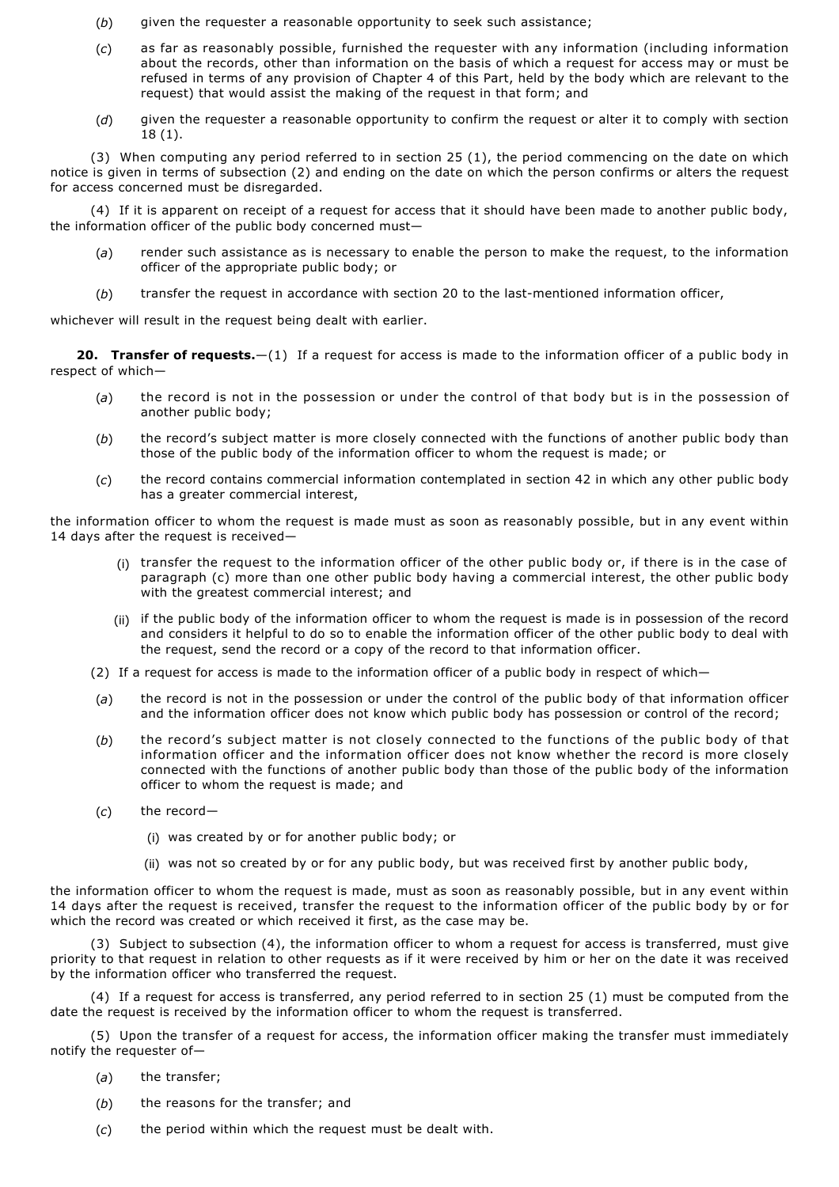- (*b*) given the requester a reasonable opportunity to seek such assistance;
- (*c*) as far as reasonably possible, furnished the requester with any information (including information about the records, other than information on the basis of which a request for access may or must be refused in terms of any provision of Chapter 4 of this Part, held by the body which are relevant to the request) that would assist the making of the request in that form; and
- (*d*) given the requester a reasonable opportunity to confirm the request or alter it to comply with section 18 (1).

(3) When computing any period referred to in section 25 (1), the period commencing on the date on which notice is given in terms of subsection (2) and ending on the date on which the person confirms or alters the request for access concerned must be disregarded.

(4) If it is apparent on receipt of a request for access that it should have been made to another public body, the information officer of the public body concerned must—

- (*a*) render such assistance as is necessary to enable the person to make the request, to the information officer of the appropriate public body; or
- (b) transfer the request in accordance with section 20 to the last-mentioned information officer,

whichever will result in the request being dealt with earlier.

**20. Transfer of requests.**—(1) If a request for access is made to the information officer of a public body in respect of which—

- (*a*) the record is not in the possession or under the control of that body but is in the possession of another public body;
- (*b*) the record's subject matter is more closely connected with the functions of another public body than those of the public body of the information officer to whom the request is made; or
- (*c*) the record contains commercial information contemplated in section 42 in which any other public body has a greater commercial interest,

the information officer to whom the request is made must as soon as reasonably possible, but in any event within 14 days after the request is received—

- (i) transfer the request to the information officer of the other public body or, if there is in the case of paragraph (c) more than one other public body having a commercial interest, the other public body with the greatest commercial interest; and
- (ii) if the public body of the information officer to whom the request is made is in possession of the record and considers it helpful to do so to enable the information officer of the other public body to deal with the request, send the record or a copy of the record to that information officer.
- (2) If a request for access is made to the information officer of a public body in respect of which—
- (*a*) the record is not in the possession or under the control of the public body of that information officer and the information officer does not know which public body has possession or control of the record;
- (*b*) the record's subject matter is not closely connected to the functions of the public body of that information officer and the information officer does not know whether the record is more closely connected with the functions of another public body than those of the public body of the information officer to whom the request is made; and
- (*c*) the record—
	- (i) was created by or for another public body; or
	- (ii) was not so created by or for any public body, but was received first by another public body,

the information officer to whom the request is made, must as soon as reasonably possible, but in any event within 14 days after the request is received, transfer the request to the information officer of the public body by or for which the record was created or which received it first, as the case may be.

(3) Subject to subsection (4), the information officer to whom a request for access is transferred, must give priority to that request in relation to other requests as if it were received by him or her on the date it was received by the information officer who transferred the request.

(4) If a request for access is transferred, any period referred to in section 25 (1) must be computed from the date the request is received by the information officer to whom the request is transferred.

(5) Upon the transfer of a request for access, the information officer making the transfer must immediately notify the requester of—

- (*a*) the transfer;
- (*b*) the reasons for the transfer; and
- (*c*) the period within which the request must be dealt with.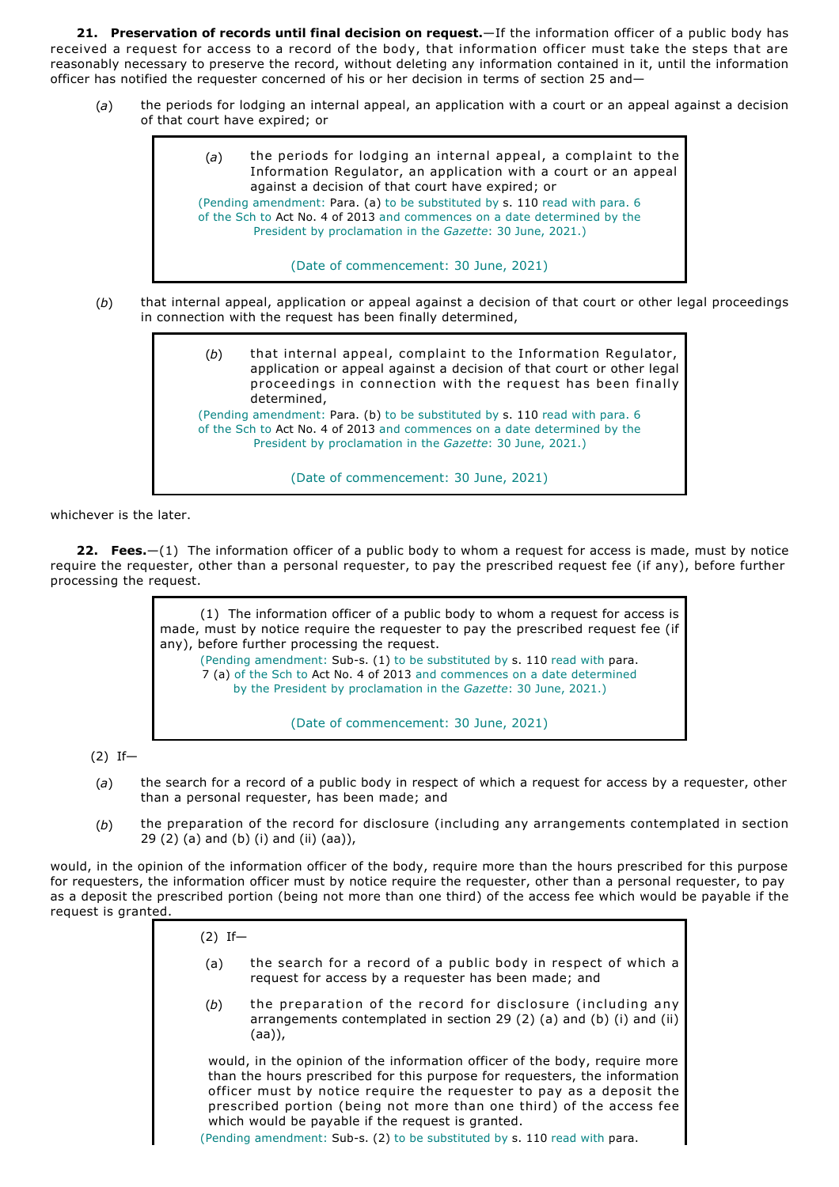**21. Preservation of records until final decision on request.**—If the information officer of a public body has received a request for access to a record of the body, that information officer must take the steps that are reasonably necessary to preserve the record, without deleting any information contained in it, until the information officer has notified the requester concerned of his or her decision in terms of section 25 and—

(*a*) the periods for lodging an internal appeal, an application with a court or an appeal against a decision of that court have expired; or



(*b*) that internal appeal, application or appeal against a decision of that court or other legal proceedings in connection with the request has been finally determined,



whichever is the later.

**22. Fees.**—(1) The information officer of a public body to whom a request for access is made, must by notice require the requester, other than a personal requester, to pay the prescribed request fee (if any), before further processing the request.

> (1) The information officer of a public body to whom a request for access is made, must by notice require the requester to pay the prescribed request fee (if any), before further processing the request. (Pending amendment: Sub-s. (1) to be substituted by s. 110 read with para. 7 (a) of the Sch to Act No. 4 of 2013 and commences on a date determined by the President by proclamation in the *Gazette*: 30 June, 2021.)

> > (Date of commencement: 30 June, 2021)

 $(2)$  If-

- (*a*) the search for a record of a public body in respect of which a request for access by a requester, other than a personal requester, has been made; and
- (*b*) the preparation of the record for disclosure (including any arrangements contemplated in section 29 (2) (a) and (b) (i) and (ii) (aa)),

would, in the opinion of the information officer of the body, require more than the hours prescribed for this purpose for requesters, the information officer must by notice require the requester, other than a personal requester, to pay as a deposit the prescribed portion (being not more than one third) of the access fee which would be payable if the request is granted.

| $(2)$ If-                                                                                                                                                                                                                                                                                                                                                                                                                                   |                                                                                                                                                  |
|---------------------------------------------------------------------------------------------------------------------------------------------------------------------------------------------------------------------------------------------------------------------------------------------------------------------------------------------------------------------------------------------------------------------------------------------|--------------------------------------------------------------------------------------------------------------------------------------------------|
| (a)                                                                                                                                                                                                                                                                                                                                                                                                                                         | the search for a record of a public body in respect of which a<br>request for access by a requester has been made; and                           |
| (b)                                                                                                                                                                                                                                                                                                                                                                                                                                         | the preparation of the record for disclosure (including any<br>arrangements contemplated in section 29 (2) (a) and (b) (i) and (ii)<br>$(aa)$ ), |
| would, in the opinion of the information officer of the body, require more<br>than the hours prescribed for this purpose for requesters, the information<br>officer must by notice require the requester to pay as a deposit the<br>prescribed portion (being not more than one third) of the access fee<br>which would be payable if the request is granted.<br>(Pending amendment: Sub-s. (2) to be substituted by s. 110 read with para. |                                                                                                                                                  |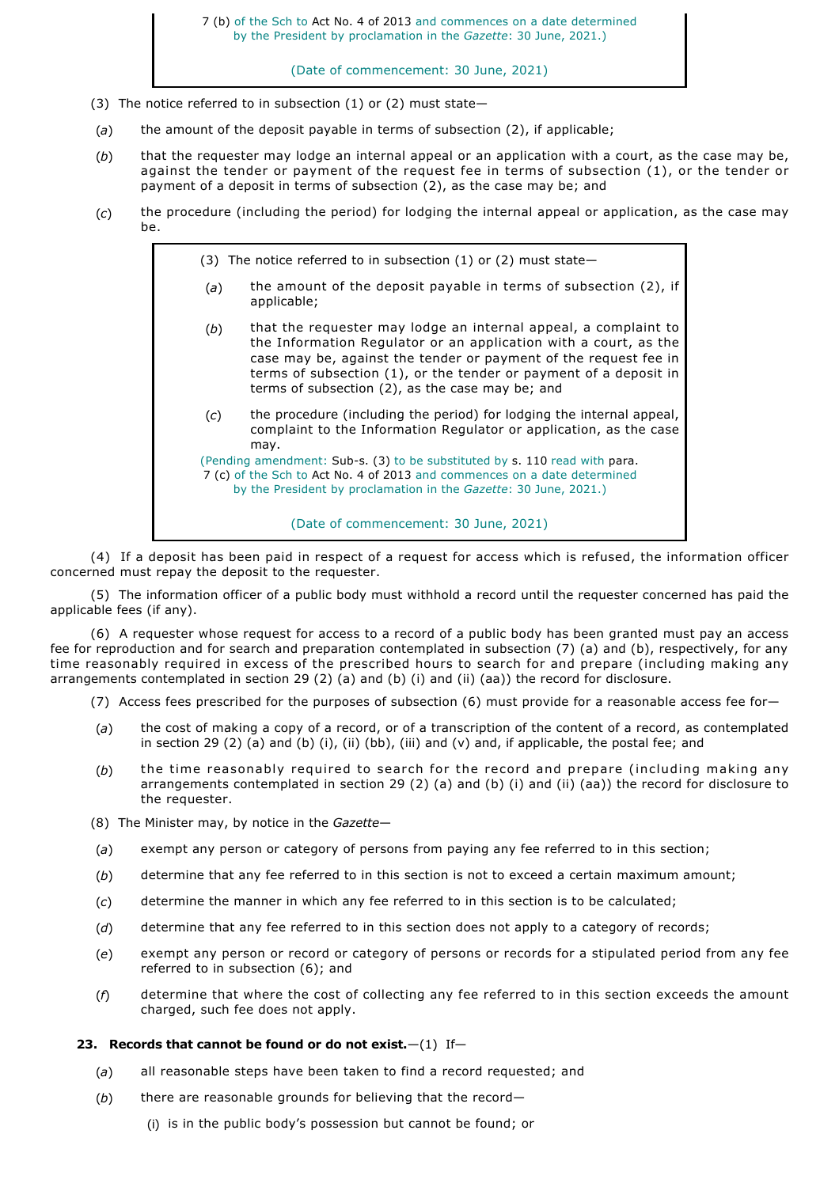7 (b) of the Sch to Act No. 4 of 2013 and commences on a date determined by the President by proclamation in the *Gazette*: 30 June, 2021.)

(Date of commencement: 30 June, 2021)

- (3) The notice referred to in subsection (1) or (2) must state—
- (*a*) the amount of the deposit payable in terms of subsection (2), if applicable;
- (*b*) that the requester may lodge an internal appeal or an application with a court, as the case may be, against the tender or payment of the request fee in terms of subsection (1), or the tender or payment of a deposit in terms of subsection (2), as the case may be; and
- (*c*) the procedure (including the period) for lodging the internal appeal or application, as the case may be.

(3) The notice referred to in subsection (1) or (2) must state— (*a*) the amount of the deposit payable in terms of subsection (2), if applicable; (*b*) that the requester may lodge an internal appeal, a complaint to the Information Regulator or an application with a court, as the case may be, against the tender or payment of the request fee in terms of subsection (1), or the tender or payment of a deposit in terms of subsection (2), as the case may be; and (*c*) the procedure (including the period) for lodging the internal appeal, complaint to the Information Regulator or application, as the case may. (Pending amendment: Sub-s. (3) to be substituted by s. 110 read with para. 7 (c) of the Sch to Act No. 4 of 2013 and commences on a date determined by the President by proclamation in the *Gazette*: 30 June, 2021.) (Date of commencement: 30 June, 2021)

(4) If a deposit has been paid in respect of a request for access which is refused, the information officer concerned must repay the deposit to the requester.

(5) The information officer of a public body must withhold a record until the requester concerned has paid the applicable fees (if any).

(6) A requester whose request for access to a record of a public body has been granted must pay an access fee for reproduction and for search and preparation contemplated in subsection (7) (a) and (b), respectively, for any time reasonably required in excess of the prescribed hours to search for and prepare (including making any arrangements contemplated in section 29 (2) (a) and (b) (i) and (ii) (aa)) the record for disclosure.

(7) Access fees prescribed for the purposes of subsection (6) must provide for a reasonable access fee for—

- (*a*) the cost of making a copy of a record, or of a transcription of the content of a record, as contemplated in section 29 (2) (a) and (b) (i), (ii) (bb), (iii) and (v) and, if applicable, the postal fee; and
- (*b*) the time reasonably required to search for the record and prepare (including making any arrangements contemplated in section 29 (2) (a) and (b) (i) and (ii) (aa)) the record for disclosure to the requester.

(8) The Minister may, by notice in the *Gazette*—

- (*a*) exempt any person or category of persons from paying any fee referred to in this section;
- (*b*) determine that any fee referred to in this section is not to exceed a certain maximum amount;
- (*c*) determine the manner in which any fee referred to in this section is to be calculated;
- (*d*) determine that any fee referred to in this section does not apply to a category of records;
- (*e*) exempt any person or record or category of persons or records for a stipulated period from any fee referred to in subsection (6); and
- (*f*) determine that where the cost of collecting any fee referred to in this section exceeds the amount charged, such fee does not apply.

#### **23. Records that cannot be found or do not exist.**—(1) If—

- (*a*) all reasonable steps have been taken to find a record requested; and
- (*b*) there are reasonable grounds for believing that the record—
	- (i) is in the public body's possession but cannot be found; or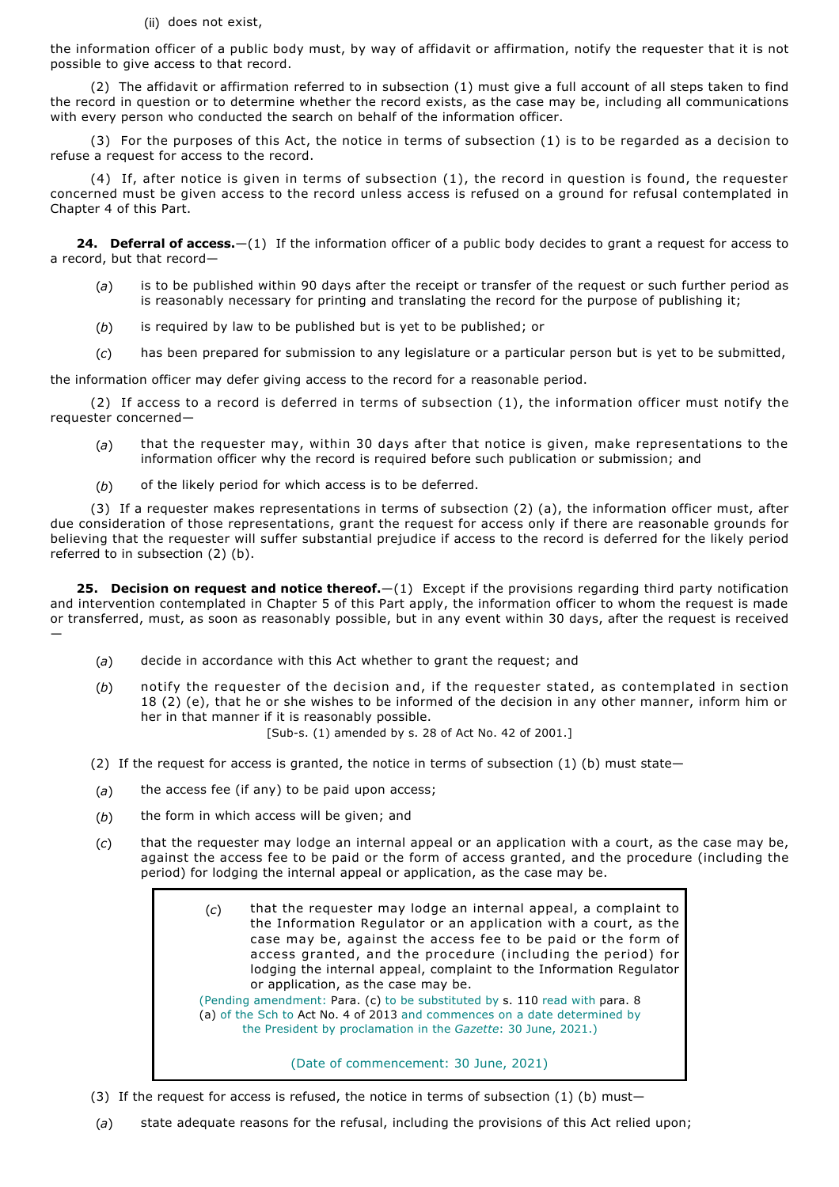(ii) does not exist,

the information officer of a public body must, by way of affidavit or affirmation, notify the requester that it is not possible to give access to that record.

(2) The affidavit or affirmation referred to in subsection (1) must give a full account of all steps taken to find the record in question or to determine whether the record exists, as the case may be, including all communications with every person who conducted the search on behalf of the information officer.

(3) For the purposes of this Act, the notice in terms of subsection (1) is to be regarded as a decision to refuse a request for access to the record.

(4) If, after notice is given in terms of subsection (1), the record in question is found, the requester concerned must be given access to the record unless access is refused on a ground for refusal contemplated in Chapter 4 of this Part.

**24. Deferral of access.**—(1) If the information officer of a public body decides to grant a request for access to a record, but that record—

- (*a*) is to be published within 90 days after the receipt or transfer of the request or such further period as is reasonably necessary for printing and translating the record for the purpose of publishing it;
- (*b*) is required by law to be published but is yet to be published; or
- (*c*) has been prepared for submission to any legislature or a particular person but is yet to be submitted,

the information officer may defer giving access to the record for a reasonable period.

(2) If access to a record is deferred in terms of subsection (1), the information officer must notify the requester concerned—

- (*a*) that the requester may, within 30 days after that notice is given, make representations to the information officer why the record is required before such publication or submission; and
- (*b*) of the likely period for which access is to be deferred.

(3) If a requester makes representations in terms of subsection (2) (a), the information officer must, after due consideration of those representations, grant the request for access only if there are reasonable grounds for believing that the requester will suffer substantial prejudice if access to the record is deferred for the likely period referred to in subsection (2) (b).

**25. Decision on request and notice thereof.**—(1) Except if the provisions regarding third party notification and intervention contemplated in Chapter 5 of this Part apply, the information officer to whom the request is made or transferred, must, as soon as reasonably possible, but in any event within 30 days, after the request is received —

- (*a*) decide in accordance with this Act whether to grant the request; and
- (*b*) notify the requester of the decision and, if the requester stated, as contemplated in section 18 (2) (e), that he or she wishes to be informed of the decision in any other manner, inform him or her in that manner if it is reasonably possible.
	- [Sub-s. (1) amended by s. 28 of Act No. 42 of 2001.]
- (2) If the request for access is granted, the notice in terms of subsection (1) (b) must state—
- (*a*) the access fee (if any) to be paid upon access;
- (b) the form in which access will be given; and
- (*c*) that the requester may lodge an internal appeal or an application with a court, as the case may be, against the access fee to be paid or the form of access granted, and the procedure (including the period) for lodging the internal appeal or application, as the case may be.

(*c*) that the requester may lodge an internal appeal, a complaint to the Information Regulator or an application with a court, as the case may be, against the access fee to be paid or the form of access granted, and the procedure (including the period) for lodging the internal appeal, complaint to the Information Regulator or application, as the case may be. (Pending amendment: Para. (c) to be substituted by s. 110 read with para. 8 (a) of the Sch to Act No. 4 of 2013 and commences on a date determined by the President by proclamation in the *Gazette*: 30 June, 2021.)

(Date of commencement: 30 June, 2021)

- (3) If the request for access is refused, the notice in terms of subsection (1) (b) must—
- (*a*) state adequate reasons for the refusal, including the provisions of this Act relied upon;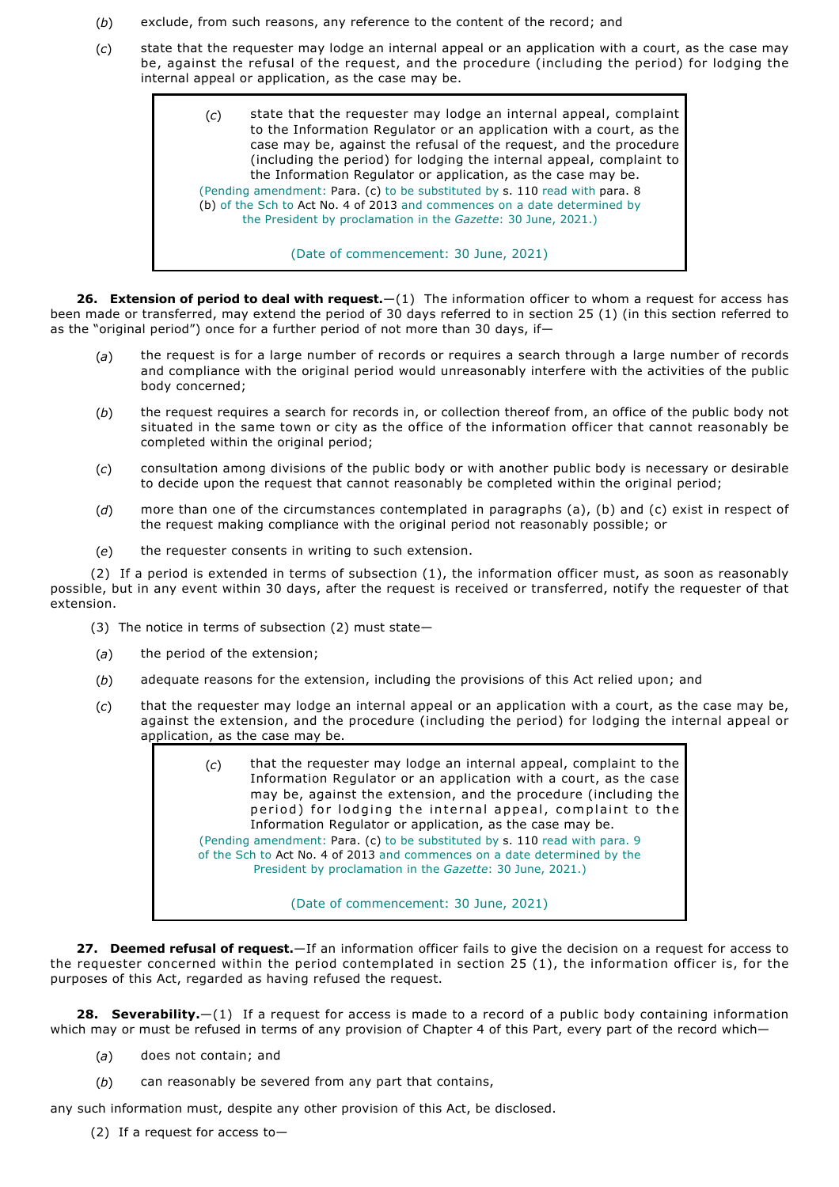- (*b*) exclude, from such reasons, any reference to the content of the record; and
- (*c*) state that the requester may lodge an internal appeal or an application with a court, as the case may be, against the refusal of the request, and the procedure (including the period) for lodging the internal appeal or application, as the case may be.
	- (*c*) state that the requester may lodge an internal appeal, complaint to the Information Regulator or an application with a court, as the case may be, against the refusal of the request, and the procedure (including the period) for lodging the internal appeal, complaint to the Information Regulator or application, as the case may be. (Pending amendment: Para. (c) to be substituted by s. 110 read with para. 8 (b) of the Sch to Act No. 4 of 2013 and commences on a date determined by the President by proclamation in the *Gazette*: 30 June, 2021.)

(Date of commencement: 30 June, 2021)

**26. Extension of period to deal with request.**—(1) The information officer to whom a request for access has been made or transferred, may extend the period of 30 days referred to in section 25 (1) (in this section referred to as the "original period") once for a further period of not more than 30 days, if—

- (*a*) the request is for a large number of records or requires a search through a large number of records and compliance with the original period would unreasonably interfere with the activities of the public body concerned;
- (*b*) the request requires a search for records in, or collection thereof from, an office of the public body not situated in the same town or city as the office of the information officer that cannot reasonably be completed within the original period;
- (*c*) consultation among divisions of the public body or with another public body is necessary or desirable to decide upon the request that cannot reasonably be completed within the original period;
- (*d*) more than one of the circumstances contemplated in paragraphs (a), (b) and (c) exist in respect of the request making compliance with the original period not reasonably possible; or
- (*e*) the requester consents in writing to such extension.

(2) If a period is extended in terms of subsection (1), the information officer must, as soon as reasonably possible, but in any event within 30 days, after the request is received or transferred, notify the requester of that extension.

- (3) The notice in terms of subsection (2) must state—
- (*a*) the period of the extension;
- (*b*) adequate reasons for the extension, including the provisions of this Act relied upon; and
- (*c*) that the requester may lodge an internal appeal or an application with a court, as the case may be, against the extension, and the procedure (including the period) for lodging the internal appeal or application, as the case may be.
	- (*c*) that the requester may lodge an internal appeal, complaint to the Information Regulator or an application with a court, as the case may be, against the extension, and the procedure (including the period) for lodging the internal appeal, complaint to the Information Regulator or application, as the case may be. (Pending amendment: Para. (c) to be substituted by s. 110 read with para. 9 of the Sch to Act No. 4 of 2013 and commences on a date determined by the President by proclamation in the *Gazette*: 30 June, 2021.) (Date of commencement: 30 June, 2021)

**27. Deemed refusal of request.**—If an information officer fails to give the decision on a request for access to the requester concerned within the period contemplated in section 25 (1), the information officer is, for the purposes of this Act, regarded as having refused the request.

**28. Severability.**—(1) If a request for access is made to a record of a public body containing information which may or must be refused in terms of any provision of Chapter 4 of this Part, every part of the record which—

- (*a*) does not contain; and
- (*b*) can reasonably be severed from any part that contains,

any such information must, despite any other provision of this Act, be disclosed.

(2) If a request for access to—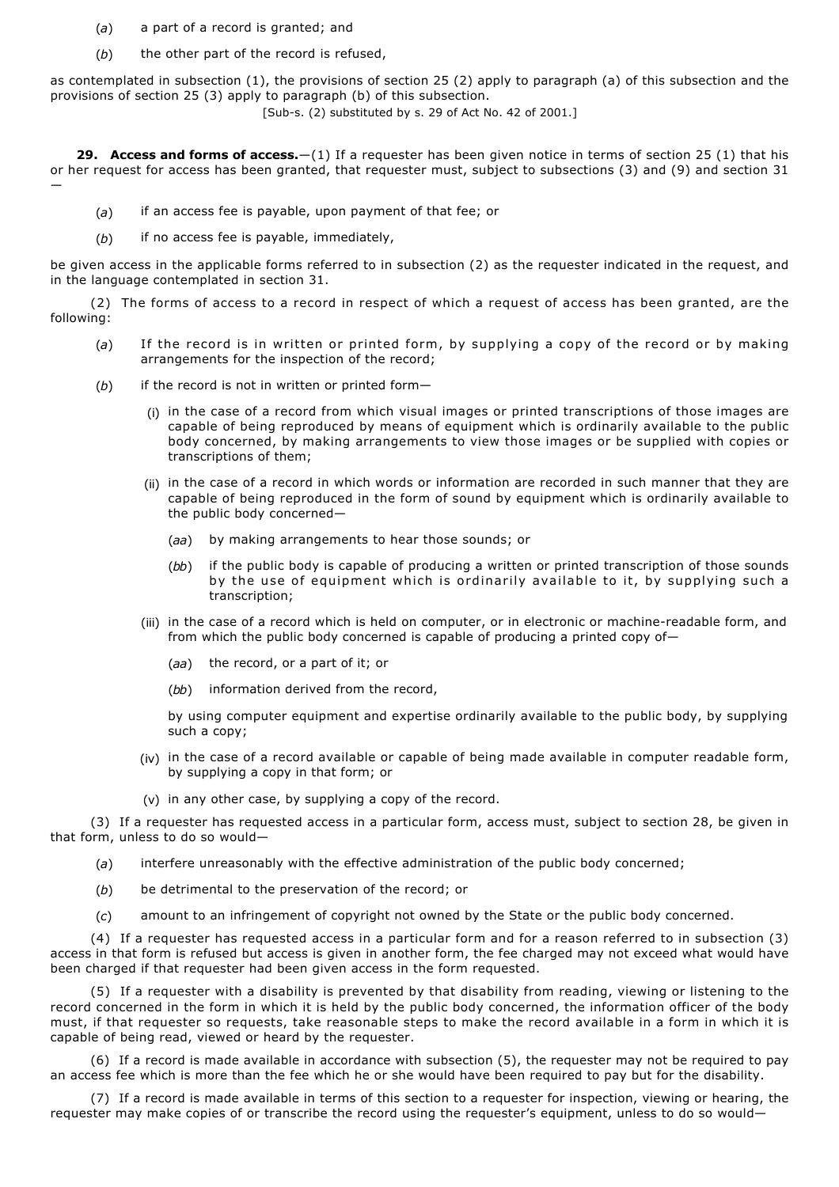- (*a*) a part of a record is granted; and
- (*b*) the other part of the record is refused,

as contemplated in subsection (1), the provisions of section 25 (2) apply to paragraph (a) of this subsection and the provisions of section 25 (3) apply to paragraph (b) of this subsection.

[Sub-s. (2) substituted by s. 29 of Act No. 42 of 2001.]

**29. Access and forms of access.**—(1) If a requester has been given notice in terms of section 25 (1) that his or her request for access has been granted, that requester must, subject to subsections (3) and (9) and section 31

- (*a*) if an access fee is payable, upon payment of that fee; or
- (*b*) if no access fee is payable, immediately,

—

be given access in the applicable forms referred to in subsection (2) as the requester indicated in the request, and in the language contemplated in section 31.

(2) The forms of access to a record in respect of which a request of access has been granted, are the following:

- (*a*) If the record is in written or printed form, by supplying a copy of the record or by making arrangements for the inspection of the record;
- (*b*) if the record is not in written or printed form—
	- (i) in the case of a record from which visual images or printed transcriptions of those images are capable of being reproduced by means of equipment which is ordinarily available to the public body concerned, by making arrangements to view those images or be supplied with copies or transcriptions of them;
	- (ii) in the case of a record in which words or information are recorded in such manner that they are capable of being reproduced in the form of sound by equipment which is ordinarily available to the public body concerned—
		- (*aa*) by making arrangements to hear those sounds; or
		- (*bb*) if the public body is capable of producing a written or printed transcription of those sounds by the use of equipment which is ordinarily available to it, by supplying such a transcription;
	- (iii) in the case of a record which is held on computer, or in electronic or machine-readable form, and from which the public body concerned is capable of producing a printed copy of—
		- (*aa*) the record, or a part of it; or
		- (*bb*) information derived from the record,

by using computer equipment and expertise ordinarily available to the public body, by supplying such a copy;

- (iv) in the case of a record available or capable of being made available in computer readable form, by supplying a copy in that form; or
- $(v)$  in any other case, by supplying a copy of the record.

(3) If a requester has requested access in a particular form, access must, subject to section 28, be given in that form, unless to do so would—

- (*a*) interfere unreasonably with the effective administration of the public body concerned;
- (*b*) be detrimental to the preservation of the record; or
- (*c*) amount to an infringement of copyright not owned by the State or the public body concerned.

(4) If a requester has requested access in a particular form and for a reason referred to in subsection (3) access in that form is refused but access is given in another form, the fee charged may not exceed what would have been charged if that requester had been given access in the form requested.

(5) If a requester with a disability is prevented by that disability from reading, viewing or listening to the record concerned in the form in which it is held by the public body concerned, the information officer of the body must, if that requester so requests, take reasonable steps to make the record available in a form in which it is capable of being read, viewed or heard by the requester.

(6) If a record is made available in accordance with subsection (5), the requester may not be required to pay an access fee which is more than the fee which he or she would have been required to pay but for the disability.

(7) If a record is made available in terms of this section to a requester for inspection, viewing or hearing, the requester may make copies of or transcribe the record using the requester's equipment, unless to do so would—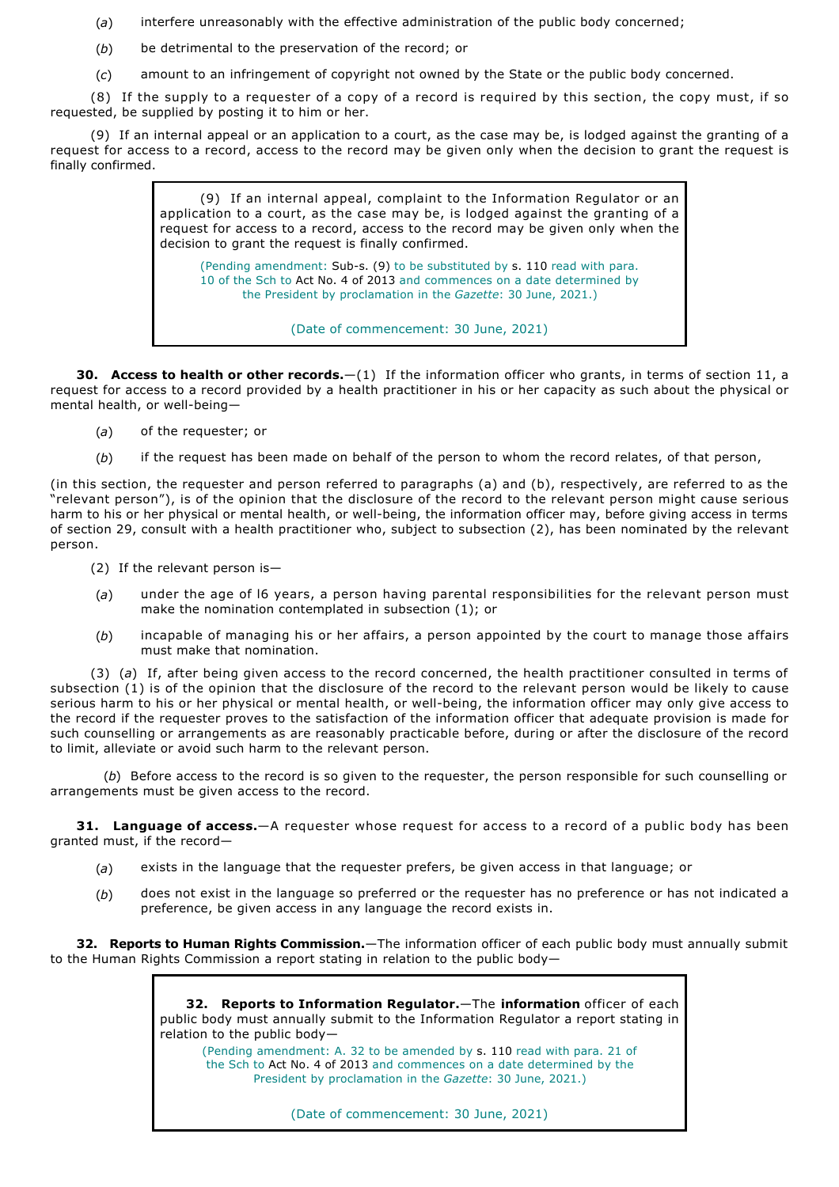- (*a*) interfere unreasonably with the effective administration of the public body concerned;
- (*b*) be detrimental to the preservation of the record; or
- (*c*) amount to an infringement of copyright not owned by the State or the public body concerned.

(8) If the supply to a requester of a copy of a record is required by this section, the copy must, if so requested, be supplied by posting it to him or her.

(9) If an internal appeal or an application to a court, as the case may be, is lodged against the granting of a request for access to a record, access to the record may be given only when the decision to grant the request is finally confirmed.

> (9) If an internal appeal, complaint to the Information Regulator or an application to a court, as the case may be, is lodged against the granting of a request for access to a record, access to the record may be given only when the decision to grant the request is finally confirmed.

(Pending amendment: Sub-s. (9) to be substituted by s. 110 read with para. 10 of the Sch to Act No. 4 of 2013 and commences on a date determined by the President by proclamation in the *Gazette*: 30 June, 2021.)

(Date of commencement: 30 June, 2021)

**30. Access to health or other records.**—(1) If the information officer who grants, in terms of section 11, a request for access to a record provided by a health practitioner in his or her capacity as such about the physical or mental health, or well-being-

- (*a*) of the requester; or
- (*b*) if the request has been made on behalf of the person to whom the record relates, of that person,

(in this section, the requester and person referred to paragraphs (a) and (b), respectively, are referred to as the "relevant person"), is of the opinion that the disclosure of the record to the relevant person might cause serious harm to his or her physical or mental health, or well-being, the information officer may, before giving access in terms of section 29, consult with a health practitioner who, subject to subsection (2), has been nominated by the relevant person.

- (2) If the relevant person is—
- (*a*) under the age of l6 years, a person having parental responsibilities for the relevant person must make the nomination contemplated in subsection (1); or
- (*b*) incapable of managing his or her affairs, a person appointed by the court to manage those affairs must make that nomination.

(3) (*a*) If, after being given access to the record concerned, the health practitioner consulted in terms of subsection (1) is of the opinion that the disclosure of the record to the relevant person would be likely to cause serious harm to his or her physical or mental health, or well-being, the information officer may only give access to the record if the requester proves to the satisfaction of the information officer that adequate provision is made for such counselling or arrangements as are reasonably practicable before, during or after the disclosure of the record to limit, alleviate or avoid such harm to the relevant person.

(*b*) Before access to the record is so given to the requester, the person responsible for such counselling or arrangements must be given access to the record.

**31. Language of access.**—A requester whose request for access to a record of a public body has been granted must, if the record—

- (*a*) exists in the language that the requester prefers, be given access in that language; or
- (*b*) does not exist in the language so preferred or the requester has no preference or has not indicated a preference, be given access in any language the record exists in.

**32. Reports to Human Rights Commission.**—The information officer of each public body must annually submit to the Human Rights Commission a report stating in relation to the public body—

> **32. Reports to Information Regulator.**—The **information** officer of each public body must annually submit to the Information Regulator a report stating in relation to the public body— (Pending amendment: A. 32 to be amended by s. 110 read with para. 21 of the Sch to Act No. 4 of 2013 and commences on a date determined by the President by proclamation in the *Gazette*: 30 June, 2021.)

(Date of commencement: 30 June, 2021)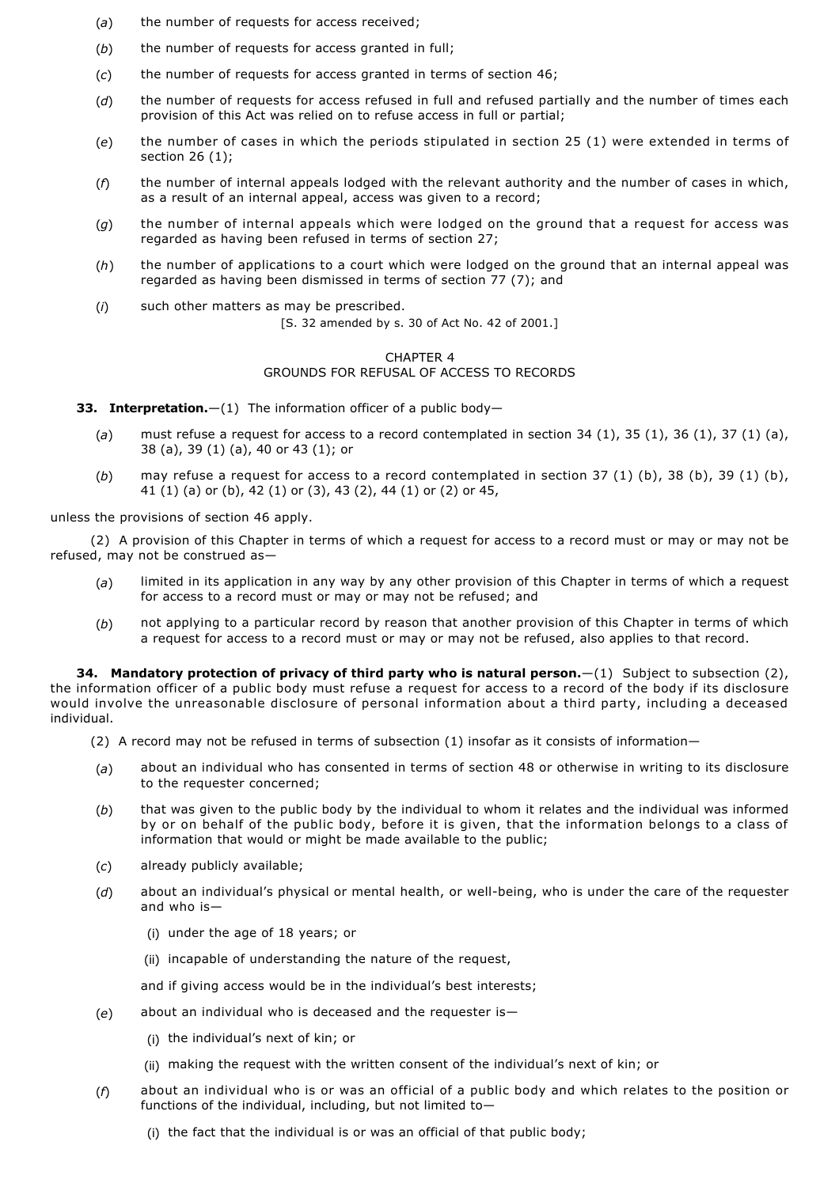- (*a*) the number of requests for access received;
- (*b*) the number of requests for access granted in full;
- (*c*) the number of requests for access granted in terms of section 46;
- (*d*) the number of requests for access refused in full and refused partially and the number of times each provision of this Act was relied on to refuse access in full or partial;
- (*e*) the number of cases in which the periods stipulated in section 25 (1) were extended in terms of section 26 (1);
- (*f*) the number of internal appeals lodged with the relevant authority and the number of cases in which, as a result of an internal appeal, access was given to a record;
- (*g*) the number of internal appeals which were lodged on the ground that a request for access was regarded as having been refused in terms of section 27;
- (*h*) the number of applications to a court which were lodged on the ground that an internal appeal was regarded as having been dismissed in terms of section 77 (7); and
- (*i*) such other matters as may be prescribed.

[S. 32 amended by s. 30 of Act No. 42 of 2001.]

#### CHAPTER 4 GROUNDS FOR REFUSAL OF ACCESS TO RECORDS

**33. Interpretation.**—(1) The information officer of a public body—

- (*a*) must refuse a request for access to a record contemplated in section 34 (1), 35 (1), 36 (1), 37 (1) (a), 38 (a), 39 (1) (a), 40 or 43 (1); or
- (*b*) may refuse a request for access to a record contemplated in section 37 (1) (b), 38 (b), 39 (1) (b), 41 (1) (a) or (b), 42 (1) or (3), 43 (2), 44 (1) or (2) or 45,

unless the provisions of section 46 apply.

(2) A provision of this Chapter in terms of which a request for access to a record must or may or may not be refused, may not be construed as—

- (*a*) limited in its application in any way by any other provision of this Chapter in terms of which a request for access to a record must or may or may not be refused; and
- (*b*) not applying to a particular record by reason that another provision of this Chapter in terms of which a request for access to a record must or may or may not be refused, also applies to that record.

**34. Mandatory protection of privacy of third party who is natural person.**—(1) Subject to subsection (2), the information officer of a public body must refuse a request for access to a record of the body if its disclosure would involve the unreasonable disclosure of personal information about a third party, including a deceased individual.

- (2) A record may not be refused in terms of subsection (1) insofar as it consists of information—
- (*a*) about an individual who has consented in terms of section 48 or otherwise in writing to its disclosure to the requester concerned;
- (*b*) that was given to the public body by the individual to whom it relates and the individual was informed by or on behalf of the public body, before it is given, that the information belongs to a class of information that would or might be made available to the public;
- (*c*) already publicly available;
- (d) about an individual's physical or mental health, or well-being, who is under the care of the requester and who is—
	- (i) under the age of 18 years; or
	- (ii) incapable of understanding the nature of the request,

and if giving access would be in the individual's best interests;

- (*e*) about an individual who is deceased and the requester is—
	- (i) the individual's next of kin; or
	- (ii) making the request with the written consent of the individual's next of kin; or
- (*f*) about an individual who is or was an official of a public body and which relates to the position or functions of the individual, including, but not limited to—
	- (i) the fact that the individual is or was an official of that public body;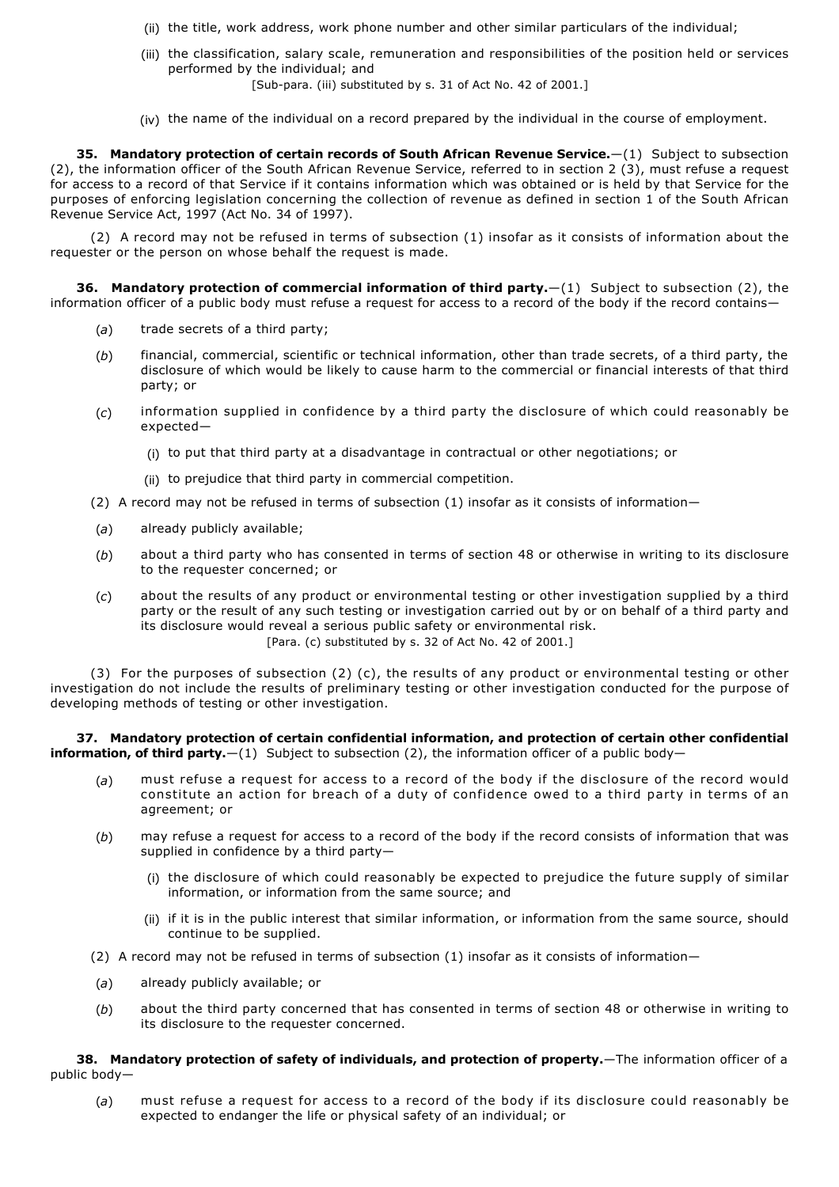- (ii) the title, work address, work phone number and other similar particulars of the individual;
- (iii) the classification, salary scale, remuneration and responsibilities of the position held or services performed by the individual; and
	- [Sub-para. (iii) substituted by s. 31 of Act No. 42 of 2001.]
- (iv) the name of the individual on a record prepared by the individual in the course of employment.

**35. Mandatory protection of certain records of South African Revenue Service.**—(1) Subject to subsection (2), the information officer of the South African Revenue Service, referred to in section 2 (3), must refuse a request for access to a record of that Service if it contains information which was obtained or is held by that Service for the purposes of enforcing legislation concerning the collection of revenue as defined in section 1 of the South African Revenue Service Act, 1997 (Act No. 34 of 1997).

(2) A record may not be refused in terms of subsection (1) insofar as it consists of information about the requester or the person on whose behalf the request is made.

**36. Mandatory protection of commercial information of third party.**—(1) Subject to subsection (2), the information officer of a public body must refuse a request for access to a record of the body if the record contains—

- (*a*) trade secrets of a third party;
- (*b*) financial, commercial, scientific or technical information, other than trade secrets, of a third party, the disclosure of which would be likely to cause harm to the commercial or financial interests of that third party; or
- (*c*) information supplied in confidence by a third party the disclosure of which could reasonably be expected—
	- (i) to put that third party at a disadvantage in contractual or other negotiations; or
	- (ii) to prejudice that third party in commercial competition.
- (2) A record may not be refused in terms of subsection (1) insofar as it consists of information—
- (*a*) already publicly available;
- (*b*) about a third party who has consented in terms of section 48 or otherwise in writing to its disclosure to the requester concerned; or
- (*c*) about the results of any product or environmental testing or other investigation supplied by a third party or the result of any such testing or investigation carried out by or on behalf of a third party and its disclosure would reveal a serious public safety or environmental risk. [Para. (c) substituted by s. 32 of Act No. 42 of 2001.]

(3) For the purposes of subsection (2) (c), the results of any product or environmental testing or other investigation do not include the results of preliminary testing or other investigation conducted for the purpose of developing methods of testing or other investigation.

**37. Mandatory protection of certain confidential information, and protection of certain other confidential information, of third party.**—(1) Subject to subsection (2), the information officer of a public body—

- (*a*) must refuse a request for access to a record of the body if the disclosure of the record would constitute an action for breach of a duty of confidence owed to a third party in terms of an agreement; or
- (*b*) may refuse a request for access to a record of the body if the record consists of information that was supplied in confidence by a third party—
	- (i) the disclosure of which could reasonably be expected to prejudice the future supply of similar information, or information from the same source; and
	- (ii) if it is in the public interest that similar information, or information from the same source, should continue to be supplied.
- (2) A record may not be refused in terms of subsection (1) insofar as it consists of information—
- (*a*) already publicly available; or
- (*b*) about the third party concerned that has consented in terms of section 48 or otherwise in writing to its disclosure to the requester concerned.

**38. Mandatory protection of safety of individuals, and protection of property.**—The information officer of a public body—

(*a*) must refuse a request for access to a record of the body if its disclosure could reasonably be expected to endanger the life or physical safety of an individual; or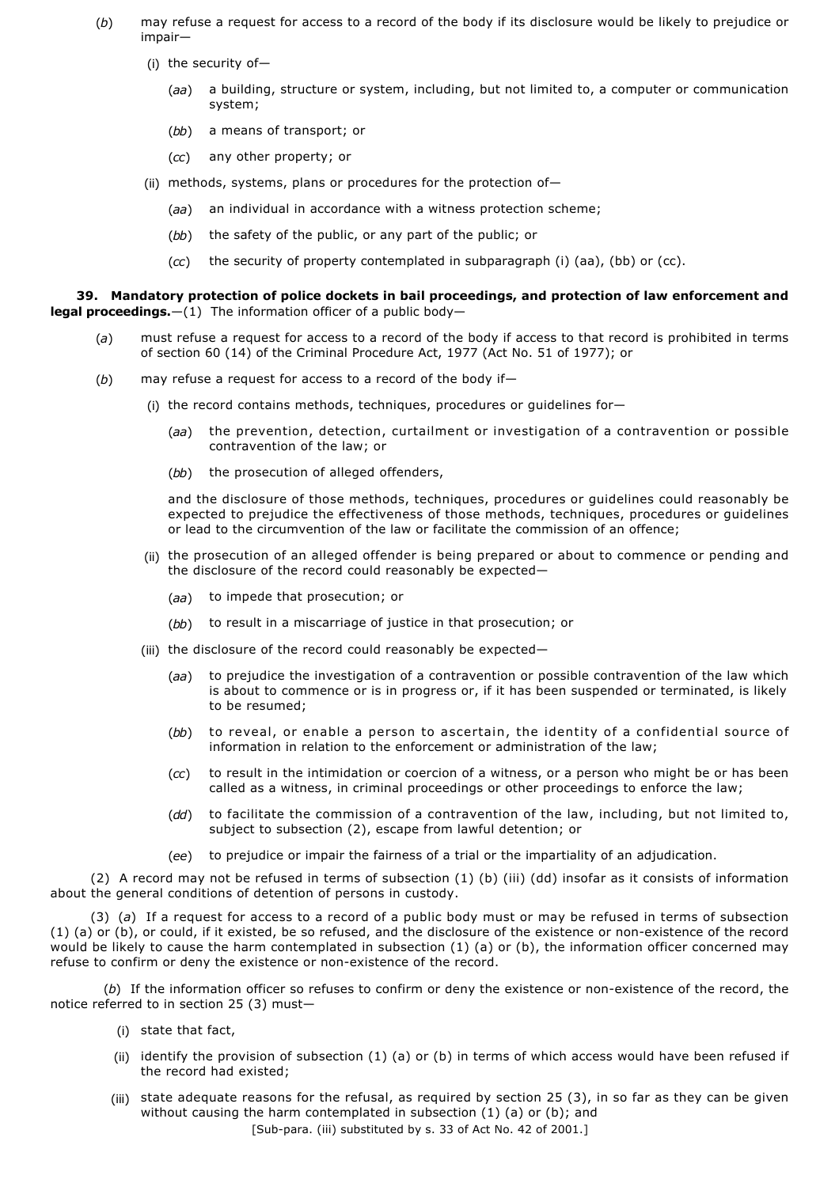- (*b*) may refuse a request for access to a record of the body if its disclosure would be likely to prejudice or impair—
	- (i) the security of—
		- (*aa*) a building, structure or system, including, but not limited to, a computer or communication system;
		- (*bb*) a means of transport; or
		- (*cc*) any other property; or
	- (ii) methods, systems, plans or procedures for the protection of—
		- (*aa*) an individual in accordance with a witness protection scheme;
		- (*bb*) the safety of the public, or any part of the public; or
		- (*cc*) the security of property contemplated in subparagraph (i) (aa), (bb) or (cc).

**39. Mandatory protection of police dockets in bail proceedings, and protection of law enforcement and legal proceedings.**—(1) The information officer of a public body—

- (*a*) must refuse a request for access to a record of the body if access to that record is prohibited in terms of section 60 (14) of the Criminal Procedure Act, 1977 (Act No. 51 of 1977); or
- (*b*) may refuse a request for access to a record of the body if—
	- (i) the record contains methods, techniques, procedures or guidelines for—
		- (*aa*) the prevention, detection, curtailment or investigation of a contravention or possible contravention of the law; or
		- (bb) the prosecution of alleged offenders,

and the disclosure of those methods, techniques, procedures or guidelines could reasonably be expected to prejudice the effectiveness of those methods, techniques, procedures or guidelines or lead to the circumvention of the law or facilitate the commission of an offence;

- (ii) the prosecution of an alleged offender is being prepared or about to commence or pending and the disclosure of the record could reasonably be expected—
	- (*aa*) to impede that prosecution; or
	- (*bb*) to result in a miscarriage of justice in that prosecution; or
- (iii) the disclosure of the record could reasonably be expected—
	- (*aa*) to prejudice the investigation of a contravention or possible contravention of the law which is about to commence or is in progress or, if it has been suspended or terminated, is likely to be resumed;
	- (*bb*) to reveal, or enable a person to ascertain, the identity of a confidential source of information in relation to the enforcement or administration of the law;
	- (*cc*) to result in the intimidation or coercion of a witness, or a person who might be or has been called as a witness, in criminal proceedings or other proceedings to enforce the law;
	- (*dd*) to facilitate the commission of a contravention of the law, including, but not limited to, subject to subsection (2), escape from lawful detention; or
	- (*ee*) to prejudice or impair the fairness of a trial or the impartiality of an adjudication.

(2) A record may not be refused in terms of subsection (1) (b) (iii) (dd) insofar as it consists of information about the general conditions of detention of persons in custody.

(3) (*a*) If a request for access to a record of a public body must or may be refused in terms of subsection (1) (a) or (b), or could, if it existed, be so refused, and the disclosure of the existence or nonexistence of the record would be likely to cause the harm contemplated in subsection (1) (a) or (b), the information officer concerned may refuse to confirm or deny the existence or non-existence of the record.

(*b*) If the information officer so refuses to confirm or deny the existence or nonexistence of the record, the notice referred to in section 25 (3) must—

- (i) state that fact,
- (ii) identify the provision of subsection (1) (a) or (b) in terms of which access would have been refused if the record had existed;
- (iii) state adequate reasons for the refusal, as required by section 25 (3), in so far as they can be given without causing the harm contemplated in subsection (1) (a) or (b); and [Sub-para. (iii) substituted by s. 33 of Act No. 42 of 2001.]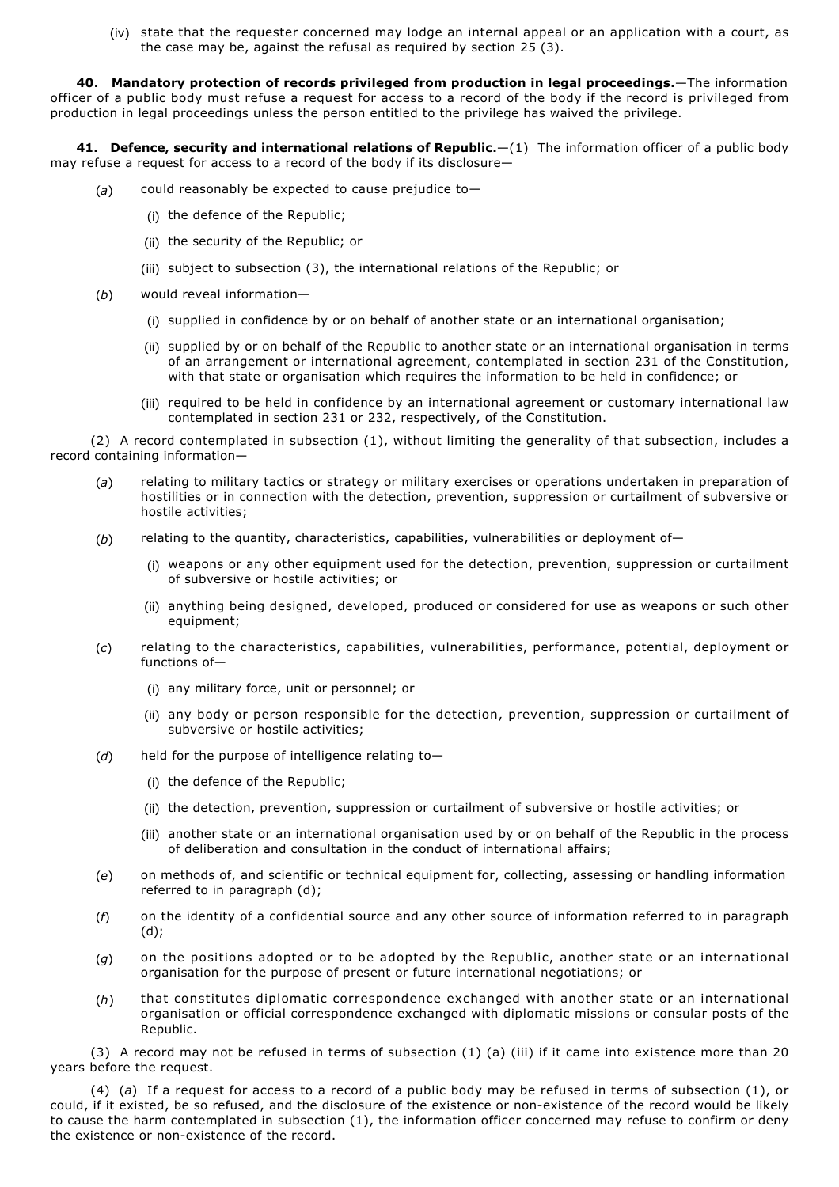(iv) state that the requester concerned may lodge an internal appeal or an application with a court, as the case may be, against the refusal as required by section 25 (3).

**40. Mandatory protection of records privileged from production in legal proceedings.**—The information officer of a public body must refuse a request for access to a record of the body if the record is privileged from production in legal proceedings unless the person entitled to the privilege has waived the privilege.

**41. Defence, security and international relations of Republic.**—(1) The information officer of a public body may refuse a request for access to a record of the body if its disclosure—

- (*a*) could reasonably be expected to cause prejudice to—
	- (i) the defence of the Republic;
	- (ii) the security of the Republic; or
	- (iii) subject to subsection (3), the international relations of the Republic; or
- (*b*) would reveal information—
	- (i) supplied in confidence by or on behalf of another state or an international organisation;
	- (ii) supplied by or on behalf of the Republic to another state or an international organisation in terms of an arrangement or international agreement, contemplated in section 231 of the Constitution, with that state or organisation which requires the information to be held in confidence; or
	- (iii) required to be held in confidence by an international agreement or customary international law contemplated in section 231 or 232, respectively, of the Constitution.

(2) A record contemplated in subsection (1), without limiting the generality of that subsection, includes a record containing information—

- (*a*) relating to military tactics or strategy or military exercises or operations undertaken in preparation of hostilities or in connection with the detection, prevention, suppression or curtailment of subversive or hostile activities;
- (*b*) relating to the quantity, characteristics, capabilities, vulnerabilities or deployment of—
	- (i) weapons or any other equipment used for the detection, prevention, suppression or curtailment of subversive or hostile activities; or
	- (ii) anything being designed, developed, produced or considered for use as weapons or such other equipment;
- (*c*) relating to the characteristics, capabilities, vulnerabilities, performance, potential, deployment or functions of—
	- (i) any military force, unit or personnel; or
	- (ii) any body or person responsible for the detection, prevention, suppression or curtailment of subversive or hostile activities;
- (*d*) held for the purpose of intelligence relating to—
	- (i) the defence of the Republic;
	- (ii) the detection, prevention, suppression or curtailment of subversive or hostile activities; or
	- (iii) another state or an international organisation used by or on behalf of the Republic in the process of deliberation and consultation in the conduct of international affairs;
- (*e*) on methods of, and scientific or technical equipment for, collecting, assessing or handling information referred to in paragraph (d);
- (*f*) on the identity of a confidential source and any other source of information referred to in paragraph (d);
- (*g*) on the positions adopted or to be adopted by the Republic, another state or an international organisation for the purpose of present or future international negotiations; or
- (*h*) that constitutes diplomatic correspondence exchanged with another state or an international organisation or official correspondence exchanged with diplomatic missions or consular posts of the Republic.

(3) A record may not be refused in terms of subsection (1) (a) (iii) if it came into existence more than 20 years before the request.

(4) (*a*) If a request for access to a record of a public body may be refused in terms of subsection (1), or could, if it existed, be so refused, and the disclosure of the existence or nonexistence of the record would be likely to cause the harm contemplated in subsection (1), the information officer concerned may refuse to confirm or deny the existence or non-existence of the record.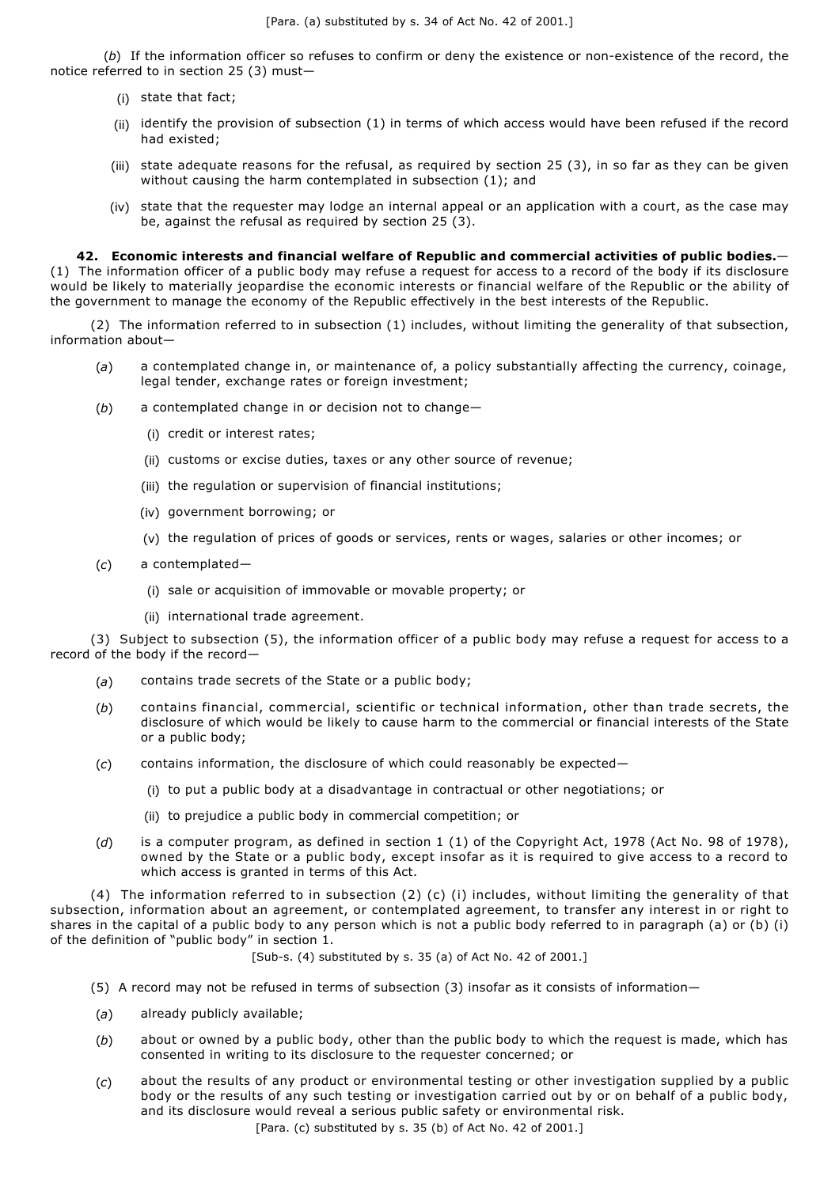(*b*) If the information officer so refuses to confirm or deny the existence or nonexistence of the record, the notice referred to in section 25 (3) must—

- (i) state that fact;
- (ii) identify the provision of subsection (1) in terms of which access would have been refused if the record had existed;
- (iii) state adequate reasons for the refusal, as required by section 25 (3), in so far as they can be given without causing the harm contemplated in subsection (1); and
- (iv) state that the requester may lodge an internal appeal or an application with a court, as the case may be, against the refusal as required by section 25 (3).

**42. Economic interests and financial welfare of Republic and commercial activities of public bodies.**— (1) The information officer of a public body may refuse a request for access to a record of the body if its disclosure would be likely to materially jeopardise the economic interests or financial welfare of the Republic or the ability of the government to manage the economy of the Republic effectively in the best interests of the Republic.

(2) The information referred to in subsection (1) includes, without limiting the generality of that subsection, information about—

- (*a*) a contemplated change in, or maintenance of, a policy substantially affecting the currency, coinage, legal tender, exchange rates or foreign investment;
- (*b*) a contemplated change in or decision not to change—
	- (i) credit or interest rates;
	- (ii) customs or excise duties, taxes or any other source of revenue;
	- (iii) the regulation or supervision of financial institutions;
	- (iv) government borrowing; or
	- (v) the regulation of prices of goods or services, rents or wages, salaries or other incomes; or
- (*c*) a contemplated—
	- (i) sale or acquisition of immovable or movable property; or
	- (ii) international trade agreement.

(3) Subject to subsection (5), the information officer of a public body may refuse a request for access to a record of the body if the record—

- (*a*) contains trade secrets of the State or a public body;
- (*b*) contains financial, commercial, scientific or technical information, other than trade secrets, the disclosure of which would be likely to cause harm to the commercial or financial interests of the State or a public body;
- (*c*) contains information, the disclosure of which could reasonably be expected—
	- (i) to put a public body at a disadvantage in contractual or other negotiations; or
	- (ii) to prejudice a public body in commercial competition; or
- (*d*) is a computer program, as defined in section 1 (1) of the Copyright Act, 1978 (Act No. 98 of 1978), owned by the State or a public body, except insofar as it is required to give access to a record to which access is granted in terms of this Act.

(4) The information referred to in subsection (2) (c) (i) includes, without limiting the generality of that subsection, information about an agreement, or contemplated agreement, to transfer any interest in or right to shares in the capital of a public body to any person which is not a public body referred to in paragraph (a) or (b) (i) of the definition of "public body" in section 1.

 $[Sub-s. (4)$  substituted by s. 35 (a) of Act No. 42 of 2001.]

- (5) A record may not be refused in terms of subsection (3) insofar as it consists of information—
- (*a*) already publicly available;
- (*b*) about or owned by a public body, other than the public body to which the request is made, which has consented in writing to its disclosure to the requester concerned; or
- (*c*) about the results of any product or environmental testing or other investigation supplied by a public body or the results of any such testing or investigation carried out by or on behalf of a public body, and its disclosure would reveal a serious public safety or environmental risk.
	- [Para. (c) substituted by s. 35 (b) of Act No. 42 of 2001.]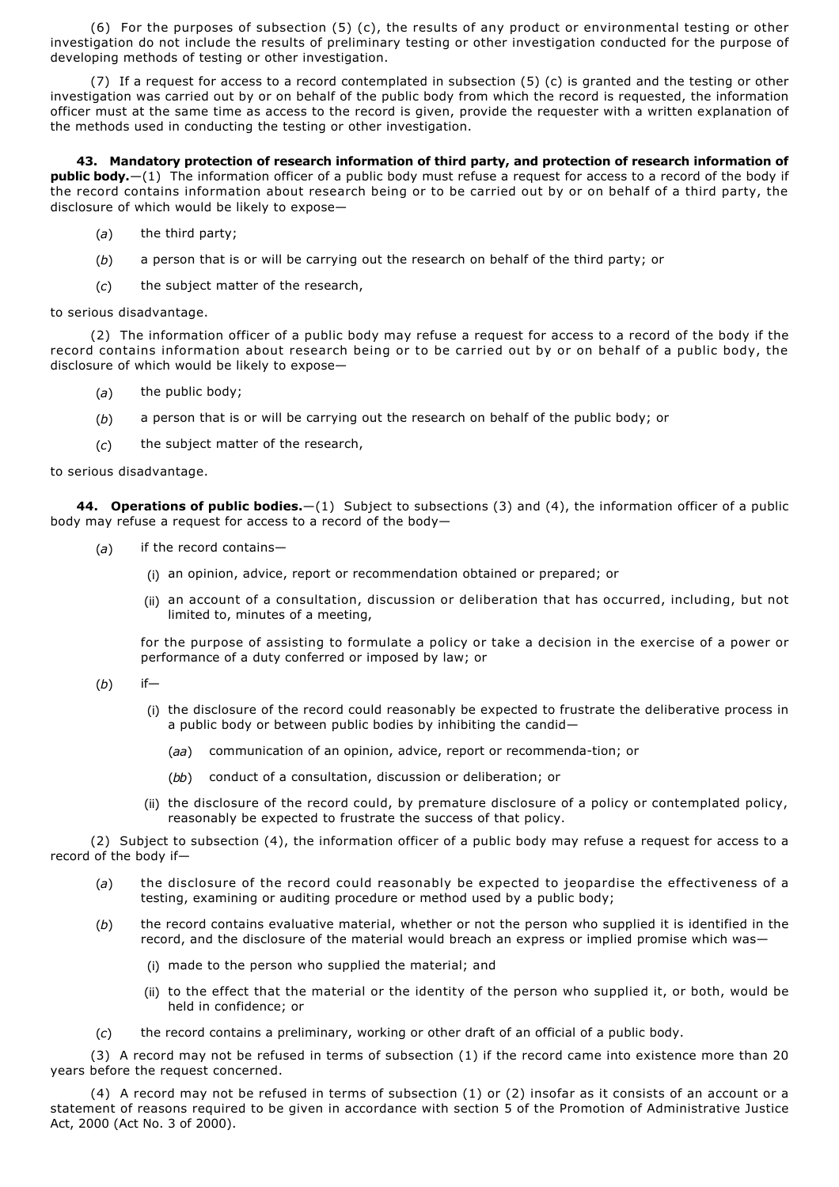(6) For the purposes of subsection (5) (c), the results of any product or environmental testing or other investigation do not include the results of preliminary testing or other investigation conducted for the purpose of developing methods of testing or other investigation.

(7) If a request for access to a record contemplated in subsection (5) (c) is granted and the testing or other investigation was carried out by or on behalf of the public body from which the record is requested, the information officer must at the same time as access to the record is given, provide the requester with a written explanation of the methods used in conducting the testing or other investigation.

**43. Mandatory protection of research information of third party, and protection of research information of public body.**—(1) The information officer of a public body must refuse a request for access to a record of the body if the record contains information about research being or to be carried out by or on behalf of a third party, the disclosure of which would be likely to expose—

- (*a*) the third party;
- (*b*) a person that is or will be carrying out the research on behalf of the third party; or
- (*c*) the subject matter of the research,

to serious disadvantage.

(2) The information officer of a public body may refuse a request for access to a record of the body if the record contains information about research being or to be carried out by or on behalf of a public body, the disclosure of which would be likely to expose—

- (*a*) the public body;
- (*b*) a person that is or will be carrying out the research on behalf of the public body; or
- (*c*) the subject matter of the research,

to serious disadvantage.

**44. Operations of public bodies.**—(1) Subject to subsections (3) and (4), the information officer of a public body may refuse a request for access to a record of the body—

- (*a*) if the record contains—
	- (i) an opinion, advice, report or recommendation obtained or prepared; or
	- (ii) an account of a consultation, discussion or deliberation that has occurred, including, but not limited to, minutes of a meeting,

for the purpose of assisting to formulate a policy or take a decision in the exercise of a power or performance of a duty conferred or imposed by law; or

- (*b*) if—
	- (i) the disclosure of the record could reasonably be expected to frustrate the deliberative process in a public body or between public bodies by inhibiting the candid—
		- (aa) communication of an opinion, advice, report or recommenda-tion; or
		- (*bb*) conduct of a consultation, discussion or deliberation; or
	- (ii) the disclosure of the record could, by premature disclosure of a policy or contemplated policy, reasonably be expected to frustrate the success of that policy.

(2) Subject to subsection (4), the information officer of a public body may refuse a request for access to a record of the body if—

- (*a*) the disclosure of the record could reasonably be expected to jeopardise the effectiveness of a testing, examining or auditing procedure or method used by a public body;
- (*b*) the record contains evaluative material, whether or not the person who supplied it is identified in the record, and the disclosure of the material would breach an express or implied promise which was—
	- (i) made to the person who supplied the material; and
	- (ii) to the effect that the material or the identity of the person who supplied it, or both, would be held in confidence; or
- (*c*) the record contains a preliminary, working or other draft of an official of a public body.

(3) A record may not be refused in terms of subsection (1) if the record came into existence more than 20 years before the request concerned.

(4) A record may not be refused in terms of subsection (1) or (2) insofar as it consists of an account or a statement of reasons required to be given in accordance with section 5 of the Promotion of Administrative Justice Act, 2000 (Act No. 3 of 2000).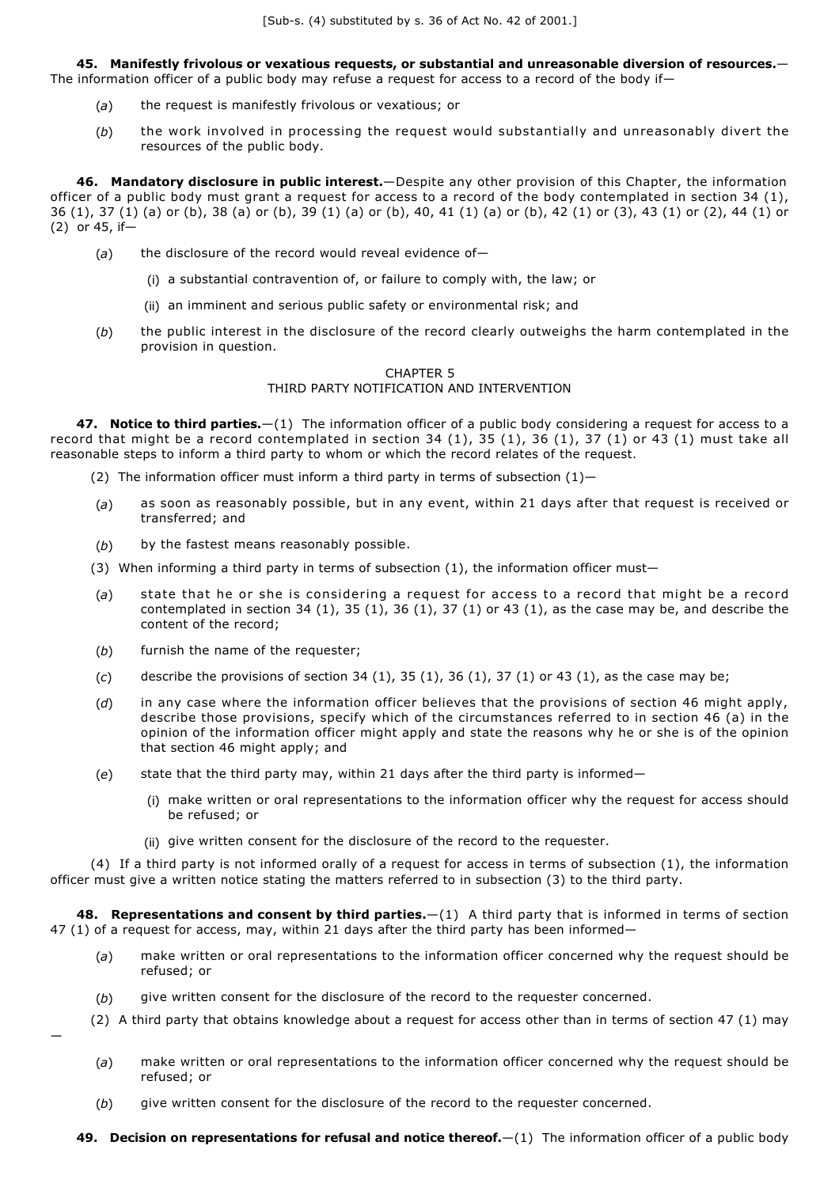**45. Manifestly frivolous or vexatious requests, or substantial and unreasonable diversion of resources.**— The information officer of a public body may refuse a request for access to a record of the body if-

- (*a*) the request is manifestly frivolous or vexatious; or
- (*b*) the work involved in processing the request would substantially and unreasonably divert the resources of the public body.

**46. Mandatory disclosure in public interest.**—Despite any other provision of this Chapter, the information officer of a public body must grant a request for access to a record of the body contemplated in section 34 (1), 36 (1), 37 (1) (a) or (b), 38 (a) or (b), 39 (1) (a) or (b), 40, 41 (1) (a) or (b), 42 (1) or (3), 43 (1) or (2), 44 (1) or (2) or 45, if-

- (*a*) the disclosure of the record would reveal evidence of—
	- (i) a substantial contravention of, or failure to comply with, the law; or
	- (ii) an imminent and serious public safety or environmental risk; and
- (*b*) the public interest in the disclosure of the record clearly outweighs the harm contemplated in the provision in question.

## CHAPTER 5 THIRD PARTY NOTIFICATION AND INTERVENTION

**47. Notice to third parties.**—(1) The information officer of a public body considering a request for access to a record that might be a record contemplated in section 34 (1), 35 (1), 36 (1), 37 (1) or 43 (1) must take all reasonable steps to inform a third party to whom or which the record relates of the request.

- (2) The information officer must inform a third party in terms of subsection  $(1)$ -
- (*a*) as soon as reasonably possible, but in any event, within 21 days after that request is received or transferred; and
- (b) by the fastest means reasonably possible.
- (3) When informing a third party in terms of subsection  $(1)$ , the information officer must-
- (*a*) state that he or she is considering a request for access to a record that might be a record contemplated in section 34 (1), 35 (1), 36 (1), 37 (1) or 43 (1), as the case may be, and describe the content of the record;
- (*b*) furnish the name of the requester;

—

- (*c*) describe the provisions of section 34 (1), 35 (1), 36 (1), 37 (1) or 43 (1), as the case may be;
- (*d*) in any case where the information officer believes that the provisions of section 46 might apply, describe those provisions, specify which of the circumstances referred to in section 46 (a) in the opinion of the information officer might apply and state the reasons why he or she is of the opinion that section 46 might apply; and
- (*e*) state that the third party may, within 21 days after the third party is informed—
	- (i) make written or oral representations to the information officer why the request for access should be refused; or
	- (ii) give written consent for the disclosure of the record to the requester.

(4) If a third party is not informed orally of a request for access in terms of subsection (1), the information officer must give a written notice stating the matters referred to in subsection (3) to the third party.

**48. Representations and consent by third parties.**—(1) A third party that is informed in terms of section 47 (1) of a request for access, may, within 21 days after the third party has been informed—

- (*a*) make written or oral representations to the information officer concerned why the request should be refused; or
- (*b*) give written consent for the disclosure of the record to the requester concerned.
- (2) A third party that obtains knowledge about a request for access other than in terms of section 47 (1) may
- (*a*) make written or oral representations to the information officer concerned why the request should be refused; or
- (*b*) give written consent for the disclosure of the record to the requester concerned.
- **49. Decision on representations for refusal and notice thereof.**—(1) The information officer of a public body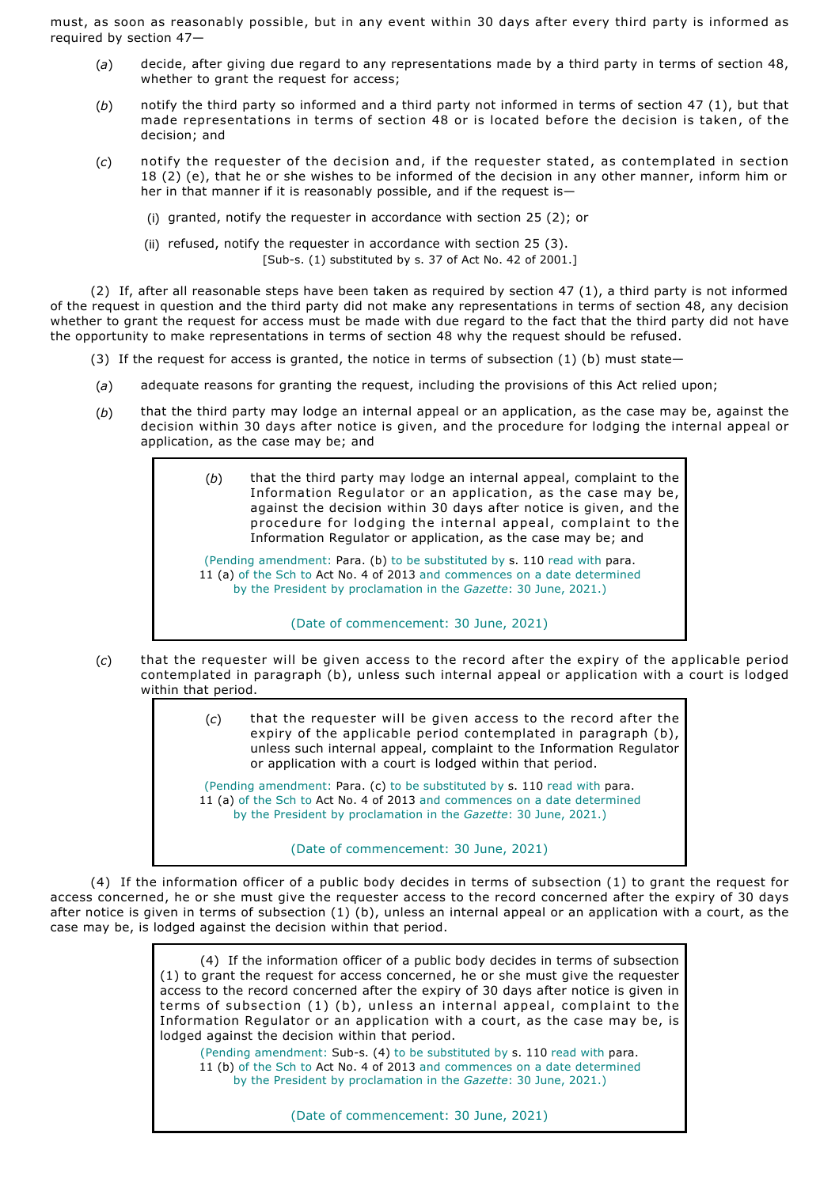must, as soon as reasonably possible, but in any event within 30 days after every third party is informed as required by section 47—

- (*a*) decide, after giving due regard to any representations made by a third party in terms of section 48, whether to grant the request for access;
- (*b*) notify the third party so informed and a third party not informed in terms of section 47 (1), but that made representations in terms of section 48 or is located before the decision is taken, of the decision; and
- (*c*) notify the requester of the decision and, if the requester stated, as contemplated in section 18 (2) (e), that he or she wishes to be informed of the decision in any other manner, inform him or her in that manner if it is reasonably possible, and if the request is—
	- (i) granted, notify the requester in accordance with section 25 (2); or
	- (ii) refused, notify the requester in accordance with section  $25(3)$ .

 $[Sub-s. (1)$  substituted by s. 37 of Act No. 42 of 2001.]

(2) If, after all reasonable steps have been taken as required by section 47 (1), a third party is not informed of the request in question and the third party did not make any representations in terms of section 48, any decision whether to grant the request for access must be made with due regard to the fact that the third party did not have the opportunity to make representations in terms of section 48 why the request should be refused.

- (3) If the request for access is granted, the notice in terms of subsection (1) (b) must state—
- (*a*) adequate reasons for granting the request, including the provisions of this Act relied upon;
- (*b*) that the third party may lodge an internal appeal or an application, as the case may be, against the decision within 30 days after notice is given, and the procedure for lodging the internal appeal or application, as the case may be; and

(*b*) that the third party may lodge an internal appeal, complaint to the Information Regulator or an application, as the case may be, against the decision within 30 days after notice is given, and the procedure for lodging the internal appeal, complaint to the Information Regulator or application, as the case may be; and

(Pending amendment: Para. (b) to be substituted by s. 110 read with para. 11 (a) of the Sch to Act No. 4 of 2013 and commences on a date determined by the President by proclamation in the *Gazette*: 30 June, 2021.)

(Date of commencement: 30 June, 2021)

- (*c*) that the requester will be given access to the record after the expiry of the applicable period contemplated in paragraph (b), unless such internal appeal or application with a court is lodged within that period.
	- (*c*) that the requester will be given access to the record after the expiry of the applicable period contemplated in paragraph (b), unless such internal appeal, complaint to the Information Regulator or application with a court is lodged within that period.

(Pending amendment: Para. (c) to be substituted by s. 110 read with para. 11 (a) of the Sch to Act No. 4 of 2013 and commences on a date determined by the President by proclamation in the *Gazette*: 30 June, 2021.)

(Date of commencement: 30 June, 2021)

(4) If the information officer of a public body decides in terms of subsection (1) to grant the request for access concerned, he or she must give the requester access to the record concerned after the expiry of 30 days after notice is given in terms of subsection (1) (b), unless an internal appeal or an application with a court, as the case may be, is lodged against the decision within that period.

> (4) If the information officer of a public body decides in terms of subsection (1) to grant the request for access concerned, he or she must give the requester access to the record concerned after the expiry of 30 days after notice is given in terms of subsection (1) (b), unless an internal appeal, complaint to the Information Regulator or an application with a court, as the case may be, is lodged against the decision within that period. (Pending amendment: Sub-s. (4) to be substituted by s. 110 read with para. 11 (b) of the Sch to Act No. 4 of 2013 and commences on a date determined by the President by proclamation in the *Gazette*: 30 June, 2021.)

> > (Date of commencement: 30 June, 2021)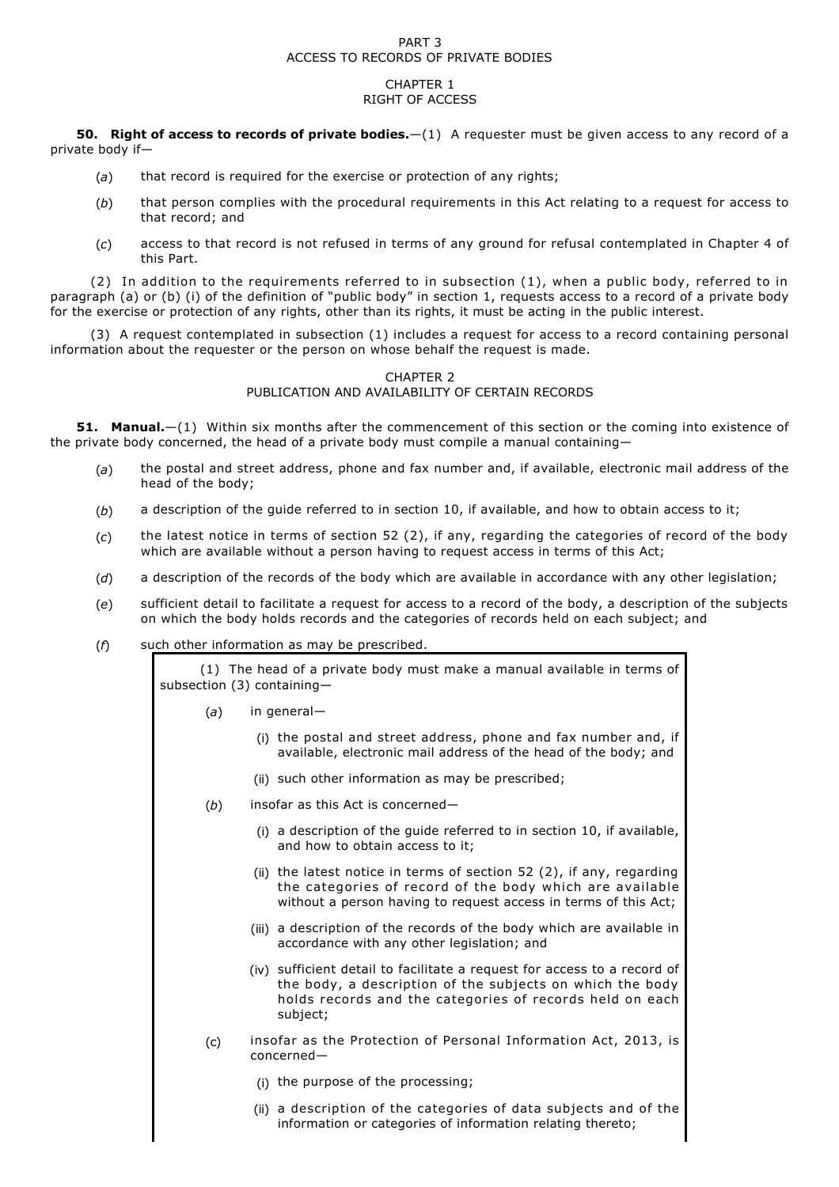#### PART 3 ACCESS TO RECORDS OF PRIVATE BODIES

# CHAPTER 1

## RIGHT OF ACCESS

**50. Right of access to records of private bodies.**  $-(1)$  A requester must be given access to any record of a private body if—

- (*a*) that record is required for the exercise or protection of any rights;
- (*b*) that person complies with the procedural requirements in this Act relating to a request for access to that record; and
- (*c*) access to that record is not refused in terms of any ground for refusal contemplated in Chapter 4 of this Part.

(2) In addition to the requirements referred to in subsection (1), when a public body, referred to in paragraph (a) or (b) (i) of the definition of "public body" in section 1, requests access to a record of a private body for the exercise or protection of any rights, other than its rights, it must be acting in the public interest.

(3) A request contemplated in subsection (1) includes a request for access to a record containing personal information about the requester or the person on whose behalf the request is made.

#### CHAPTER 2 PUBLICATION AND AVAILABILITY OF CERTAIN RECORDS

**51. Manual.**—(1) Within six months after the commencement of this section or the coming into existence of the private body concerned, the head of a private body must compile a manual containing—

- (*a*) the postal and street address, phone and fax number and, if available, electronic mail address of the head of the body;
- (*b*) a description of the guide referred to in section 10, if available, and how to obtain access to it;
- (*c*) the latest notice in terms of section 52 (2), if any, regarding the categories of record of the body which are available without a person having to request access in terms of this Act;
- (*d*) a description of the records of the body which are available in accordance with any other legislation;
- (*e*) sufficient detail to facilitate a request for access to a record of the body, a description of the subjects on which the body holds records and the categories of records held on each subject; and
- (*f*) such other information as may be prescribed.

(1) The head of a private body must make a manual available in terms of subsection (3) containing—

- (*a*) in general—
	- (i) the postal and street address, phone and fax number and, if available, electronic mail address of the head of the body; and
	- (ii) such other information as may be prescribed;
- (*b*) insofar as this Act is concerned—
	- (i) a description of the guide referred to in section 10, if available, and how to obtain access to it;
	- (ii) the latest notice in terms of section 52 (2), if any, regarding the categories of record of the body which are available without a person having to request access in terms of this Act;
	- (iii) a description of the records of the body which are available in accordance with any other legislation; and
	- (iv) sufficient detail to facilitate a request for access to a record of the body, a description of the subjects on which the body holds records and the categories of records held on each subject;
- (c) insofar as the Protection of Personal Information Act, 2013, is concerned—
	- (i) the purpose of the processing;
	- (ii) a description of the categories of data subjects and of the information or categories of information relating thereto;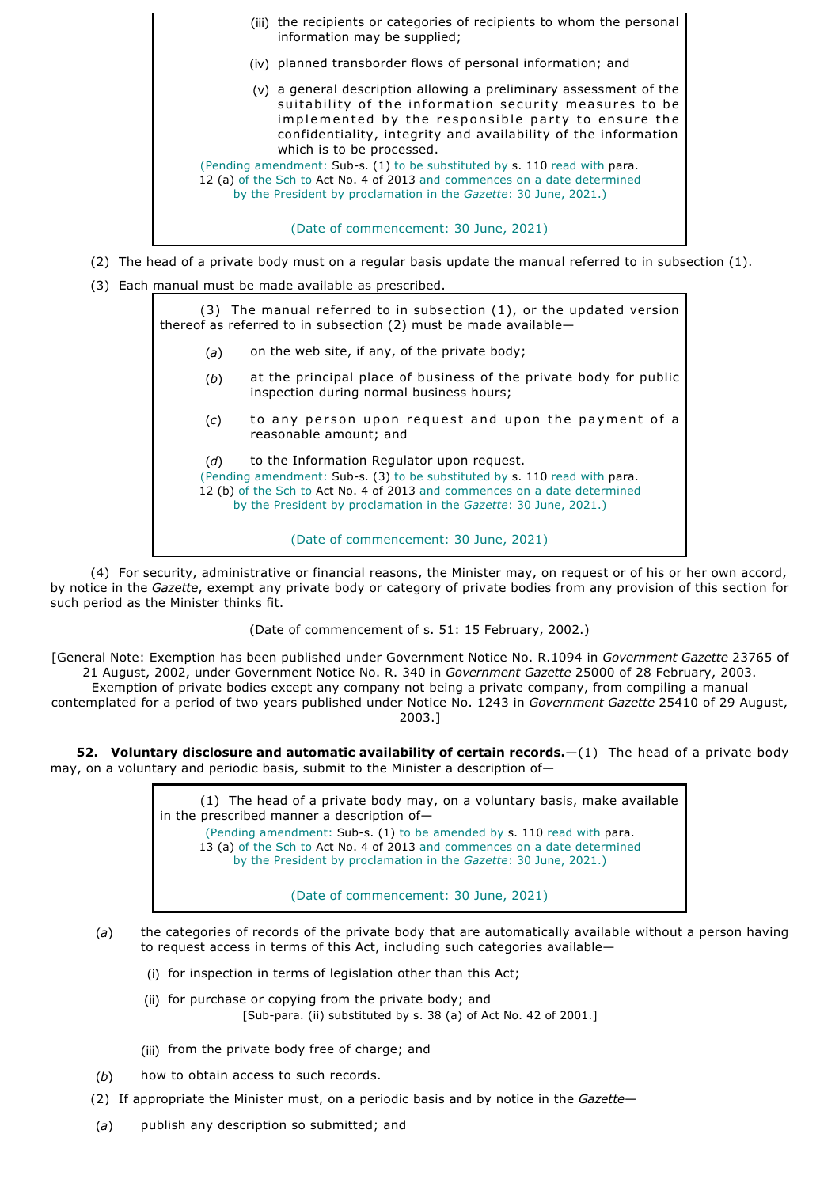

(3) Each manual must be made available as prescribed.

(3) The manual referred to in subsection (1), or the updated version thereof as referred to in subsection (2) must be made available— (*a*) on the web site, if any, of the private body; (*b*) at the principal place of business of the private body for public inspection during normal business hours; (*c*) to any person upon request and upon the payment of a reasonable amount; and

(*d*) to the Information Regulator upon request. (Pending amendment: Sub-s. (3) to be substituted by s. 110 read with para. 12 (b) of the Sch to Act No. 4 of 2013 and commences on a date determined by the President by proclamation in the *Gazette*: 30 June, 2021.)

(Date of commencement: 30 June, 2021)

(4) For security, administrative or financial reasons, the Minister may, on request or of his or her own accord, by notice in the *Gazette*, exempt any private body or category of private bodies from any provision of this section for such period as the Minister thinks fit.

(Date of commencement of s. 51: 15 February, 2002.)

[General Note: Exemption has been published under Government Notice No. R.1094 in *Government Gazette* 23765 of 21 August, 2002, under Government Notice No. R. 340 in *Government Gazette* 25000 of 28 February, 2003.

Exemption of private bodies except any company not being a private company, from compiling a manual contemplated for a period of two years published under Notice No. 1243 in *Government Gazette* 25410 of 29 August,

2003.]

**52. Voluntary disclosure and automatic availability of certain records.**—(1) The head of a private body may, on a voluntary and periodic basis, submit to the Minister a description of—

> (1) The head of a private body may, on a voluntary basis, make available in the prescribed manner a description of— (Pending amendment: Sub-s. (1) to be amended by s. 110 read with para. 13 (a) of the Sch to Act No. 4 of 2013 and commences on a date determined by the President by proclamation in the *Gazette*: 30 June, 2021.)

> > (Date of commencement: 30 June, 2021)

- (*a*) the categories of records of the private body that are automatically available without a person having to request access in terms of this Act, including such categories available—
	- (i) for inspection in terms of legislation other than this Act;
	- (ii) for purchase or copying from the private body; and [Sub-para. (ii) substituted by s. 38 (a) of Act No. 42 of 2001.]
	- (iii) from the private body free of charge; and
- (b) how to obtain access to such records.
- (2) If appropriate the Minister must, on a periodic basis and by notice in the *Gazette*—
- (*a*) publish any description so submitted; and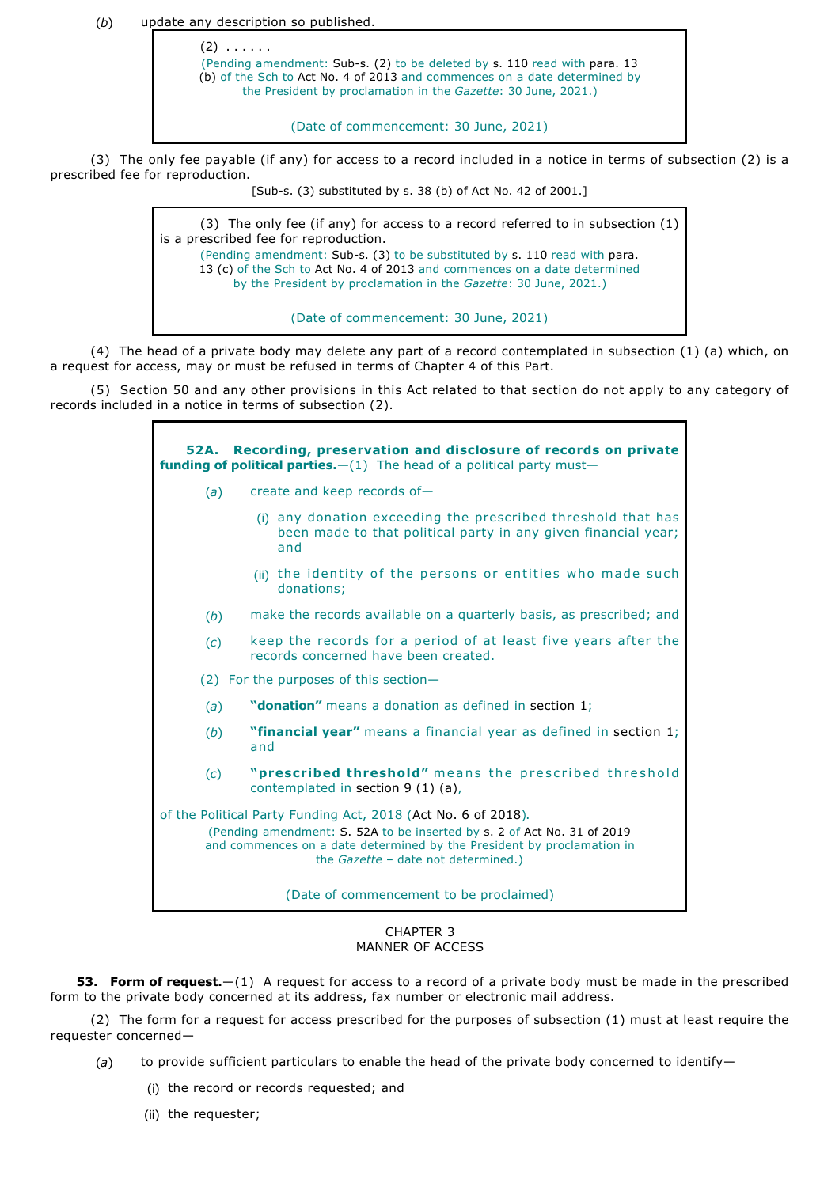(*b*) update any description so published.



(3) The only fee payable (if any) for access to a record included in a notice in terms of subsection (2) is a prescribed fee for reproduction.

[Sub-s. (3) substituted by s. 38 (b) of Act No. 42 of 2001.]

(3) The only fee (if any) for access to a record referred to in subsection (1) is a prescribed fee for reproduction. (Pending amendment: Sub-s. (3) to be substituted by s. 110 read with para. 13 (c) of the Sch to Act No. 4 of 2013 and commences on a date determined by the President by proclamation in the *Gazette*: 30 June, 2021.)

(Date of commencement: 30 June, 2021)

(4) The head of a private body may delete any part of a record contemplated in subsection (1) (a) which, on a request for access, may or must be refused in terms of Chapter 4 of this Part.

(5) Section 50 and any other provisions in this Act related to that section do not apply to any category of records included in a notice in terms of subsection (2).

| 52A. Recording, preservation and disclosure of records on private<br><b>funding of political parties.</b> $-(1)$ The head of a political party must-                                                                                                              |                                                                                                                                       |  |
|-------------------------------------------------------------------------------------------------------------------------------------------------------------------------------------------------------------------------------------------------------------------|---------------------------------------------------------------------------------------------------------------------------------------|--|
| (a)                                                                                                                                                                                                                                                               | create and keep records of-                                                                                                           |  |
|                                                                                                                                                                                                                                                                   | (i) any donation exceeding the prescribed threshold that has<br>been made to that political party in any given financial year;<br>and |  |
|                                                                                                                                                                                                                                                                   | (ii) the identity of the persons or entities who made such<br>donations;                                                              |  |
| (b)                                                                                                                                                                                                                                                               | make the records available on a quarterly basis, as prescribed; and                                                                   |  |
| (c)                                                                                                                                                                                                                                                               | keep the records for a period of at least five years after the<br>records concerned have been created.                                |  |
|                                                                                                                                                                                                                                                                   | $(2)$ For the purposes of this section-                                                                                               |  |
| (a)                                                                                                                                                                                                                                                               | "donation" means a donation as defined in section 1;                                                                                  |  |
| (b)                                                                                                                                                                                                                                                               | " <b>financial year"</b> means a financial year as defined in section 1;<br>and                                                       |  |
| (c)                                                                                                                                                                                                                                                               | "prescribed threshold" means the prescribed threshold<br>contemplated in section 9 (1) (a),                                           |  |
| of the Political Party Funding Act, 2018 (Act No. 6 of 2018).<br>(Pending amendment: S. 52A to be inserted by s. 2 of Act No. 31 of 2019<br>and commences on a date determined by the President by proclamation in<br>the <i>Gazette - date not determined.</i> ) |                                                                                                                                       |  |
|                                                                                                                                                                                                                                                                   | (Date of commencement to be proclaimed)                                                                                               |  |

#### CHAPTER 3 MANNER OF ACCESS

**53. Form of request.**—(1) A request for access to a record of a private body must be made in the prescribed form to the private body concerned at its address, fax number or electronic mail address.

(2) The form for a request for access prescribed for the purposes of subsection (1) must at least require the requester concerned—

- (*a*) to provide sufficient particulars to enable the head of the private body concerned to identify—
	- (i) the record or records requested; and
	- (ii) the requester;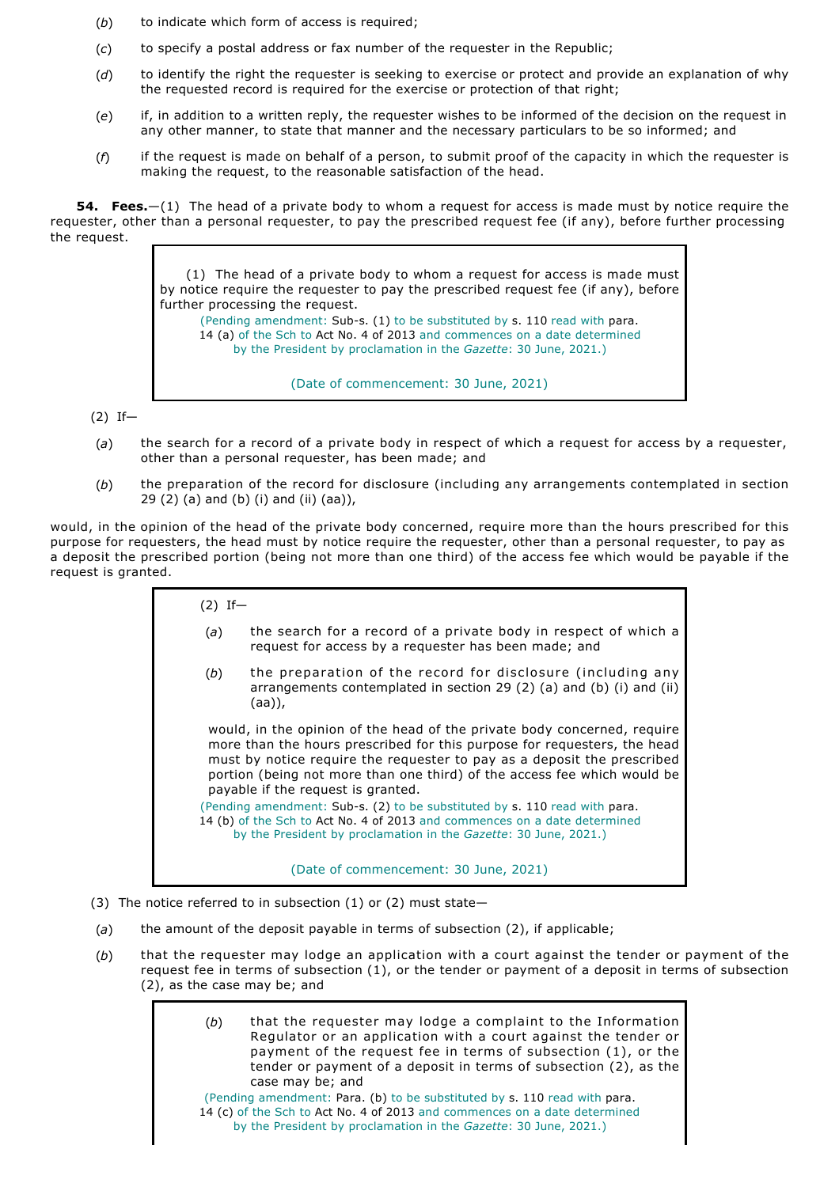- (*b*) to indicate which form of access is required;
- (*c*) to specify a postal address or fax number of the requester in the Republic;
- (*d*) to identify the right the requester is seeking to exercise or protect and provide an explanation of why the requested record is required for the exercise or protection of that right;
- (*e*) if, in addition to a written reply, the requester wishes to be informed of the decision on the request in any other manner, to state that manner and the necessary particulars to be so informed; and
- (*f*) if the request is made on behalf of a person, to submit proof of the capacity in which the requester is making the request, to the reasonable satisfaction of the head.

**54. Fees.**—(1) The head of a private body to whom a request for access is made must by notice require the requester, other than a personal requester, to pay the prescribed request fee (if any), before further processing the request.

(1) The head of a private body to whom a request for access is made must by notice require the requester to pay the prescribed request fee (if any), before further processing the request. (Pending amendment: Sub-s. (1) to be substituted by s. 110 read with para. 14 (a) of the Sch to Act No. 4 of 2013 and commences on a date determined by the President by proclamation in the *Gazette*: 30 June, 2021.) (Date of commencement: 30 June, 2021)

 $(2)$  If-

- (*a*) the search for a record of a private body in respect of which a request for access by a requester, other than a personal requester, has been made; and
- (*b*) the preparation of the record for disclosure (including any arrangements contemplated in section 29 (2) (a) and (b) (i) and (ii) (aa)),

would, in the opinion of the head of the private body concerned, require more than the hours prescribed for this purpose for requesters, the head must by notice require the requester, other than a personal requester, to pay as a deposit the prescribed portion (being not more than one third) of the access fee which would be payable if the request is granted.

 $(2)$  If-

- (*a*) the search for a record of a private body in respect of which a request for access by a requester has been made; and
- (*b*) the preparation of the record for disclosure (including any arrangements contemplated in section 29 (2) (a) and (b) (i) and (ii) (aa)),

would, in the opinion of the head of the private body concerned, require more than the hours prescribed for this purpose for requesters, the head must by notice require the requester to pay as a deposit the prescribed portion (being not more than one third) of the access fee which would be payable if the request is granted.

(Pending amendment: Sub-s. (2) to be substituted by s. 110 read with para. 14 (b) of the Sch to Act No. 4 of 2013 and commences on a date determined by the President by proclamation in the *Gazette*: 30 June, 2021.)

(Date of commencement: 30 June, 2021)

- (3) The notice referred to in subsection (1) or (2) must state—
- (*a*) the amount of the deposit payable in terms of subsection (2), if applicable;
- (*b*) that the requester may lodge an application with a court against the tender or payment of the request fee in terms of subsection (1), or the tender or payment of a deposit in terms of subsection (2), as the case may be; and

| (b) | that the requester may lodge a complaint to the Information<br>Regulator or an application with a court against the tender or<br>payment of the request fee in terms of subsection (1), or the<br>tender or payment of a deposit in terms of subsection (2), as the |
|-----|---------------------------------------------------------------------------------------------------------------------------------------------------------------------------------------------------------------------------------------------------------------------|
|     | case may be; and                                                                                                                                                                                                                                                    |
|     | (Pending amendment: Para. (b) to be substituted by s. 110 read with para.                                                                                                                                                                                           |
|     | 14 (c) of the Sch to Act No. 4 of 2013 and commences on a date determined                                                                                                                                                                                           |
|     | by the President by proclamation in the Gazette: 30 June, 2021.)                                                                                                                                                                                                    |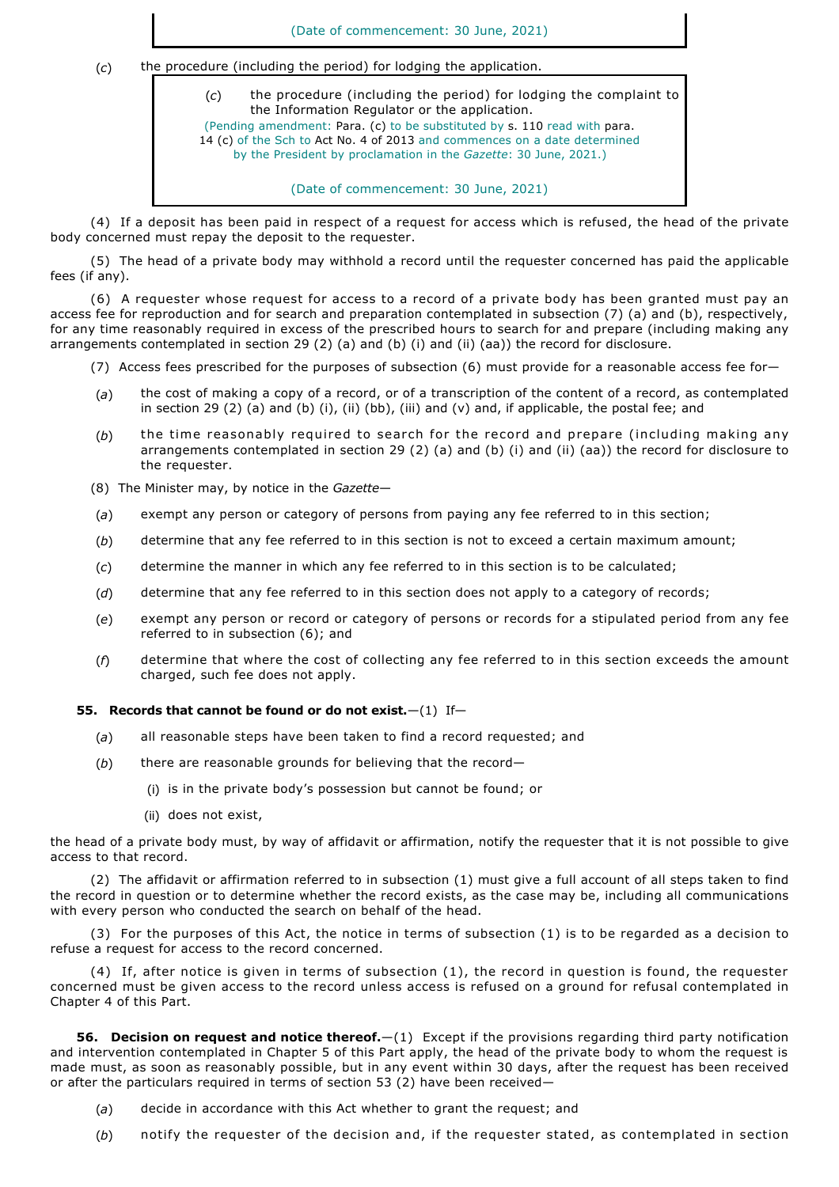(Date of commencement: 30 June, 2021)

(*c*) the procedure (including the period) for lodging the application.

| (C) | the procedure (including the period) for lodging the complaint to<br>the Information Regulator or the application.                                                                                                           |
|-----|------------------------------------------------------------------------------------------------------------------------------------------------------------------------------------------------------------------------------|
|     | (Pending amendment: Para. $(c)$ to be substituted by s. 110 read with para.<br>14 (c) of the Sch to Act No. 4 of 2013 and commences on a date determined<br>by the President by proclamation in the Gazette: 30 June, 2021.) |
|     | (Date of commencement: 30 June, 2021)                                                                                                                                                                                        |

(4) If a deposit has been paid in respect of a request for access which is refused, the head of the private body concerned must repay the deposit to the requester.

(5) The head of a private body may withhold a record until the requester concerned has paid the applicable fees (if any).

(6) A requester whose request for access to a record of a private body has been granted must pay an access fee for reproduction and for search and preparation contemplated in subsection (7) (a) and (b), respectively, for any time reasonably required in excess of the prescribed hours to search for and prepare (including making any arrangements contemplated in section 29 (2) (a) and (b) (i) and (ii) (aa)) the record for disclosure.

- (7) Access fees prescribed for the purposes of subsection (6) must provide for a reasonable access fee for—
- (*a*) the cost of making a copy of a record, or of a transcription of the content of a record, as contemplated in section 29 (2) (a) and (b) (i), (ii) (bb), (iii) and (v) and, if applicable, the postal fee; and
- (*b*) the time reasonably required to search for the record and prepare (including making any arrangements contemplated in section 29 (2) (a) and (b) (i) and (ii) (aa)) the record for disclosure to the requester.
- (8) The Minister may, by notice in the *Gazette*—
- (*a*) exempt any person or category of persons from paying any fee referred to in this section;
- (*b*) determine that any fee referred to in this section is not to exceed a certain maximum amount;
- (*c*) determine the manner in which any fee referred to in this section is to be calculated;
- (*d*) determine that any fee referred to in this section does not apply to a category of records;
- (*e*) exempt any person or record or category of persons or records for a stipulated period from any fee referred to in subsection (6); and
- (*f*) determine that where the cost of collecting any fee referred to in this section exceeds the amount charged, such fee does not apply.

#### **55. Records that cannot be found or do not exist.**—(1) If—

- (*a*) all reasonable steps have been taken to find a record requested; and
- (*b*) there are reasonable grounds for believing that the record—
	- (i) is in the private body's possession but cannot be found; or
	- (ii) does not exist,

the head of a private body must, by way of affidavit or affirmation, notify the requester that it is not possible to give access to that record.

(2) The affidavit or affirmation referred to in subsection (1) must give a full account of all steps taken to find the record in question or to determine whether the record exists, as the case may be, including all communications with every person who conducted the search on behalf of the head.

(3) For the purposes of this Act, the notice in terms of subsection (1) is to be regarded as a decision to refuse a request for access to the record concerned.

(4) If, after notice is given in terms of subsection (1), the record in question is found, the requester concerned must be given access to the record unless access is refused on a ground for refusal contemplated in Chapter 4 of this Part.

**56. Decision on request and notice thereof.**—(1) Except if the provisions regarding third party notification and intervention contemplated in Chapter 5 of this Part apply, the head of the private body to whom the request is made must, as soon as reasonably possible, but in any event within 30 days, after the request has been received or after the particulars required in terms of section 53 (2) have been received—

- (*a*) decide in accordance with this Act whether to grant the request; and
- (*b*) notify the requester of the decision and, if the requester stated, as contemplated in section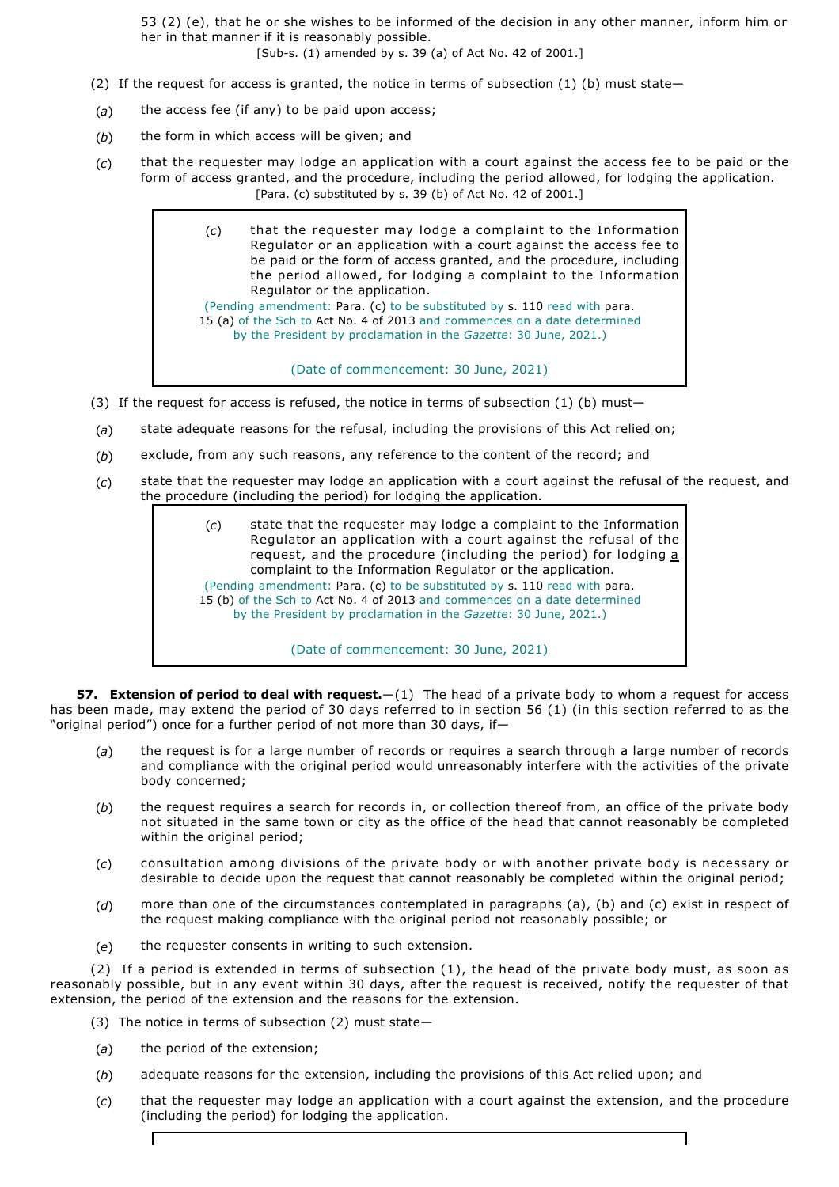53 (2) (e), that he or she wishes to be informed of the decision in any other manner, inform him or her in that manner if it is reasonably possible. [Sub-s. (1) amended by s. 39 (a) of Act No. 42 of 2001.]

- (2) If the request for access is granted, the notice in terms of subsection (1) (b) must state—
- (a) the access fee (if any) to be paid upon access;
- (*b*) the form in which access will be given; and
- (*c*) that the requester may lodge an application with a court against the access fee to be paid or the form of access granted, and the procedure, including the period allowed, for lodging the application. [Para. (c) substituted by s. 39 (b) of Act No. 42 of 2001.]

(*c*) that the requester may lodge a complaint to the Information Regulator or an application with a court against the access fee to be paid or the form of access granted, and the procedure, including the period allowed, for lodging a complaint to the Information Regulator or the application. (Pending amendment: Para. (c) to be substituted by s. 110 read with para. 15 (a) of the Sch to Act No. 4 of 2013 and commences on a date determined by the President by proclamation in the *Gazette*: 30 June, 2021.)

(Date of commencement: 30 June, 2021)

(3) If the request for access is refused, the notice in terms of subsection  $(1)$  (b) must-

- (*a*) state adequate reasons for the refusal, including the provisions of this Act relied on;
- (*b*) exclude, from any such reasons, any reference to the content of the record; and
- (*c*) state that the requester may lodge an application with a court against the refusal of the request, and the procedure (including the period) for lodging the application.

| (c) | state that the requester may lodge a complaint to the Information<br>Regulator an application with a court against the refusal of the<br>request, and the procedure (including the period) for lodging a<br>complaint to the Information Regulator or the application. |  |  |
|-----|------------------------------------------------------------------------------------------------------------------------------------------------------------------------------------------------------------------------------------------------------------------------|--|--|
|     | (Pending amendment: Para. (c) to be substituted by s. 110 read with para.<br>15 (b) of the Sch to Act No. 4 of 2013 and commences on a date determined<br>by the President by proclamation in the Gazette: 30 June, 2021.)                                             |  |  |
|     | (Date of commencement: 30 June, 2021)                                                                                                                                                                                                                                  |  |  |

**57. Extension of period to deal with request.**—(1) The head of a private body to whom a request for access

has been made, may extend the period of 30 days referred to in section 56 (1) (in this section referred to as the "original period") once for a further period of not more than 30 days, if—

- (*a*) the request is for a large number of records or requires a search through a large number of records and compliance with the original period would unreasonably interfere with the activities of the private body concerned;
- (*b*) the request requires a search for records in, or collection thereof from, an office of the private body not situated in the same town or city as the office of the head that cannot reasonably be completed within the original period;
- (*c*) consultation among divisions of the private body or with another private body is necessary or desirable to decide upon the request that cannot reasonably be completed within the original period;
- (*d*) more than one of the circumstances contemplated in paragraphs (a), (b) and (c) exist in respect of the request making compliance with the original period not reasonably possible; or
- (*e*) the requester consents in writing to such extension.

(2) If a period is extended in terms of subsection (1), the head of the private body must, as soon as reasonably possible, but in any event within 30 days, after the request is received, notify the requester of that extension, the period of the extension and the reasons for the extension.

- (3) The notice in terms of subsection (2) must state—
- (*a*) the period of the extension;

Г

- (*b*) adequate reasons for the extension, including the provisions of this Act relied upon; and
- (*c*) that the requester may lodge an application with a court against the extension, and the procedure (including the period) for lodging the application.

٦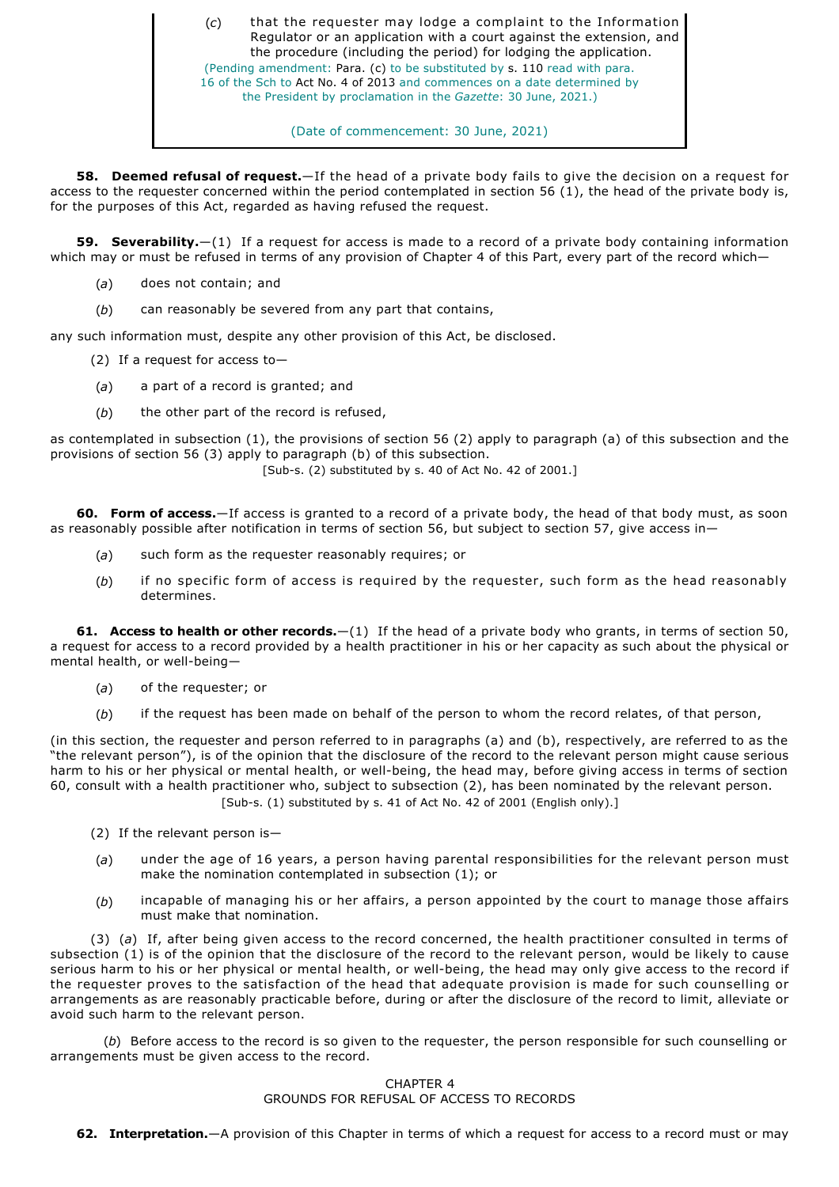(*c*) that the requester may lodge a complaint to the Information Regulator or an application with a court against the extension, and the procedure (including the period) for lodging the application. (Pending amendment: Para. (c) to be substituted by s. 110 read with para. 16 of the Sch to Act No. 4 of 2013 and commences on a date determined by the President by proclamation in the *Gazette*: 30 June, 2021.) (Date of commencement: 30 June, 2021)

**58. Deemed refusal of request.**—If the head of a private body fails to give the decision on a request for access to the requester concerned within the period contemplated in section 56 (1), the head of the private body is, for the purposes of this Act, regarded as having refused the request.

**59. Severability.**—(1) If a request for access is made to a record of a private body containing information which may or must be refused in terms of any provision of Chapter 4 of this Part, every part of the record which—

- (*a*) does not contain; and
- (*b*) can reasonably be severed from any part that contains,

any such information must, despite any other provision of this Act, be disclosed.

- (2) If a request for access to—
- (*a*) a part of a record is granted; and
- (*b*) the other part of the record is refused,

as contemplated in subsection (1), the provisions of section 56 (2) apply to paragraph (a) of this subsection and the provisions of section 56 (3) apply to paragraph (b) of this subsection.

 $[Sub-s. (2)$  substituted by s. 40 of Act No. 42 of 2001.]

**60. Form of access.**—If access is granted to a record of a private body, the head of that body must, as soon as reasonably possible after notification in terms of section 56, but subject to section 57, give access in—

- (*a*) such form as the requester reasonably requires; or
- (*b*) if no specific form of access is required by the requester, such form as the head reasonably determines.

**61. Access to health or other records.**—(1) If the head of a private body who grants, in terms of section 50, a request for access to a record provided by a health practitioner in his or her capacity as such about the physical or mental health, or well-being-

- (*a*) of the requester; or
- (*b*) if the request has been made on behalf of the person to whom the record relates, of that person,

(in this section, the requester and person referred to in paragraphs (a) and (b), respectively, are referred to as the "the relevant person"), is of the opinion that the disclosure of the record to the relevant person might cause serious harm to his or her physical or mental health, or well-being, the head may, before giving access in terms of section 60, consult with a health practitioner who, subject to subsection (2), has been nominated by the relevant person. [Sub-s.  $(1)$  substituted by s. 41 of Act No. 42 of 2001 (English only).]

- (2) If the relevant person is—
- (*a*) under the age of 16 years, a person having parental responsibilities for the relevant person must make the nomination contemplated in subsection (1); or
- (*b*) incapable of managing his or her affairs, a person appointed by the court to manage those affairs must make that nomination.

(3) (*a*) If, after being given access to the record concerned, the health practitioner consulted in terms of subsection (1) is of the opinion that the disclosure of the record to the relevant person, would be likely to cause serious harm to his or her physical or mental health, or well-being, the head may only give access to the record if the requester proves to the satisfaction of the head that adequate provision is made for such counselling or arrangements as are reasonably practicable before, during or after the disclosure of the record to limit, alleviate or avoid such harm to the relevant person.

(*b*) Before access to the record is so given to the requester, the person responsible for such counselling or arrangements must be given access to the record.

#### CHAPTER 4 GROUNDS FOR REFUSAL OF ACCESS TO RECORDS

**62. Interpretation.**—A provision of this Chapter in terms of which a request for access to a record must or may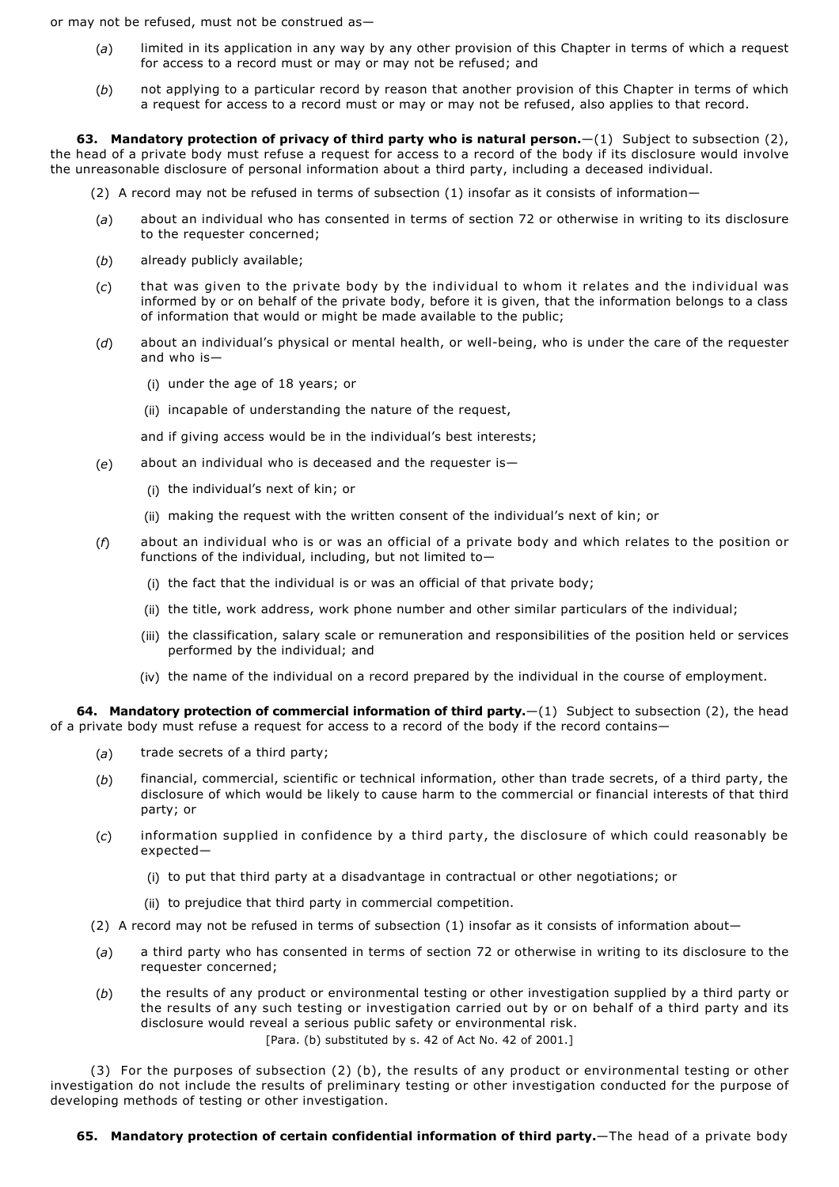or may not be refused, must not be construed as—

- (*a*) limited in its application in any way by any other provision of this Chapter in terms of which a request for access to a record must or may or may not be refused; and
- (*b*) not applying to a particular record by reason that another provision of this Chapter in terms of which a request for access to a record must or may or may not be refused, also applies to that record.

**63. Mandatory protection of privacy of third party who is natural person.**—(1) Subject to subsection (2), the head of a private body must refuse a request for access to a record of the body if its disclosure would involve the unreasonable disclosure of personal information about a third party, including a deceased individual.

- (2) A record may not be refused in terms of subsection (1) insofar as it consists of information—
- (*a*) about an individual who has consented in terms of section 72 or otherwise in writing to its disclosure to the requester concerned;
- (*b*) already publicly available;
- (*c*) that was given to the private body by the individual to whom it relates and the individual was informed by or on behalf of the private body, before it is given, that the information belongs to a class of information that would or might be made available to the public;
- (d) about an individual's physical or mental health, or well-being, who is under the care of the requester and who is—
	- (i) under the age of 18 years; or
	- (ii) incapable of understanding the nature of the request,

and if giving access would be in the individual's best interests;

- (*e*) about an individual who is deceased and the requester is—
	- (i) the individual's next of kin; or
	- (ii) making the request with the written consent of the individual's next of kin; or
- (*f*) about an individual who is or was an official of a private body and which relates to the position or functions of the individual, including, but not limited to—
	- (i) the fact that the individual is or was an official of that private body;
	- (ii) the title, work address, work phone number and other similar particulars of the individual;
	- (iii) the classification, salary scale or remuneration and responsibilities of the position held or services performed by the individual; and
	- (iv) the name of the individual on a record prepared by the individual in the course of employment.

**64. Mandatory protection of commercial information of third party.**—(1) Subject to subsection (2), the head of a private body must refuse a request for access to a record of the body if the record contains—

- (*a*) trade secrets of a third party;
- (*b*) financial, commercial, scientific or technical information, other than trade secrets, of a third party, the disclosure of which would be likely to cause harm to the commercial or financial interests of that third party; or
- (*c*) information supplied in confidence by a third party, the disclosure of which could reasonably be expected—
	- (i) to put that third party at a disadvantage in contractual or other negotiations; or
	- (ii) to prejudice that third party in commercial competition.
- (2) A record may not be refused in terms of subsection (1) insofar as it consists of information about—
- (*a*) a third party who has consented in terms of section 72 or otherwise in writing to its disclosure to the requester concerned;
- (*b*) the results of any product or environmental testing or other investigation supplied by a third party or the results of any such testing or investigation carried out by or on behalf of a third party and its disclosure would reveal a serious public safety or environmental risk.

[Para. (b) substituted by s. 42 of Act No. 42 of 2001.]

(3) For the purposes of subsection (2) (b), the results of any product or environmental testing or other investigation do not include the results of preliminary testing or other investigation conducted for the purpose of developing methods of testing or other investigation.

#### **65. Mandatory protection of certain confidential information of third party.**—The head of a private body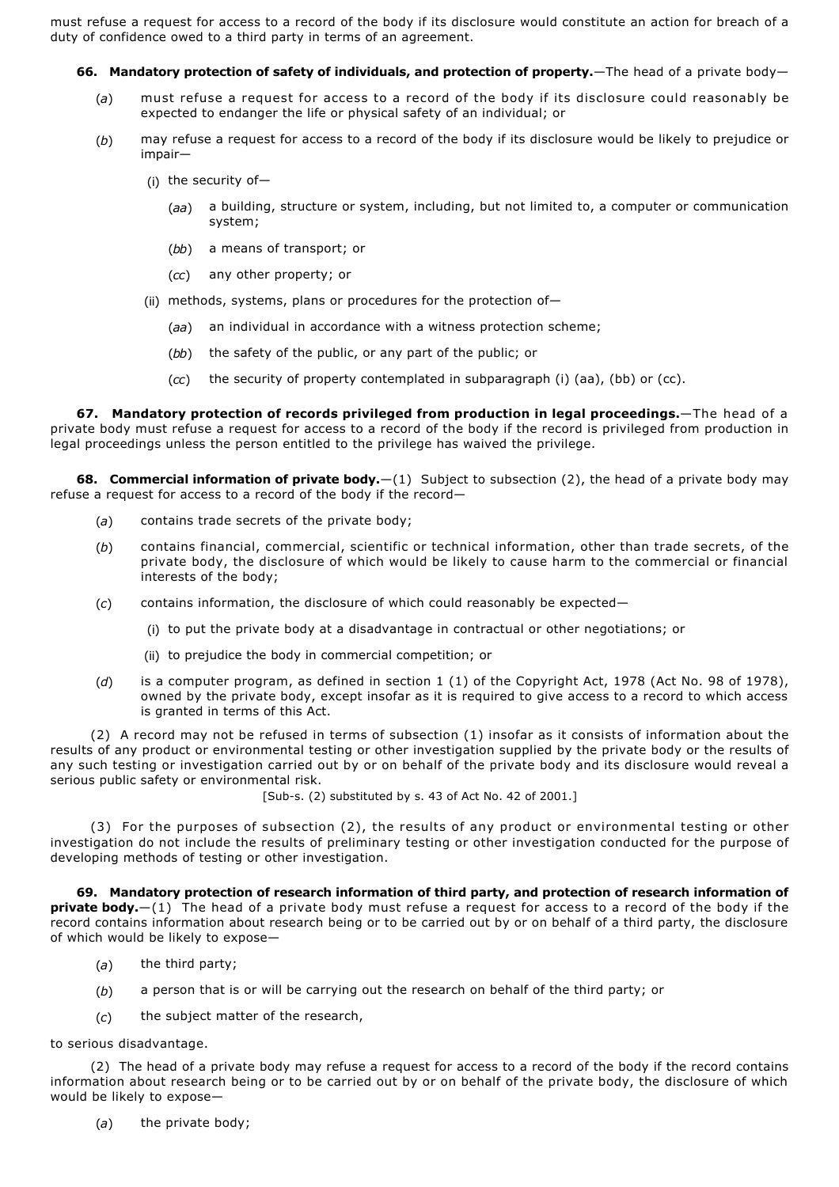must refuse a request for access to a record of the body if its disclosure would constitute an action for breach of a duty of confidence owed to a third party in terms of an agreement.

#### **66. Mandatory protection of safety of individuals, and protection of property.**—The head of a private body—

- (*a*) must refuse a request for access to a record of the body if its disclosure could reasonably be expected to endanger the life or physical safety of an individual; or
- (*b*) may refuse a request for access to a record of the body if its disclosure would be likely to prejudice or impair—
	- (i) the security of—
		- (*aa*) a building, structure or system, including, but not limited to, a computer or communication system;
		- (*bb*) a means of transport; or
		- (*cc*) any other property; or
	- (ii) methods, systems, plans or procedures for the protection of—
		- (*aa*) an individual in accordance with a witness protection scheme;
		- (*bb*) the safety of the public, or any part of the public; or
		- (*cc*) the security of property contemplated in subparagraph (i) (aa), (bb) or (cc).

**67. Mandatory protection of records privileged from production in legal proceedings.**—The head of a private body must refuse a request for access to a record of the body if the record is privileged from production in legal proceedings unless the person entitled to the privilege has waived the privilege.

**68. Commercial information of private body.**  $-(1)$  Subject to subsection (2), the head of a private body may refuse a request for access to a record of the body if the record—

- (*a*) contains trade secrets of the private body;
- (*b*) contains financial, commercial, scientific or technical information, other than trade secrets, of the private body, the disclosure of which would be likely to cause harm to the commercial or financial interests of the body;
- (*c*) contains information, the disclosure of which could reasonably be expected—
	- (i) to put the private body at a disadvantage in contractual or other negotiations; or
	- (ii) to prejudice the body in commercial competition; or
- (*d*) is a computer program, as defined in section 1 (1) of the Copyright Act, 1978 (Act No. 98 of 1978), owned by the private body, except insofar as it is required to give access to a record to which access is granted in terms of this Act.

(2) A record may not be refused in terms of subsection (1) insofar as it consists of information about the results of any product or environmental testing or other investigation supplied by the private body or the results of any such testing or investigation carried out by or on behalf of the private body and its disclosure would reveal a serious public safety or environmental risk.

[Sub-s. (2) substituted by s. 43 of Act No. 42 of 2001.]

(3) For the purposes of subsection (2), the results of any product or environmental testing or other investigation do not include the results of preliminary testing or other investigation conducted for the purpose of developing methods of testing or other investigation.

**69. Mandatory protection of research information of third party, and protection of research information of private body.**—(1) The head of a private body must refuse a request for access to a record of the body if the record contains information about research being or to be carried out by or on behalf of a third party, the disclosure of which would be likely to expose—

- (*a*) the third party;
- (*b*) a person that is or will be carrying out the research on behalf of the third party; or
- (*c*) the subject matter of the research,

to serious disadvantage.

(2) The head of a private body may refuse a request for access to a record of the body if the record contains information about research being or to be carried out by or on behalf of the private body, the disclosure of which would be likely to expose—

(*a*) the private body;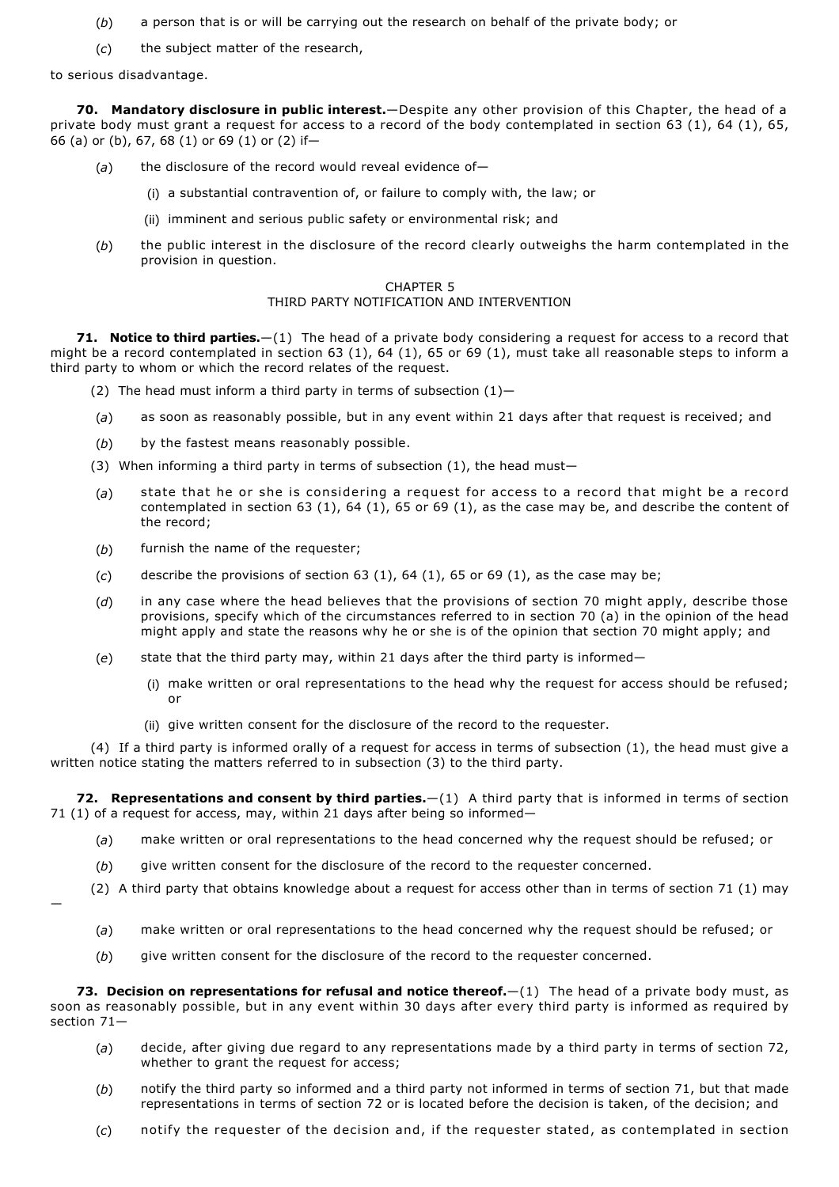- (*b*) a person that is or will be carrying out the research on behalf of the private body; or
- (*c*) the subject matter of the research,

to serious disadvantage.

—

**70. Mandatory disclosure in public interest.**—Despite any other provision of this Chapter, the head of a private body must grant a request for access to a record of the body contemplated in section 63 (1), 64 (1), 65, 66 (a) or (b), 67, 68 (1) or 69 (1) or (2) if—

- (*a*) the disclosure of the record would reveal evidence of—
	- (i) a substantial contravention of, or failure to comply with, the law; or
	- (ii) imminent and serious public safety or environmental risk; and
- (*b*) the public interest in the disclosure of the record clearly outweighs the harm contemplated in the provision in question.

#### CHAPTER 5 THIRD PARTY NOTIFICATION AND INTERVENTION

**71. Notice to third parties.**—(1) The head of a private body considering a request for access to a record that might be a record contemplated in section 63 (1), 64 (1), 65 or 69 (1), must take all reasonable steps to inform a third party to whom or which the record relates of the request.

(2) The head must inform a third party in terms of subsection  $(1)$ -

- (*a*) as soon as reasonably possible, but in any event within 21 days after that request is received; and
- (*b*) by the fastest means reasonably possible.

(3) When informing a third party in terms of subsection (1), the head must—

- (*a*) state that he or she is considering a request for access to a record that might be a record contemplated in section 63 (1), 64 (1), 65 or 69 (1), as the case may be, and describe the content of the record;
- (*b*) furnish the name of the requester;
- (*c*) describe the provisions of section 63 (1), 64 (1), 65 or 69 (1), as the case may be;
- (*d*) in any case where the head believes that the provisions of section 70 might apply, describe those provisions, specify which of the circumstances referred to in section 70 (a) in the opinion of the head might apply and state the reasons why he or she is of the opinion that section 70 might apply; and
- (*e*) state that the third party may, within 21 days after the third party is informed—
	- (i) make written or oral representations to the head why the request for access should be refused; or
	- (ii) give written consent for the disclosure of the record to the requester.

(4) If a third party is informed orally of a request for access in terms of subsection (1), the head must give a written notice stating the matters referred to in subsection (3) to the third party.

**72. Representations and consent by third parties.**—(1) A third party that is informed in terms of section 71 (1) of a request for access, may, within 21 days after being so informed—

- (*a*) make written or oral representations to the head concerned why the request should be refused; or
- (*b*) give written consent for the disclosure of the record to the requester concerned.
- (2) A third party that obtains knowledge about a request for access other than in terms of section 71 (1) may
	- (*a*) make written or oral representations to the head concerned why the request should be refused; or
	- (*b*) give written consent for the disclosure of the record to the requester concerned.

**73. Decision on representations for refusal and notice thereof.**—(1) The head of a private body must, as soon as reasonably possible, but in any event within 30 days after every third party is informed as required by section 71—

- (*a*) decide, after giving due regard to any representations made by a third party in terms of section 72, whether to grant the request for access;
- (*b*) notify the third party so informed and a third party not informed in terms of section 71, but that made representations in terms of section 72 or is located before the decision is taken, of the decision; and
- (*c*) notify the requester of the decision and, if the requester stated, as contemplated in section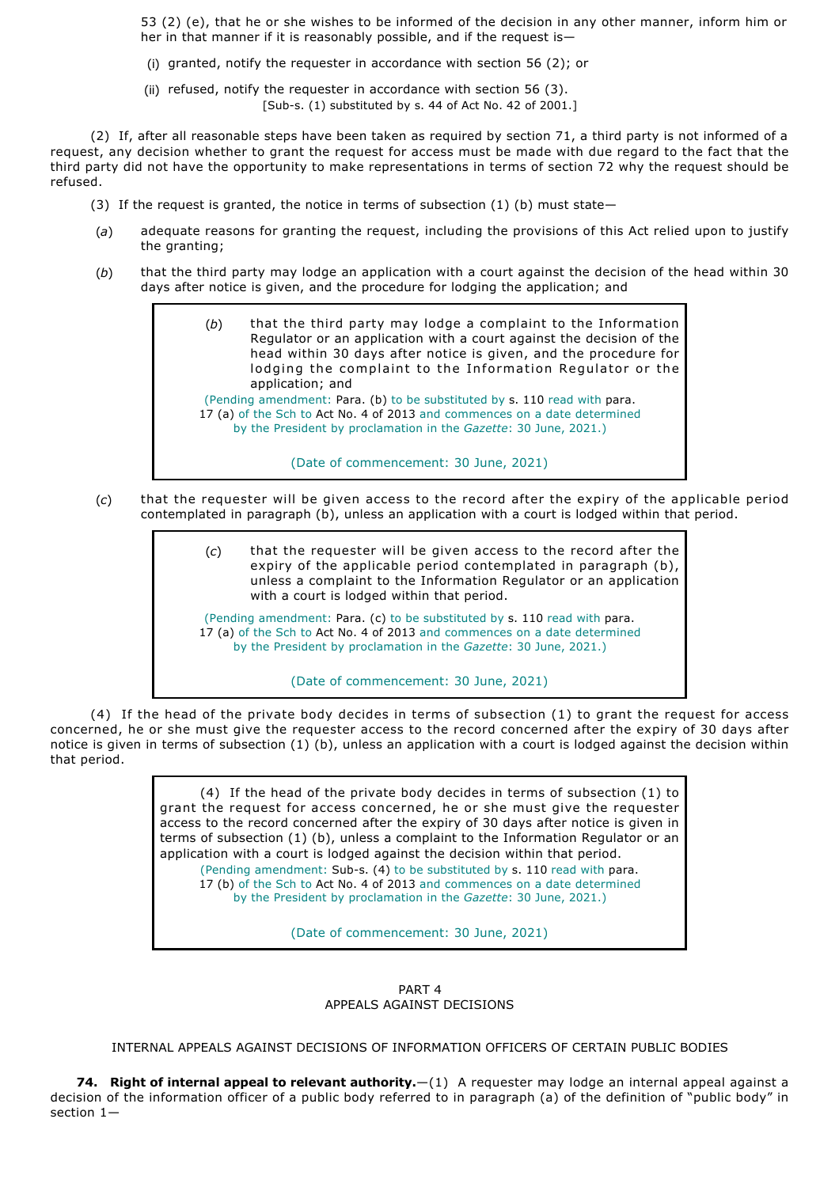53 (2) (e), that he or she wishes to be informed of the decision in any other manner, inform him or her in that manner if it is reasonably possible, and if the request is—

(i) granted, notify the requester in accordance with section 56 (2); or

(ii) refused, notify the requester in accordance with section 56  $(3)$ .

 $[Sub-s. (1)$  substituted by s. 44 of Act No. 42 of 2001.]

(2) If, after all reasonable steps have been taken as required by section 71, a third party is not informed of a request, any decision whether to grant the request for access must be made with due regard to the fact that the third party did not have the opportunity to make representations in terms of section 72 why the request should be refused.

- (3) If the request is granted, the notice in terms of subsection (1) (b) must state—
- (*a*) adequate reasons for granting the request, including the provisions of this Act relied upon to justify the granting;
- (*b*) that the third party may lodge an application with a court against the decision of the head within 30 days after notice is given, and the procedure for lodging the application; and
	- (*b*) that the third party may lodge a complaint to the Information Regulator or an application with a court against the decision of the head within 30 days after notice is given, and the procedure for lodging the complaint to the Information Regulator or the application; and (Pending amendment: Para. (b) to be substituted by s. 110 read with para.

17 (a) of the Sch to Act No. 4 of 2013 and commences on a date determined by the President by proclamation in the *Gazette*: 30 June, 2021.)

(Date of commencement: 30 June, 2021)

(*c*) that the requester will be given access to the record after the expiry of the applicable period contemplated in paragraph (b), unless an application with a court is lodged within that period.

> (*c*) that the requester will be given access to the record after the expiry of the applicable period contemplated in paragraph (b), unless a complaint to the Information Regulator or an application with a court is lodged within that period. (Pending amendment: Para. (c) to be substituted by s. 110 read with para.

17 (a) of the Sch to Act No. 4 of 2013 and commences on a date determined by the President by proclamation in the *Gazette*: 30 June, 2021.)

(Date of commencement: 30 June, 2021)

(4) If the head of the private body decides in terms of subsection (1) to grant the request for access concerned, he or she must give the requester access to the record concerned after the expiry of 30 days after notice is given in terms of subsection (1) (b), unless an application with a court is lodged against the decision within that period.

> (4) If the head of the private body decides in terms of subsection (1) to grant the request for access concerned, he or she must give the requester access to the record concerned after the expiry of 30 days after notice is given in terms of subsection (1) (b), unless a complaint to the Information Regulator or an application with a court is lodged against the decision within that period.

(Pending amendment: Sub-s. (4) to be substituted by s. 110 read with para. 17 (b) of the Sch to Act No. 4 of 2013 and commences on a date determined by the President by proclamation in the *Gazette*: 30 June, 2021.)

(Date of commencement: 30 June, 2021)

PART 4 APPEALS AGAINST DECISIONS

INTERNAL APPEALS AGAINST DECISIONS OF INFORMATION OFFICERS OF CERTAIN PUBLIC BODIES

**74. Right of internal appeal to relevant authority.**—(1) A requester may lodge an internal appeal against a decision of the information officer of a public body referred to in paragraph (a) of the definition of "public body" in section 1—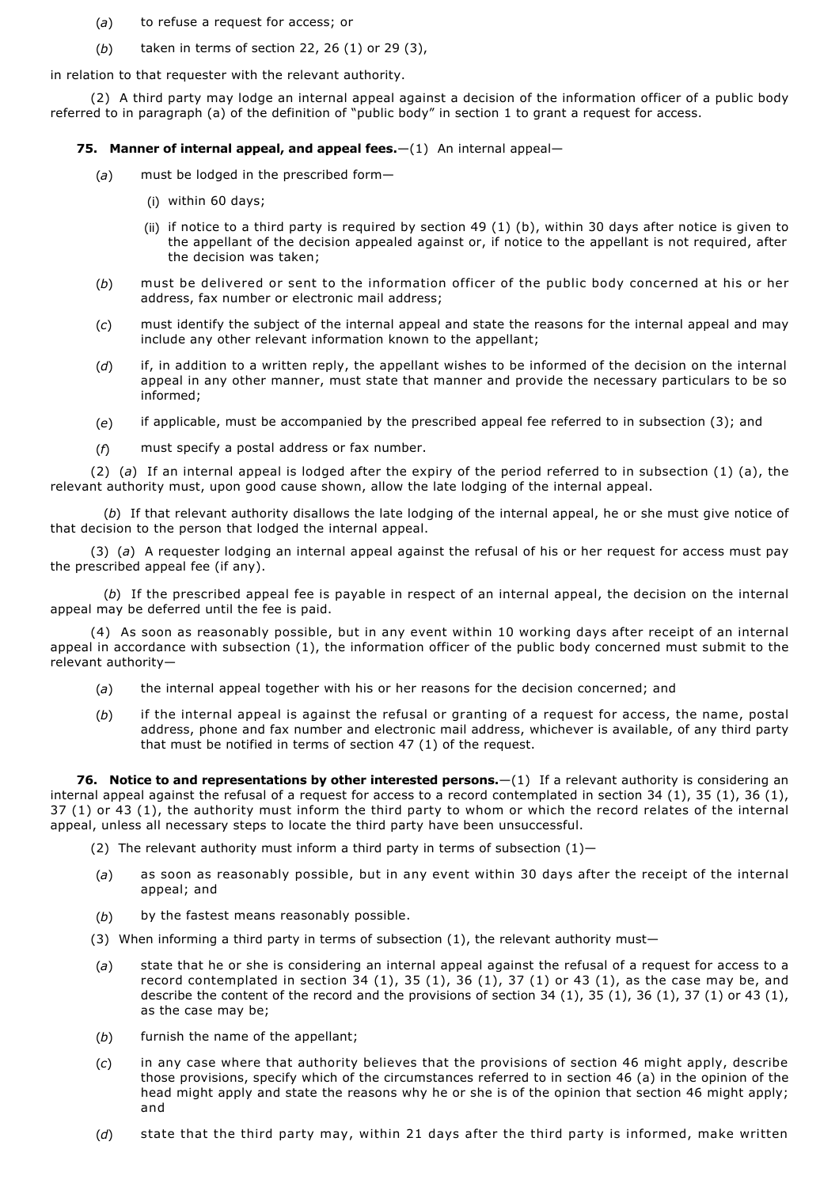- (*a*) to refuse a request for access; or
- (*b*) taken in terms of section 22, 26 (1) or 29 (3),

in relation to that requester with the relevant authority.

(2) A third party may lodge an internal appeal against a decision of the information officer of a public body referred to in paragraph (a) of the definition of "public body" in section 1 to grant a request for access.

#### **75. Manner of internal appeal, and appeal fees.**  $-(1)$  An internal appeal-

- (*a*) must be lodged in the prescribed form—
	- (i) within 60 days;
	- (ii) if notice to a third party is required by section 49 (1) (b), within 30 days after notice is given to the appellant of the decision appealed against or, if notice to the appellant is not required, after the decision was taken;
- (*b*) must be delivered or sent to the information officer of the public body concerned at his or her address, fax number or electronic mail address;
- (*c*) must identify the subject of the internal appeal and state the reasons for the internal appeal and may include any other relevant information known to the appellant;
- (*d*) if, in addition to a written reply, the appellant wishes to be informed of the decision on the internal appeal in any other manner, must state that manner and provide the necessary particulars to be so informed;
- (*e*) if applicable, must be accompanied by the prescribed appeal fee referred to in subsection (3); and
- (*f*) must specify a postal address or fax number.

(2) (*a*) If an internal appeal is lodged after the expiry of the period referred to in subsection (1) (a), the relevant authority must, upon good cause shown, allow the late lodging of the internal appeal.

(*b*) If that relevant authority disallows the late lodging of the internal appeal, he or she must give notice of that decision to the person that lodged the internal appeal.

(3) (*a*) A requester lodging an internal appeal against the refusal of his or her request for access must pay the prescribed appeal fee (if any).

(*b*) If the prescribed appeal fee is payable in respect of an internal appeal, the decision on the internal appeal may be deferred until the fee is paid.

(4) As soon as reasonably possible, but in any event within 10 working days after receipt of an internal appeal in accordance with subsection (1), the information officer of the public body concerned must submit to the relevant authority—

- (*a*) the internal appeal together with his or her reasons for the decision concerned; and
- (*b*) if the internal appeal is against the refusal or granting of a request for access, the name, postal address, phone and fax number and electronic mail address, whichever is available, of any third party that must be notified in terms of section 47 (1) of the request.

**76. Notice to and representations by other interested persons.**—(1) If a relevant authority is considering an internal appeal against the refusal of a request for access to a record contemplated in section 34 (1), 35 (1), 36 (1), 37 (1) or 43 (1), the authority must inform the third party to whom or which the record relates of the internal appeal, unless all necessary steps to locate the third party have been unsuccessful.

- (2) The relevant authority must inform a third party in terms of subsection  $(1)$ -
- (*a*) as soon as reasonably possible, but in any event within 30 days after the receipt of the internal appeal; and
- (*b*) by the fastest means reasonably possible.
- (3) When informing a third party in terms of subsection  $(1)$ , the relevant authority must-
- (*a*) state that he or she is considering an internal appeal against the refusal of a request for access to a record contemplated in section  $34$  (1),  $35$  (1),  $36$  (1),  $37$  (1) or 43 (1), as the case may be, and describe the content of the record and the provisions of section 34 (1), 35 (1), 36 (1), 37 (1) or 43 (1), as the case may be;
- (*b*) furnish the name of the appellant;
- (*c*) in any case where that authority believes that the provisions of section 46 might apply, describe those provisions, specify which of the circumstances referred to in section 46 (a) in the opinion of the head might apply and state the reasons why he or she is of the opinion that section 46 might apply; and
- (*d*) state that the third party may, within 21 days after the third party is informed, make written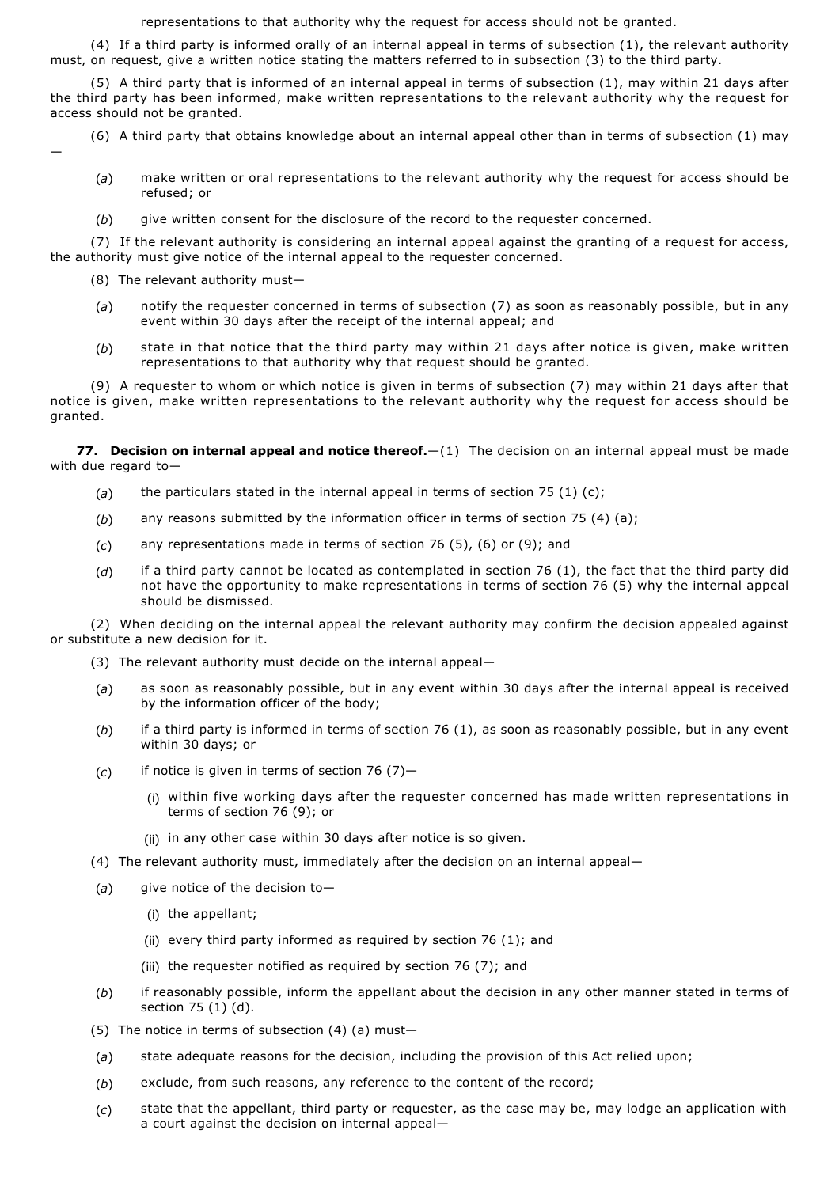representations to that authority why the request for access should not be granted.

(4) If a third party is informed orally of an internal appeal in terms of subsection (1), the relevant authority must, on request, give a written notice stating the matters referred to in subsection (3) to the third party.

(5) A third party that is informed of an internal appeal in terms of subsection (1), may within 21 days after the third party has been informed, make written representations to the relevant authority why the request for access should not be granted.

- —
- (6) A third party that obtains knowledge about an internal appeal other than in terms of subsection (1) may
- (*a*) make written or oral representations to the relevant authority why the request for access should be refused; or
- (*b*) give written consent for the disclosure of the record to the requester concerned.

(7) If the relevant authority is considering an internal appeal against the granting of a request for access, the authority must give notice of the internal appeal to the requester concerned.

- (8) The relevant authority must—
- (*a*) notify the requester concerned in terms of subsection (7) as soon as reasonably possible, but in any event within 30 days after the receipt of the internal appeal; and
- (*b*) state in that notice that the third party may within 21 days after notice is given, make written representations to that authority why that request should be granted.

(9) A requester to whom or which notice is given in terms of subsection (7) may within 21 days after that notice is given, make written representations to the relevant authority why the request for access should be granted.

**77. Decision on internal appeal and notice thereof.**—(1) The decision on an internal appeal must be made with due regard to—

- (*a*) the particulars stated in the internal appeal in terms of section 75 (1) (c);
- (*b*) any reasons submitted by the information officer in terms of section 75 (4) (a);
- (*c*) any representations made in terms of section 76 (5), (6) or (9); and
- (*d*) if a third party cannot be located as contemplated in section 76 (1), the fact that the third party did not have the opportunity to make representations in terms of section 76 (5) why the internal appeal should be dismissed.

(2) When deciding on the internal appeal the relevant authority may confirm the decision appealed against or substitute a new decision for it.

- (3) The relevant authority must decide on the internal appeal—
- (*a*) as soon as reasonably possible, but in any event within 30 days after the internal appeal is received by the information officer of the body;
- (*b*) if a third party is informed in terms of section 76 (1), as soon as reasonably possible, but in any event within 30 days; or
- (*c*) if notice is given in terms of section 76 (7)—
	- (i) within five working days after the requester concerned has made written representations in terms of section 76 (9); or
	- (ii) in any other case within 30 days after notice is so given.
- (4) The relevant authority must, immediately after the decision on an internal appeal—
- (*a*) give notice of the decision to—
	- (i) the appellant;
	- (ii) every third party informed as required by section 76  $(1)$ ; and
	- (iii) the requester notified as required by section 76 (7); and
- (*b*) if reasonably possible, inform the appellant about the decision in any other manner stated in terms of section 75 (1) (d).
- (5) The notice in terms of subsection (4) (a) must—
- (*a*) state adequate reasons for the decision, including the provision of this Act relied upon;
- (*b*) exclude, from such reasons, any reference to the content of the record;
- (*c*) state that the appellant, third party or requester, as the case may be, may lodge an application with a court against the decision on internal appeal—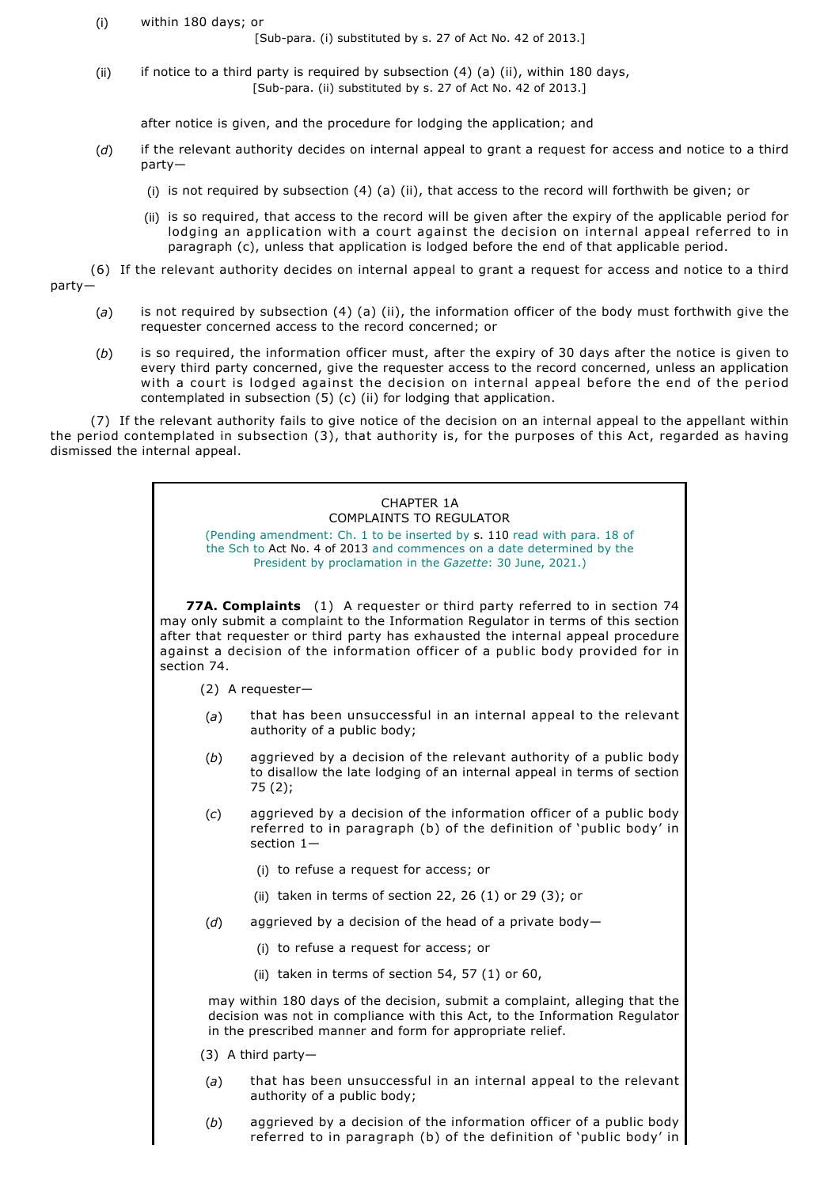(i) within 180 days; or

[Sub-para. (i) substituted by s. 27 of Act No. 42 of 2013.]

(ii) if notice to a third party is required by subsection  $(4)$  (a) (ii), within 180 days, [Sub-para. (ii) substituted by s. 27 of Act No. 42 of 2013.]

after notice is given, and the procedure for lodging the application; and

- (*d*) if the relevant authority decides on internal appeal to grant a request for access and notice to a third party—
	- (i) is not required by subsection (4) (a) (ii), that access to the record will forthwith be given; or
	- (ii) is so required, that access to the record will be given after the expiry of the applicable period for lodging an application with a court against the decision on internal appeal referred to in paragraph (c), unless that application is lodged before the end of that applicable period.

(6) If the relevant authority decides on internal appeal to grant a request for access and notice to a third party—

- (*a*) is not required by subsection (4) (a) (ii), the information officer of the body must forthwith give the requester concerned access to the record concerned; or
- (*b*) is so required, the information officer must, after the expiry of 30 days after the notice is given to every third party concerned, give the requester access to the record concerned, unless an application with a court is lodged against the decision on internal appeal before the end of the period contemplated in subsection (5) (c) (ii) for lodging that application.

(7) If the relevant authority fails to give notice of the decision on an internal appeal to the appellant within the period contemplated in subsection (3), that authority is, for the purposes of this Act, regarded as having dismissed the internal appeal.

#### CHAPTER 1A COMPLAINTS TO REGULATOR

(Pending amendment: Ch. 1 to be inserted by s. 110 read with para. 18 of the Sch to Act No. 4 of 2013 and commences on a date determined by the President by proclamation in the *Gazette*: 30 June, 2021.)

**77A. Complaints** (1) A requester or third party referred to in section 74 may only submit a complaint to the Information Regulator in terms of this section after that requester or third party has exhausted the internal appeal procedure against a decision of the information officer of a public body provided for in section 74.

(2) A requester—

- (*a*) that has been unsuccessful in an internal appeal to the relevant authority of a public body;
- (*b*) aggrieved by a decision of the relevant authority of a public body to disallow the late lodging of an internal appeal in terms of section 75 (2);
- (*c*) aggrieved by a decision of the information officer of a public body referred to in paragraph (b) of the definition of 'public body' in section 1—
	- (i) to refuse a request for access; or
	- (ii) taken in terms of section 22, 26  $(1)$  or 29  $(3)$ ; or
- (*d*) aggrieved by a decision of the head of a private body—
	- (i) to refuse a request for access; or
	- (ii) taken in terms of section 54, 57 (1) or 60,

may within 180 days of the decision, submit a complaint, alleging that the decision was not in compliance with this Act, to the Information Regulator in the prescribed manner and form for appropriate relief.

- (3) A third party—
- (*a*) that has been unsuccessful in an internal appeal to the relevant authority of a public body;
- (*b*) aggrieved by a decision of the information officer of a public body referred to in paragraph (b) of the definition of 'public body' in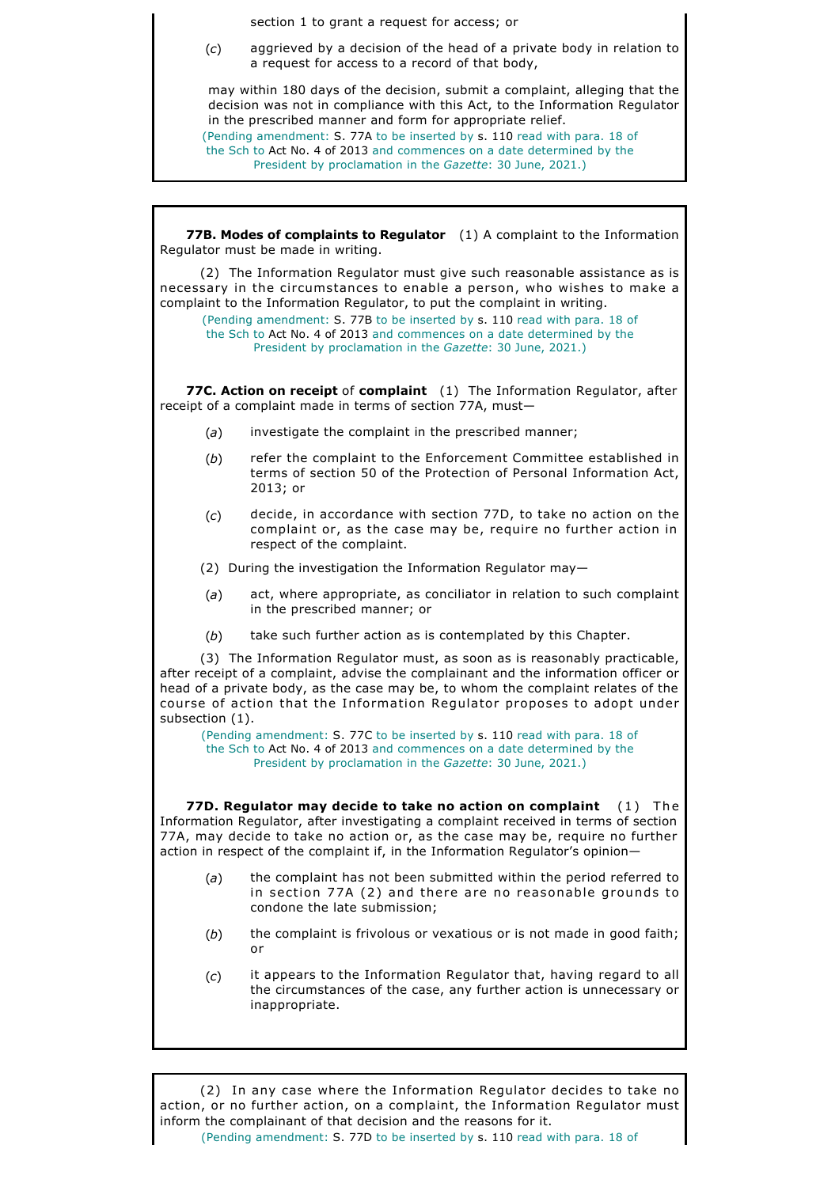section 1 to grant a request for access; or

(*c*) aggrieved by a decision of the head of a private body in relation to a request for access to a record of that body,

may within 180 days of the decision, submit a complaint, alleging that the decision was not in compliance with this Act, to the Information Regulator in the prescribed manner and form for appropriate relief.

(Pending amendment: S. 77A to be inserted by s. 110 read with para. 18 of the Sch to Act No. 4 of 2013 and commences on a date determined by the President by proclamation in the *Gazette*: 30 June, 2021.)

**77B. Modes of complaints to Regulator** (1) A complaint to the Information Regulator must be made in writing. (2) The Information Regulator must give such reasonable assistance as is necessary in the circumstances to enable a person, who wishes to make a complaint to the Information Regulator, to put the complaint in writing. (Pending amendment: S. 77B to be inserted by s. 110 read with para. 18 of the Sch to Act No. 4 of 2013 and commences on a date determined by the President by proclamation in the *Gazette*: 30 June, 2021.) **77C. Action on receipt** of **complaint** (1) The Information Regulator, after receipt of a complaint made in terms of section 77A, must— (*a*) investigate the complaint in the prescribed manner; (*b*) refer the complaint to the Enforcement Committee established in terms of section 50 of the Protection of Personal Information Act, 2013; or (*c*) decide, in accordance with section 77D, to take no action on the complaint or, as the case may be, require no further action in respect of the complaint. (2) During the investigation the Information Regulator may— (*a*) act, where appropriate, as conciliator in relation to such complaint in the prescribed manner; or (*b*) take such further action as is contemplated by this Chapter. (3) The Information Regulator must, as soon as is reasonably practicable, after receipt of a complaint, advise the complainant and the information officer or head of a private body, as the case may be, to whom the complaint relates of the course of action that the Information Regulator proposes to adopt under subsection (1). (Pending amendment: S. 77C to be inserted by s. 110 read with para. 18 of the Sch to Act No. 4 of 2013 and commences on a date determined by the President by proclamation in the *Gazette*: 30 June, 2021.) **77D. Regulator may decide to take no action on complaint** (1) The Information Regulator, after investigating a complaint received in terms of section 77A, may decide to take no action or, as the case may be, require no further action in respect of the complaint if, in the Information Regulator's opinion-(*a*) the complaint has not been submitted within the period referred to in section 77A (2) and there are no reasonable grounds to condone the late submission; (*b*) the complaint is frivolous or vexatious or is not made in good faith;

> (*c*) it appears to the Information Regulator that, having regard to all the circumstances of the case, any further action is unnecessary or inappropriate.

(2) In any case where the Information Regulator decides to take no action, or no further action, on a complaint, the Information Regulator must inform the complainant of that decision and the reasons for it.

or

(Pending amendment: S. 77D to be inserted by s. 110 read with para. 18 of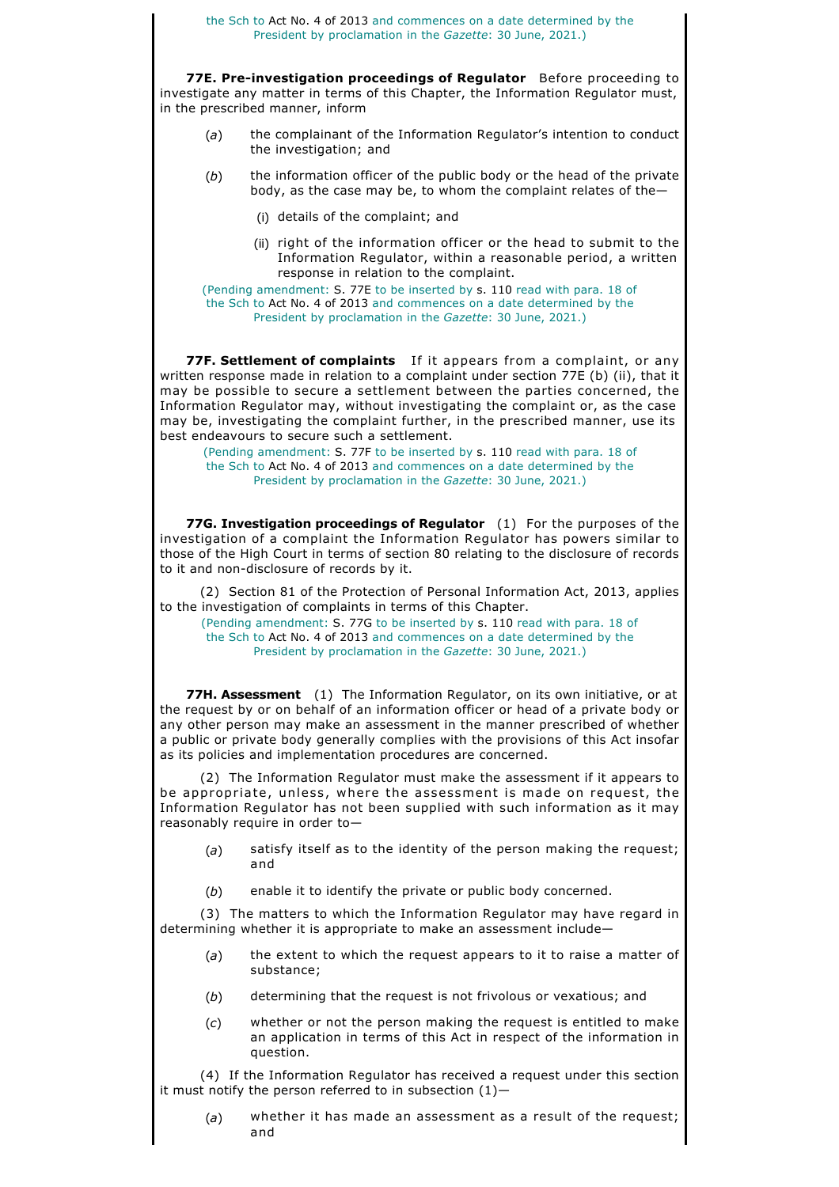the Sch to Act No. 4 of 2013 and commences on a date determined by the President by proclamation in the *Gazette*: 30 June, 2021.)

**77E. Pre-investigation proceedings of Regulator** Before proceeding to investigate any matter in terms of this Chapter, the Information Regulator must, in the prescribed manner, inform

- (*a*) the complainant of the Information Regulator's intention to conduct the investigation; and
- (*b*) the information officer of the public body or the head of the private body, as the case may be, to whom the complaint relates of the—
	- (i) details of the complaint; and
	- (ii) right of the information officer or the head to submit to the Information Regulator, within a reasonable period, a written response in relation to the complaint.

(Pending amendment: S. 77E to be inserted by s. 110 read with para. 18 of the Sch to Act No. 4 of 2013 and commences on a date determined by the President by proclamation in the *Gazette*: 30 June, 2021.)

**77F. Settlement of complaints** If it appears from a complaint, or any written response made in relation to a complaint under section 77E (b) (ii), that it may be possible to secure a settlement between the parties concerned, the Information Regulator may, without investigating the complaint or, as the case may be, investigating the complaint further, in the prescribed manner, use its best endeavours to secure such a settlement.

(Pending amendment: S. 77F to be inserted by s. 110 read with para. 18 of the Sch to Act No. 4 of 2013 and commences on a date determined by the President by proclamation in the *Gazette*: 30 June, 2021.)

**77G. Investigation proceedings of Regulator** (1) For the purposes of the investigation of a complaint the Information Regulator has powers similar to those of the High Court in terms of section 80 relating to the disclosure of records to it and non-disclosure of records by it.

(2) Section 81 of the Protection of Personal Information Act, 2013, applies to the investigation of complaints in terms of this Chapter.

(Pending amendment: S. 77G to be inserted by s. 110 read with para. 18 of the Sch to Act No. 4 of 2013 and commences on a date determined by the President by proclamation in the *Gazette*: 30 June, 2021.)

**77H. Assessment** (1) The Information Regulator, on its own initiative, or at the request by or on behalf of an information officer or head of a private body or any other person may make an assessment in the manner prescribed of whether a public or private body generally complies with the provisions of this Act insofar as its policies and implementation procedures are concerned.

(2) The Information Regulator must make the assessment if it appears to be appropriate, unless, where the assessment is made on request, the Information Regulator has not been supplied with such information as it may reasonably require in order to—

- (*a*) satisfy itself as to the identity of the person making the request; and
- (*b*) enable it to identify the private or public body concerned.

(3) The matters to which the Information Regulator may have regard in determining whether it is appropriate to make an assessment include—

- (*a*) the extent to which the request appears to it to raise a matter of substance;
- (*b*) determining that the request is not frivolous or vexatious; and
- (*c*) whether or not the person making the request is entitled to make an application in terms of this Act in respect of the information in question.

(4) If the Information Regulator has received a request under this section it must notify the person referred to in subsection  $(1)$ -

(*a*) whether it has made an assessment as a result of the request; and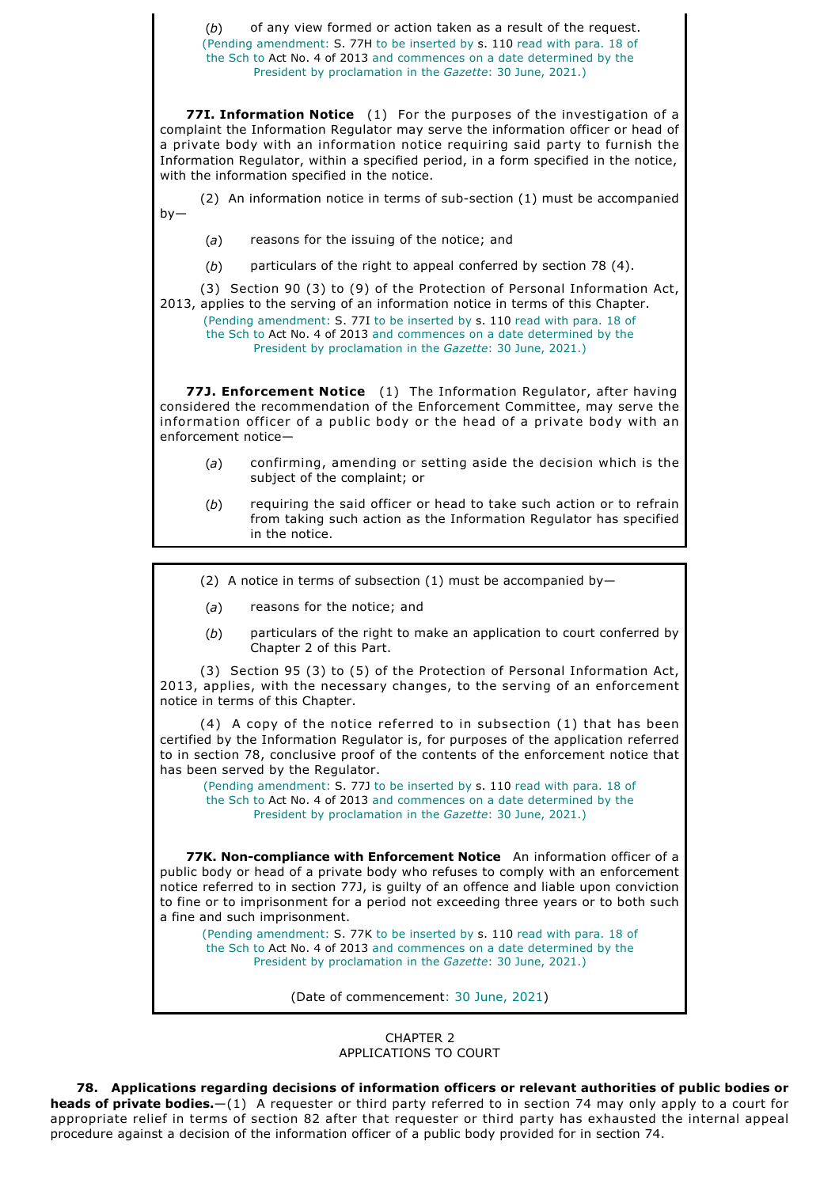(*b*) of any view formed or action taken as a result of the request. (Pending amendment: S. 77H to be inserted by s. 110 read with para. 18 of the Sch to Act No. 4 of 2013 and commences on a date determined by the President by proclamation in the *Gazette*: 30 June, 2021.)

**77I. Information Notice** (1) For the purposes of the investigation of a complaint the Information Regulator may serve the information officer or head of a private body with an information notice requiring said party to furnish the Information Regulator, within a specified period, in a form specified in the notice, with the information specified in the notice.

(2) An information notice in terms of sub-section (1) must be accompanied  $bv -$ 

- (*a*) reasons for the issuing of the notice; and
- (*b*) particulars of the right to appeal conferred by section 78 (4).

(3) Section 90 (3) to (9) of the Protection of Personal Information Act,

2013, applies to the serving of an information notice in terms of this Chapter. (Pending amendment: S. 77I to be inserted by s. 110 read with para. 18 of the Sch to Act No. 4 of 2013 and commences on a date determined by the President by proclamation in the *Gazette*: 30 June, 2021.)

**77J. Enforcement Notice** (1) The Information Regulator, after having considered the recommendation of the Enforcement Committee, may serve the information officer of a public body or the head of a private body with an enforcement notice—

- (*a*) confirming, amending or setting aside the decision which is the subject of the complaint; or
- (*b*) requiring the said officer or head to take such action or to refrain from taking such action as the Information Regulator has specified in the notice.
- (2) A notice in terms of subsection  $(1)$  must be accompanied by-
- (*a*) reasons for the notice; and
- (*b*) particulars of the right to make an application to court conferred by Chapter 2 of this Part.

(3) Section 95 (3) to (5) of the Protection of Personal Information Act, 2013, applies, with the necessary changes, to the serving of an enforcement notice in terms of this Chapter.

(4) A copy of the notice referred to in subsection (1) that has been certified by the Information Regulator is, for purposes of the application referred to in section 78, conclusive proof of the contents of the enforcement notice that has been served by the Regulator.

(Pending amendment: S. 77J to be inserted by s. 110 read with para. 18 of the Sch to Act No. 4 of 2013 and commences on a date determined by the President by proclamation in the *Gazette*: 30 June, 2021.)

**77K. Non-compliance with Enforcement Notice** An information officer of a public body or head of a private body who refuses to comply with an enforcement notice referred to in section 77J, is guilty of an offence and liable upon conviction to fine or to imprisonment for a period not exceeding three years or to both such a fine and such imprisonment.

(Pending amendment: S. 77K to be inserted by s. 110 read with para. 18 of the Sch to Act No. 4 of 2013 and commences on a date determined by the President by proclamation in the *Gazette*: 30 June, 2021.)

(Date of commencement: 30 June, 2021)

#### CHAPTER 2 APPLICATIONS TO COURT

**78. Applications regarding decisions of information officers or relevant authorities of public bodies or heads of private bodies.**—(1) A requester or third party referred to in section 74 may only apply to a court for appropriate relief in terms of section 82 after that requester or third party has exhausted the internal appeal procedure against a decision of the information officer of a public body provided for in section 74.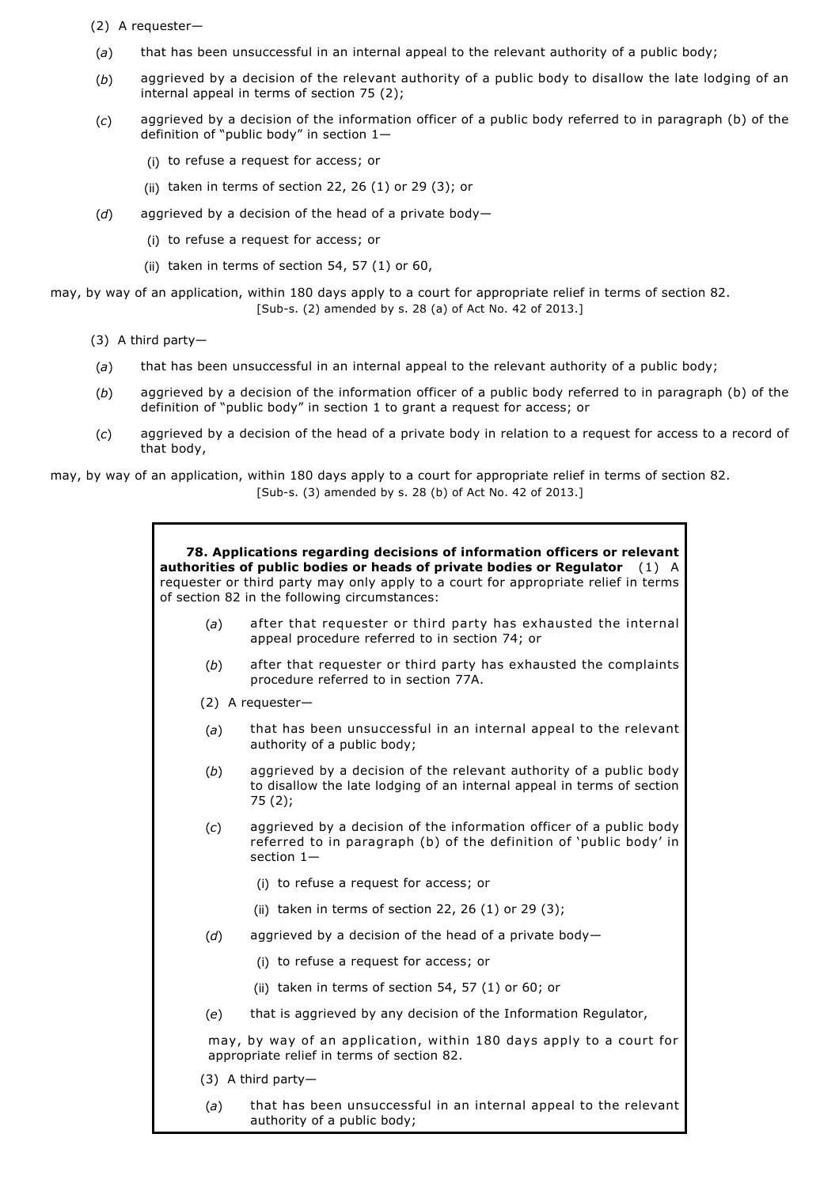- (2) A requester—
- (*a*) that has been unsuccessful in an internal appeal to the relevant authority of a public body;
- (*b*) aggrieved by a decision of the relevant authority of a public body to disallow the late lodging of an internal appeal in terms of section 75 (2);
- (*c*) aggrieved by a decision of the information officer of a public body referred to in paragraph (b) of the definition of "public body" in section 1—
	- (i) to refuse a request for access; or
	- (ii) taken in terms of section 22, 26 (1) or 29 (3); or
- (*d*) aggrieved by a decision of the head of a private body—
	- (i) to refuse a request for access; or
	- (ii) taken in terms of section  $54$ ,  $57$  (1) or 60,
- may, by way of an application, within 180 days apply to a court for appropriate relief in terms of section 82. [Sub-s. (2) amended by s. 28 (a) of Act No. 42 of 2013.]
	- (3) A third party—
	- (*a*) that has been unsuccessful in an internal appeal to the relevant authority of a public body;
	- (*b*) aggrieved by a decision of the information officer of a public body referred to in paragraph (b) of the definition of "public body" in section 1 to grant a request for access; or
	- (*c*) aggrieved by a decision of the head of a private body in relation to a request for access to a record of that body,

may, by way of an application, within 180 days apply to a court for appropriate relief in terms of section 82. [Sub-s. (3) amended by s. 28 (b) of Act No. 42 of 2013.]



(*a*) that has been unsuccessful in an internal appeal to the relevant authority of a public body;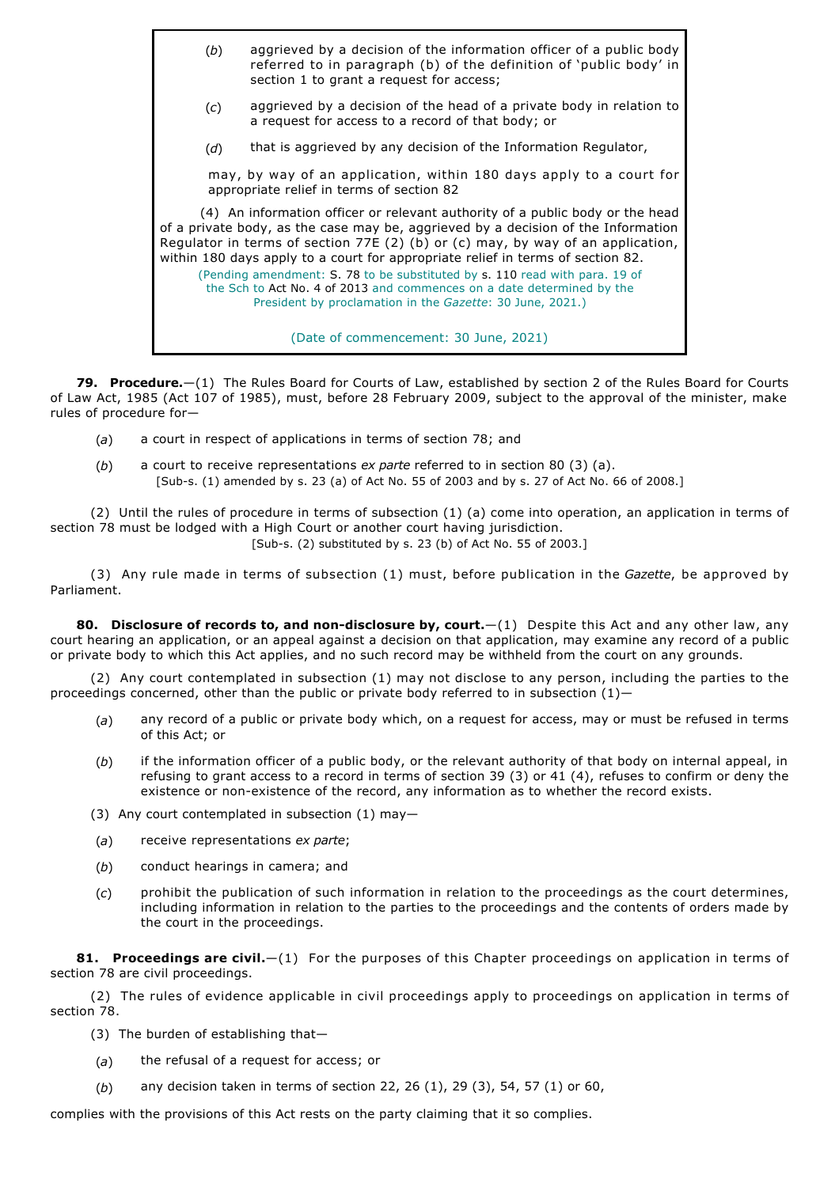(*b*) aggrieved by a decision of the information officer of a public body referred to in paragraph (b) of the definition of 'public body' in section 1 to grant a request for access; (*c*) aggrieved by a decision of the head of a private body in relation to a request for access to a record of that body; or (*d*) that is aggrieved by any decision of the Information Regulator, may, by way of an application, within 180 days apply to a court for appropriate relief in terms of section 82 (4) An information officer or relevant authority of a public body or the head of a private body, as the case may be, aggrieved by a decision of the Information Regulator in terms of section 77E (2) (b) or (c) may, by way of an application, within 180 days apply to a court for appropriate relief in terms of section 82. (Pending amendment: S. 78 to be substituted by s. 110 read with para. 19 of the Sch to Act No. 4 of 2013 and commences on a date determined by the President by proclamation in the *Gazette*: 30 June, 2021.) (Date of commencement: 30 June, 2021)

**79. Procedure.**—(1) The Rules Board for Courts of Law, established by section 2 of the Rules Board for Courts of Law Act, 1985 (Act 107 of 1985), must, before 28 February 2009, subject to the approval of the minister, make rules of procedure for—

- (*a*) a court in respect of applications in terms of section 78; and
- (*b*) a court to receive representations *ex parte* referred to in section 80 (3) (a). [Sub-s. (1) amended by s. 23 (a) of Act No. 55 of 2003 and by s. 27 of Act No. 66 of 2008.]

(2) Until the rules of procedure in terms of subsection (1) (a) come into operation, an application in terms of section 78 must be lodged with a High Court or another court having jurisdiction.

[Sub-s. (2) substituted by s. 23 (b) of Act No. 55 of 2003.]

(3) Any rule made in terms of subsection (1) must, before publication in the *Gazette*, be approved by Parliament.

**80. Disclosure of records to, and non-disclosure by, court.**—(1) Despite this Act and any other law, any court hearing an application, or an appeal against a decision on that application, may examine any record of a public or private body to which this Act applies, and no such record may be withheld from the court on any grounds.

(2) Any court contemplated in subsection (1) may not disclose to any person, including the parties to the proceedings concerned, other than the public or private body referred to in subsection  $(1)$ -

- (*a*) any record of a public or private body which, on a request for access, may or must be refused in terms of this Act; or
- (*b*) if the information officer of a public body, or the relevant authority of that body on internal appeal, in refusing to grant access to a record in terms of section 39 (3) or 41 (4), refuses to confirm or deny the existence or non-existence of the record, any information as to whether the record exists.
- (3) Any court contemplated in subsection (1) may—
- (*a*) receive representations *ex parte*;
- (*b*) conduct hearings in camera; and
- (*c*) prohibit the publication of such information in relation to the proceedings as the court determines, including information in relation to the parties to the proceedings and the contents of orders made by the court in the proceedings.

**81. Proceedings are civil.**—(1) For the purposes of this Chapter proceedings on application in terms of section 78 are civil proceedings.

(2) The rules of evidence applicable in civil proceedings apply to proceedings on application in terms of section 78.

- (3) The burden of establishing that—
- (*a*) the refusal of a request for access; or
- (*b*) any decision taken in terms of section 22, 26 (1), 29 (3), 54, 57 (1) or 60,

complies with the provisions of this Act rests on the party claiming that it so complies.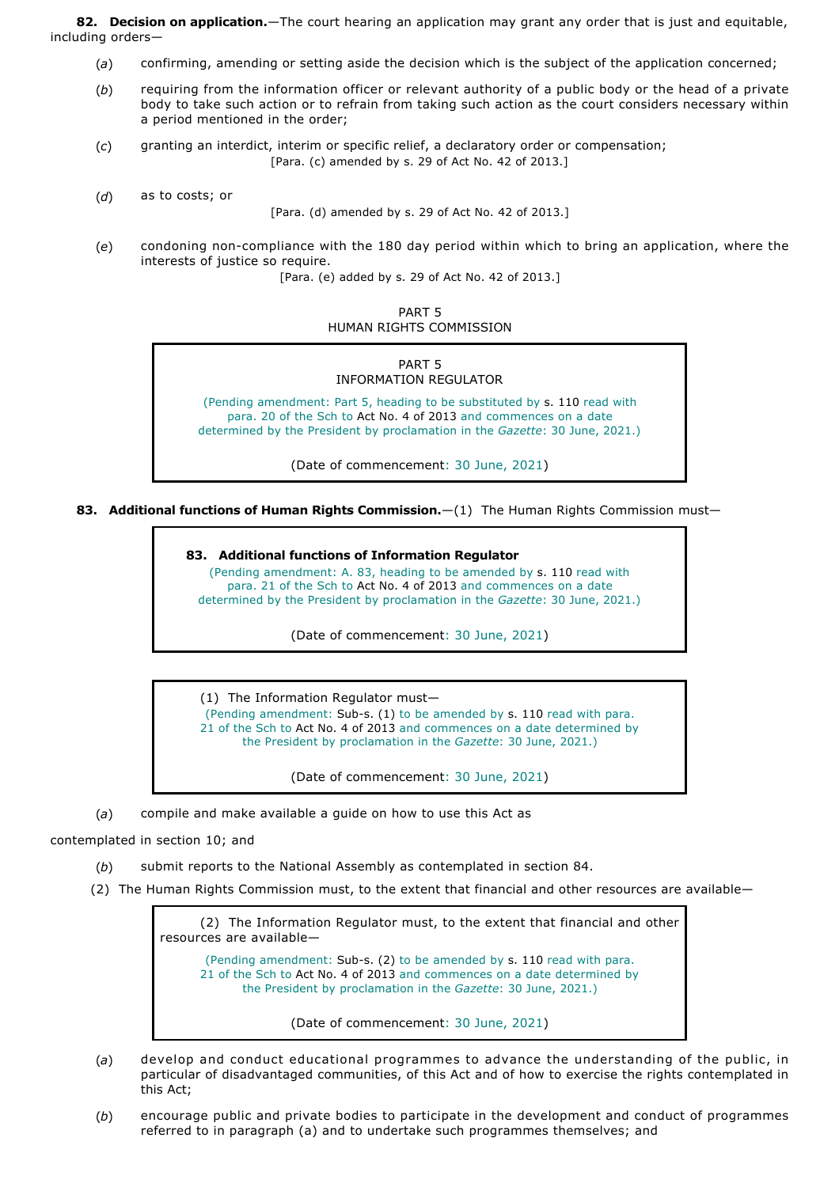**82. Decision on application.**—The court hearing an application may grant any order that is just and equitable, including orders—

- (*a*) confirming, amending or setting aside the decision which is the subject of the application concerned;
- (*b*) requiring from the information officer or relevant authority of a public body or the head of a private body to take such action or to refrain from taking such action as the court considers necessary within a period mentioned in the order;
- (*c*) granting an interdict, interim or specific relief, a declaratory order or compensation; [Para. (c) amended by s. 29 of Act No. 42 of 2013.]
- (*d*) as to costs; or

[Para. (d) amended by s. 29 of Act No. 42 of 2013.]

(*e*) condoning noncompliance with the 180 day period within which to bring an application, where the interests of justice so require.

[Para. (e) added by s. 29 of Act No. 42 of 2013.]

PART 5 HUMAN RIGHTS COMMISSION

PART 5 INFORMATION REGULATOR

(Pending amendment: Part 5, heading to be substituted by s. 110 read with para. 20 of the Sch to Act No. 4 of 2013 and commences on a date determined by the President by proclamation in the *Gazette*: 30 June, 2021.)

(Date of commencement: 30 June, 2021)

#### **83. Additional functions of Human Rights Commission.**—(1) The Human Rights Commission must—

#### **83. Additional functions of Information Regulator**

(Pending amendment: A. 83, heading to be amended by s. 110 read with para. 21 of the Sch to Act No. 4 of 2013 and commences on a date determined by the President by proclamation in the *Gazette*: 30 June, 2021.)

(Date of commencement: 30 June, 2021)

(1) The Information Regulator must— (Pending amendment: Sub-s. (1) to be amended by s. 110 read with para. 21 of the Sch to Act No. 4 of 2013 and commences on a date determined by the President by proclamation in the *Gazette*: 30 June, 2021.)

(Date of commencement: 30 June, 2021)

(*a*) compile and make available a guide on how to use this Act as

contemplated in section 10; and

- (*b*) submit reports to the National Assembly as contemplated in section 84.
- (2) The Human Rights Commission must, to the extent that financial and other resources are available—

(2) The Information Regulator must, to the extent that financial and other resources are available—

(Pending amendment: Sub-s.  $(2)$  to be amended by s. 110 read with para. 21 of the Sch to Act No. 4 of 2013 and commences on a date determined by the President by proclamation in the *Gazette*: 30 June, 2021.)

(Date of commencement: 30 June, 2021)

- (*a*) develop and conduct educational programmes to advance the understanding of the public, in particular of disadvantaged communities, of this Act and of how to exercise the rights contemplated in this Act;
- (*b*) encourage public and private bodies to participate in the development and conduct of programmes referred to in paragraph (a) and to undertake such programmes themselves; and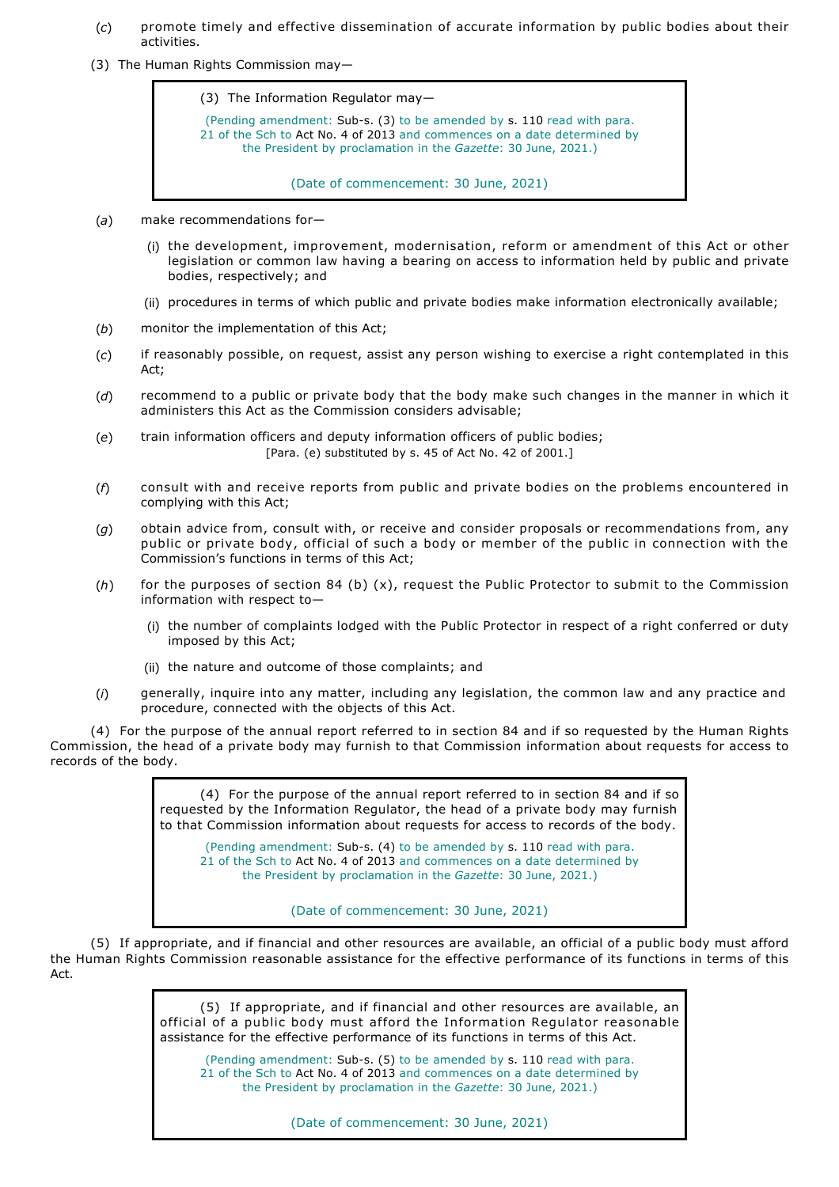- (*c*) promote timely and effective dissemination of accurate information by public bodies about their activities.
- (3) The Human Rights Commission may—

(3) The Information Regulator may—

(Pending amendment: Sub-s. (3) to be amended by s. 110 read with para. 21 of the Sch to Act No. 4 of 2013 and commences on a date determined by the President by proclamation in the *Gazette*: 30 June, 2021.)

(Date of commencement: 30 June, 2021)

- (*a*) make recommendations for—
	- (i) the development, improvement, modernisation, reform or amendment of this Act or other legislation or common law having a bearing on access to information held by public and private bodies, respectively; and
	- (ii) procedures in terms of which public and private bodies make information electronically available;
- (*b*) monitor the implementation of this Act;
- (*c*) if reasonably possible, on request, assist any person wishing to exercise a right contemplated in this Act;
- (*d*) recommend to a public or private body that the body make such changes in the manner in which it administers this Act as the Commission considers advisable;
- (*e*) train information officers and deputy information officers of public bodies; [Para. (e) substituted by s. 45 of Act No. 42 of 2001.]
- (*f*) consult with and receive reports from public and private bodies on the problems encountered in complying with this Act;
- (*g*) obtain advice from, consult with, or receive and consider proposals or recommendations from, any public or private body, official of such a body or member of the public in connection with the Commission's functions in terms of this Act;
- (*h*) for the purposes of section 84 (b) (x), request the Public Protector to submit to the Commission information with respect to—
	- (i) the number of complaints lodged with the Public Protector in respect of a right conferred or duty imposed by this Act;
	- (ii) the nature and outcome of those complaints; and
- (*i*) generally, inquire into any matter, including any legislation, the common law and any practice and procedure, connected with the objects of this Act.

(4) For the purpose of the annual report referred to in section 84 and if so requested by the Human Rights Commission, the head of a private body may furnish to that Commission information about requests for access to records of the body.

> (4) For the purpose of the annual report referred to in section 84 and if so requested by the Information Regulator, the head of a private body may furnish to that Commission information about requests for access to records of the body.

(Pending amendment: Sub-s.  $(4)$  to be amended by s. 110 read with para. 21 of the Sch to Act No. 4 of 2013 and commences on a date determined by the President by proclamation in the *Gazette*: 30 June, 2021.)

(Date of commencement: 30 June, 2021)

(5) If appropriate, and if financial and other resources are available, an official of a public body must afford the Human Rights Commission reasonable assistance for the effective performance of its functions in terms of this Act.

> (5) If appropriate, and if financial and other resources are available, an official of a public body must afford the Information Regulator reasonable assistance for the effective performance of its functions in terms of this Act.

(Pending amendment: Sub-s. (5) to be amended by s. 110 read with para. 21 of the Sch to Act No. 4 of 2013 and commences on a date determined by the President by proclamation in the *Gazette*: 30 June, 2021.)

(Date of commencement: 30 June, 2021)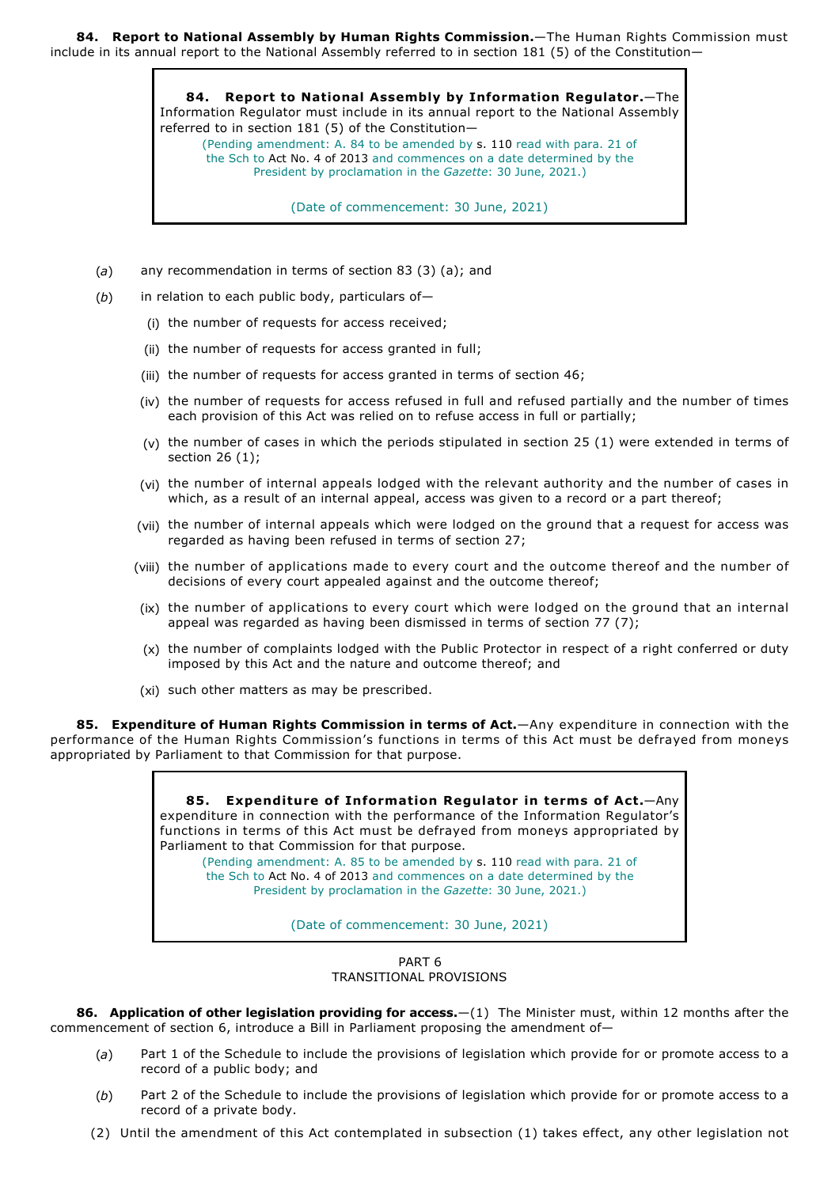**84. Report to National Assembly by Human Rights Commission.**—The Human Rights Commission must include in its annual report to the National Assembly referred to in section 181 (5) of the Constitution—



- (*a*) any recommendation in terms of section 83 (3) (a); and
- (*b*) in relation to each public body, particulars of—
	- (i) the number of requests for access received;
	- (ii) the number of requests for access granted in full;
	- (iii) the number of requests for access granted in terms of section 46;
	- (iv) the number of requests for access refused in full and refused partially and the number of times each provision of this Act was relied on to refuse access in full or partially;
	- (v) the number of cases in which the periods stipulated in section 25 (1) were extended in terms of section 26 (1);
	- (vi) the number of internal appeals lodged with the relevant authority and the number of cases in which, as a result of an internal appeal, access was given to a record or a part thereof;
	- (vii) the number of internal appeals which were lodged on the ground that a request for access was regarded as having been refused in terms of section 27;
	- (viii) the number of applications made to every court and the outcome thereof and the number of decisions of every court appealed against and the outcome thereof;
	- (ix) the number of applications to every court which were lodged on the ground that an internal appeal was regarded as having been dismissed in terms of section 77 (7);
	- (x) the number of complaints lodged with the Public Protector in respect of a right conferred or duty imposed by this Act and the nature and outcome thereof; and
	- (xi) such other matters as may be prescribed.

**85. Expenditure of Human Rights Commission in terms of Act.**—Any expenditure in connection with the performance of the Human Rights Commission's functions in terms of this Act must be defrayed from moneys appropriated by Parliament to that Commission for that purpose.

> **85. Expenditure of Information Regulator in terms of Act.**—Any expenditure in connection with the performance of the Information Regulator's functions in terms of this Act must be defrayed from moneys appropriated by Parliament to that Commission for that purpose. (Pending amendment: A. 85 to be amended by s. 110 read with para. 21 of the Sch to Act No. 4 of 2013 and commences on a date determined by the President by proclamation in the *Gazette*: 30 June, 2021.)

> > (Date of commencement: 30 June, 2021)

PART 6 TRANSITIONAL PROVISIONS

**86. Application of other legislation providing for access.**—(1) The Minister must, within 12 months after the commencement of section 6, introduce a Bill in Parliament proposing the amendment of—

- (*a*) Part 1 of the Schedule to include the provisions of legislation which provide for or promote access to a record of a public body; and
- (*b*) Part 2 of the Schedule to include the provisions of legislation which provide for or promote access to a record of a private body.
- (2) Until the amendment of this Act contemplated in subsection (1) takes effect, any other legislation not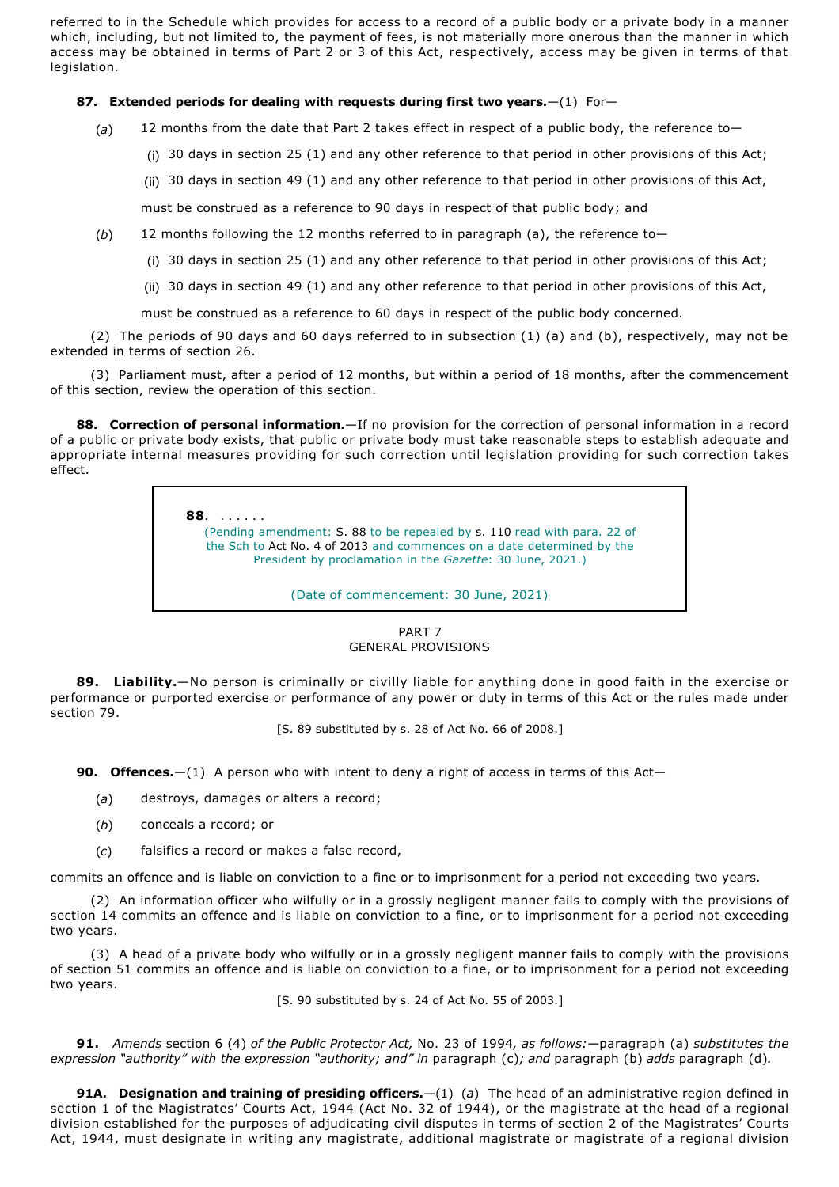referred to in the Schedule which provides for access to a record of a public body or a private body in a manner which, including, but not limited to, the payment of fees, is not materially more onerous than the manner in which access may be obtained in terms of Part 2 or 3 of this Act, respectively, access may be given in terms of that legislation.

#### **87. Extended periods for dealing with requests during first two years.**—(1) For—

- (*a*) 12 months from the date that Part 2 takes effect in respect of a public body, the reference to—
	- (i) 30 days in section 25 (1) and any other reference to that period in other provisions of this Act;
	- (ii) 30 days in section 49 (1) and any other reference to that period in other provisions of this Act,

must be construed as a reference to 90 days in respect of that public body; and

- (*b*) 12 months following the 12 months referred to in paragraph (a), the reference to—
	- (i) 30 days in section 25 (1) and any other reference to that period in other provisions of this Act;
	- (ii) 30 days in section 49 (1) and any other reference to that period in other provisions of this Act,

must be construed as a reference to 60 days in respect of the public body concerned.

(2) The periods of 90 days and 60 days referred to in subsection (1) (a) and (b), respectively, may not be extended in terms of section 26.

(3) Parliament must, after a period of 12 months, but within a period of 18 months, after the commencement of this section, review the operation of this section.

**88. Correction of personal information.**—If no provision for the correction of personal information in a record of a public or private body exists, that public or private body must take reasonable steps to establish adequate and appropriate internal measures providing for such correction until legislation providing for such correction takes effect.

> **88**. . . . . . . (Pending amendment: S. 88 to be repealed by s. 110 read with para. 22 of the Sch to Act No. 4 of 2013 and commences on a date determined by the President by proclamation in the *Gazette*: 30 June, 2021.)

> > (Date of commencement: 30 June, 2021)

## PART 7 GENERAL PROVISIONS

**89. Liability.**—No person is criminally or civilly liable for anything done in good faith in the exercise or performance or purported exercise or performance of any power or duty in terms of this Act or the rules made under section 79.

[S. 89 substituted by s. 28 of Act No. 66 of 2008.]

**90. Offences.**—(1) A person who with intent to deny a right of access in terms of this Act—

- (*a*) destroys, damages or alters a record;
- (*b*) conceals a record; or
- (*c*) falsifies a record or makes a false record,

commits an offence and is liable on conviction to a fine or to imprisonment for a period not exceeding two years.

(2) An information officer who wilfully or in a grossly negligent manner fails to comply with the provisions of section 14 commits an offence and is liable on conviction to a fine, or to imprisonment for a period not exceeding two years.

(3) A head of a private body who wilfully or in a grossly negligent manner fails to comply with the provisions of section 51 commits an offence and is liable on conviction to a fine, or to imprisonment for a period not exceeding two years.

[S. 90 substituted by s. 24 of Act No. 55 of 2003.]

**91.** *Amends* section 6 (4) *of the Public Protector Act,* No. 23 of 1994*, as follows:—*paragraph (a) *substitutes the expression "authority" with the expression "authority; and" in paragraph (c); and paragraph (b) adds paragraph (d).* 

**91A. Designation and training of presiding officers.**—(1) (a) The head of an administrative region defined in section 1 of the Magistrates' Courts Act, 1944 (Act No. 32 of 1944), or the magistrate at the head of a regional division established for the purposes of adjudicating civil disputes in terms of section 2 of the Magistrates' Courts Act, 1944, must designate in writing any magistrate, additional magistrate or magistrate of a regional division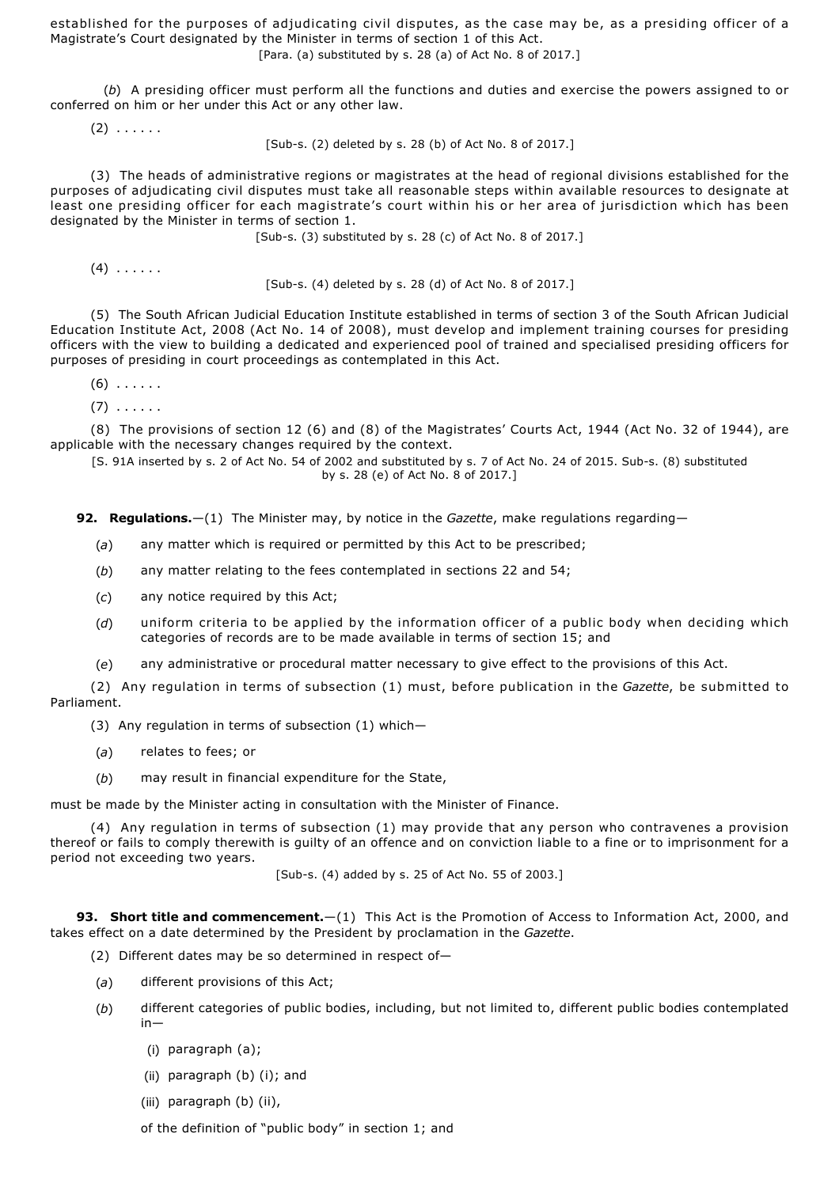established for the purposes of adjudicating civil disputes, as the case may be, as a presiding officer of a Magistrate's Court designated by the Minister in terms of section 1 of this Act.

[Para. (a) substituted by s. 28 (a) of Act No. 8 of 2017.]

(*b*) A presiding officer must perform all the functions and duties and exercise the powers assigned to or conferred on him or her under this Act or any other law.

 $(2)$  . . . . . .

[Sub-s. (2) deleted by s. 28 (b) of Act No. 8 of 2017.]

(3) The heads of administrative regions or magistrates at the head of regional divisions established for the purposes of adjudicating civil disputes must take all reasonable steps within available resources to designate at least one presiding officer for each magistrate's court within his or her area of jurisdiction which has been designated by the Minister in terms of section 1.

[Sub-s. (3) substituted by s. 28 (c) of Act No. 8 of 2017.]

 $(4)$   $\ldots$  .

[Sub-s. (4) deleted by s. 28 (d) of Act No. 8 of 2017.]

(5) The South African Judicial Education Institute established in terms of section 3 of the South African Judicial Education Institute Act, 2008 (Act No. 14 of 2008), must develop and implement training courses for presiding officers with the view to building a dedicated and experienced pool of trained and specialised presiding officers for purposes of presiding in court proceedings as contemplated in this Act.

 $(6)$  . . . . . .

 $(7)$  . . . . . .

(8) The provisions of section 12 (6) and (8) of the Magistrates' Courts Act, 1944 (Act No. 32 of 1944), are applicable with the necessary changes required by the context.

[S. 91A inserted by s. 2 of Act No. 54 of 2002 and substituted by s. 7 of Act No. 24 of 2015. Sub-s. (8) substituted by s. 28 (e) of Act No. 8 of 2017.]

**92. Regulations.**—(1) The Minister may, by notice in the *Gazette*, make regulations regarding—

- (*a*) any matter which is required or permitted by this Act to be prescribed;
- (*b*) any matter relating to the fees contemplated in sections 22 and 54;
- (*c*) any notice required by this Act;
- (*d*) uniform criteria to be applied by the information officer of a public body when deciding which categories of records are to be made available in terms of section 15; and
- (*e*) any administrative or procedural matter necessary to give effect to the provisions of this Act.

(2) Any regulation in terms of subsection (1) must, before publication in the *Gazette*, be submitted to Parliament.

- (3) Any regulation in terms of subsection (1) which—
- (*a*) relates to fees; or
- (*b*) may result in financial expenditure for the State,

must be made by the Minister acting in consultation with the Minister of Finance.

(4) Any regulation in terms of subsection (1) may provide that any person who contravenes a provision thereof or fails to comply therewith is guilty of an offence and on conviction liable to a fine or to imprisonment for a period not exceeding two years.

[Sub-s. (4) added by s. 25 of Act No. 55 of 2003.]

**93. Short title and commencement.**—(1) This Act is the Promotion of Access to Information Act, 2000, and takes effect on a date determined by the President by proclamation in the *Gazette*.

(2) Different dates may be so determined in respect of—

- (*a*) different provisions of this Act;
- (*b*) different categories of public bodies, including, but not limited to, different public bodies contemplated in—
	- (i) paragraph (a);
	- (ii) paragraph (b) (i); and
	- (iii) paragraph (b) (ii),

of the definition of "public body" in section 1; and